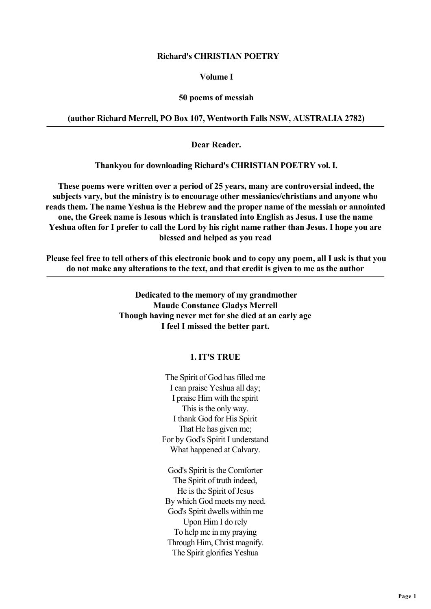## **Richard's CHRISTIAN POETRY**

## **Volume I**

## **50 poems of messiah**

## **(author Richard Merrell, PO Box 107, Wentworth Falls NSW, AUSTRALIA 2782)**

 **Dear Reader.**

 **Thankyou for downloading Richard's CHRISTIAN POETRY vol. I.**

 **These poems were written over a period of 25 years, many are controversial indeed, the subjects vary, but the ministry is to encourage other messianics/christians and anyone who reads them. The name Yeshua is the Hebrew and the proper name of the messiah or annointed one, the Greek name is Iesous which is translated into English as Jesus. I use the name Yeshua often for I prefer to call the Lord by his right name rather than Jesus. I hope you are blessed and helped as you read**

 **Please feel free to tell others of this electronic book and to copy any poem, all I ask is that you do not make any alterations to the text, and that credit is given to me as the author**

> **Dedicated to the memory of my grandmother Maude Constance Gladys Merrell Though having never met for she died at an early age I feel I missed the better part.**

## **1. IT'S TRUE**

The Spirit of God has filled me I can praise Yeshua all day; I praise Him with the spirit This is the only way. I thank God for His Spirit That He has given me; For by God's Spirit I understand What happened at Calvary.

God's Spirit is the Comforter The Spirit of truth indeed, He is the Spirit of Jesus By which God meets my need. God's Spirit dwells within me Upon Him I do rely To help me in my praying Through Him, Christ magnify. The Spirit glorifies Yeshua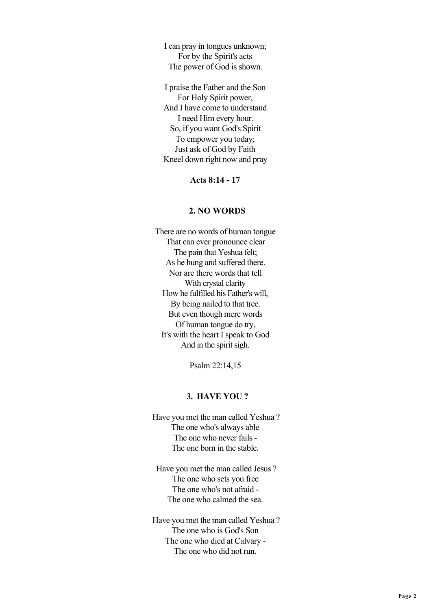I can pray in tongues unknown; For by the Spirit's acts The power of God is shown.

I praise the Father and the Son For Holy Spirit power, And I have come to understand I need Him every hour. So, if you want God's Spirit To empower you today; Just ask of God by Faith Kneel down right now and pray

**Acts 8:14 - 17**

## **2. NO WORDS**

There are no words of human tongue That can ever pronounce clear The pain that Yeshua felt; As he hung and suffered there. Nor are there words that tell With crystal clarity How he fulfilled his Father's will, By being nailed to that tree. But even though mere words Of human tongue do try, It's with the heart I speak to God And in the spirit sigh.

Psalm 22:14,15

### **3. HAVE YOU ?**

 Have you met the man called Yeshua ? The one who's always able The one who never fails - The one born in the stable.

 Have you met the man called Jesus ? The one who sets you free The one who's not afraid - The one who calmed the sea.

 Have you met the man called Yeshua ? The one who is God's Son The one who died at Calvary - The one who did not run.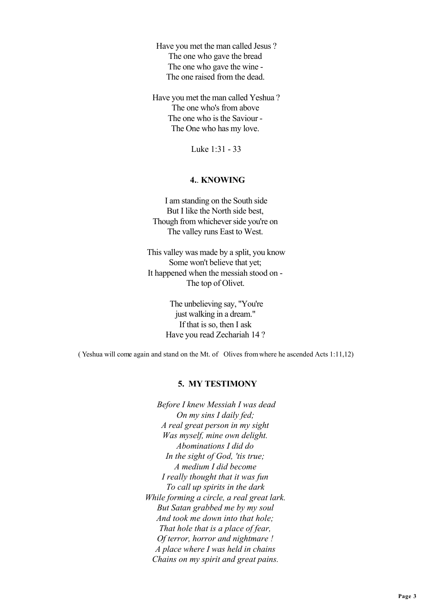Have you met the man called Jesus ? The one who gave the bread The one who gave the wine - The one raised from the dead.

 Have you met the man called Yeshua ? The one who's from above The one who is the Saviour - The One who has my love.

Luke 1:31 - 33

## **4.**. **KNOWING**

 I am standing on the South side But I like the North side best, Though from whichever side you're on The valley runs East to West.

 This valley was made by a split, you know Some won't believe that yet; It happened when the messiah stood on - The top of Olivet.

> The unbelieving say, "You're just walking in a dream." If that is so, then I ask Have you read Zechariah 14 ?

( Yeshua will come again and stand on the Mt. of Olives from where he ascended Acts 1:11,12)

#### **5. MY TESTIMONY**

 *Before I knew Messiah I was dead On my sins I daily fed; A real great person in my sight Was myself, mine own delight. Abominations I did do In the sight of God, 'tis true; A medium I did become I really thought that it was fun To call up spirits in the dark While forming a circle, a real great lark. But Satan grabbed me by my soul And took me down into that hole; That hole that is a place of fear, Of terror, horror and nightmare ! A place where I was held in chains Chains on my spirit and great pains.*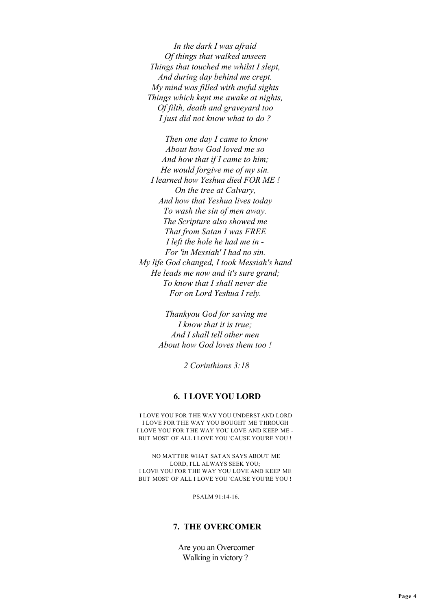*In the dark I was afraid Of things that walked unseen Things that touched me whilst I slept, And during day behind me crept. My mind was filled with awful sights Things which kept me awake at nights, Of filth, death and graveyard too I just did not know what to do ?*

 *Then one day I came to know About how God loved me so And how that if I came to him; He would forgive me of my sin. I learned how Yeshua died FOR ME ! On the tree at Calvary, And how that Yeshua lives today To wash the sin of men away. The Scripture also showed me That from Satan I was FREE I left the hole he had me in - For 'in Messiah' I had no sin. My life God changed, I took Messiah's hand He leads me now and it's sure grand; To know that I shall never die For on Lord Yeshua I rely.*

> *Thankyou God for saving me I know that it is true; And I shall tell other men About how God loves them too !*

> > *2 Corinthians 3:18*

#### **6. I LOVE YOU LORD**

 I LOVE YOU FOR THE WAY YOU UNDERSTAND LORD I LOVE FOR THE WAY YOU BOUGHT ME THROUGH I LOVE YOU FOR THE WAY YOU LOVE AND KEEP ME - BUT MOST OF ALL I LOVE YOU 'CAUSE YOU'RE YOU !

 NO MATTER WHAT SATAN SAYS ABOUT ME LORD, I'LL ALWAYS SEEK YOU; I LOVE YOU FOR THE WAY YOU LOVE AND KEEP ME BUT MOST OF ALL I LOVE YOU 'CAUSE YOU'RE YOU !

PSALM 91:14-16.

## **7. THE OVERCOMER**

 Are you an Overcomer Walking in victory ?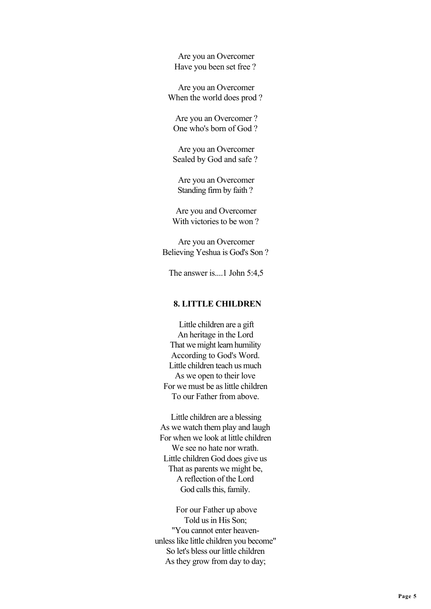Are you an Overcomer Have you been set free ?

 Are you an Overcomer When the world does prod ?

 Are you an Overcomer ? One who's born of God ?

 Are you an Overcomer Sealed by God and safe ?

 Are you an Overcomer Standing firm by faith ?

 Are you and Overcomer With victories to be won ?

 Are you an Overcomer Believing Yeshua is God's Son ?

The answer is....1 John 5:4,5

## **8. LITTLE CHILDREN**

 Little children are a gift An heritage in the Lord That we might learn humility According to God's Word. Little children teach us much As we open to their love For we must be as little children To our Father from above.

 Little children are a blessing As we watch them play and laugh For when we look at little children We see no hate nor wrath. Little children God does give us That as parents we might be, A reflection of the Lord God calls this, family.

 For our Father up above Told us in His Son; "You cannot enter heavenunless like little children you become" So let's bless our little children As they grow from day to day;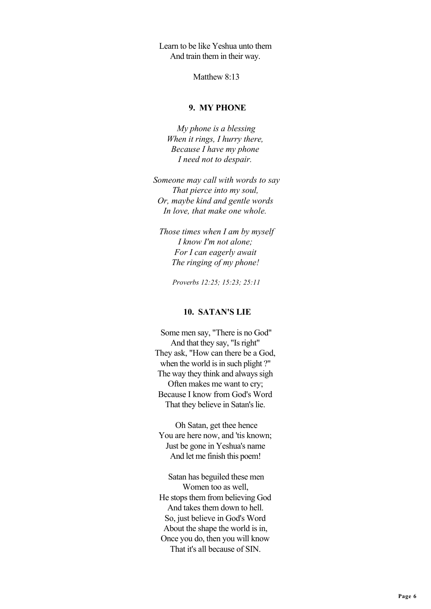Learn to be like Yeshua unto them And train them in their way.

Matthew 8:13

## **9. MY PHONE**

 *My phone is a blessing When it rings, I hurry there, Because I have my phone I need not to despair.*

 *Someone may call with words to say That pierce into my soul, Or, maybe kind and gentle words In love, that make one whole.*

 *Those times when I am by myself I know I'm not alone; For I can eagerly await The ringing of my phone!*

 *Proverbs 12:25; 15:23; 25:11*

#### **10. SATAN'S LIE**

 Some men say, "There is no God" And that they say, "Is right" They ask, "How can there be a God, when the world is in such plight ?" The way they think and always sigh Often makes me want to cry; Because I know from God's Word That they believe in Satan's lie.

 Oh Satan, get thee hence You are here now, and 'tis known; Just be gone in Yeshua's name And let me finish this poem!

 Satan has beguiled these men Women too as well, He stops them from believing God And takes them down to hell. So, just believe in God's Word About the shape the world is in, Once you do, then you will know That it's all because of SIN.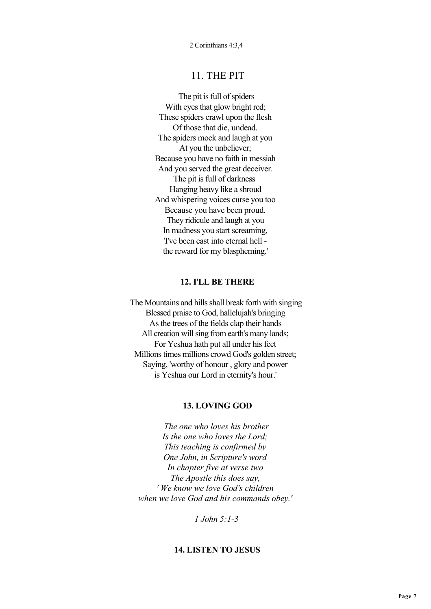# 11. THE PIT

 The pit is full of spiders With eyes that glow bright red; These spiders crawl upon the flesh Of those that die, undead. The spiders mock and laugh at you At you the unbeliever; Because you have no faith in messiah And you served the great deceiver. The pit is full of darkness Hanging heavy like a shroud And whispering voices curse you too Because you have been proud. They ridicule and laugh at you In madness you start screaming, 'I've been cast into eternal hell the reward for my blaspheming.'

## **12. I**'**LL BE THERE**

 The Mountains and hills shall break forth with singing Blessed praise to God, hallelujah's bringing As the trees of the fields clap their hands All creation will sing from earth's many lands; For Yeshua hath put all under his feet Millions times millions crowd God's golden street; Saying, 'worthy of honour , glory and power is Yeshua our Lord in eternity's hour.'

## **13. LOVING GOD**

 *The one who loves his brother Is the one who loves the Lord; This teaching is confirmed by One John, in Scripture's word In chapter five at verse two The Apostle this does say, ' We know we love God's children when we love God and his commands obey.'*

 *1 John 5:1-3*

## **14. LISTEN TO JESUS**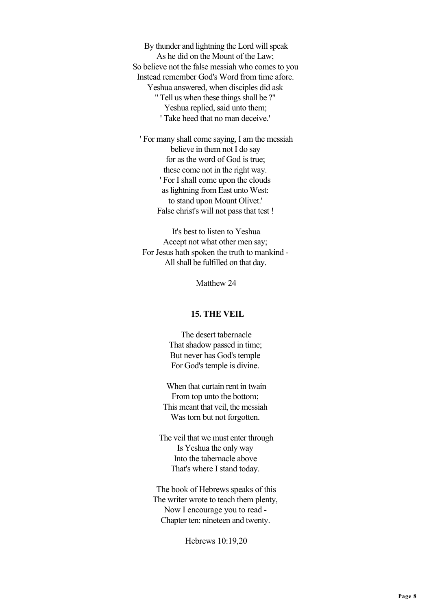By thunder and lightning the Lord will speak As he did on the Mount of the Law; So believe not the false messiah who comes to you Instead remember God's Word from time afore. Yeshua answered, when disciples did ask " Tell us when these things shall be ?" Yeshua replied, said unto them; ' Take heed that no man deceive.'

 ' For many shall come saying, I am the messiah believe in them not I do say for as the word of God is true; these come not in the right way. ' For I shall come upon the clouds as lightning from East unto West: to stand upon Mount Olivet.' False christ's will not pass that test !

 It's best to listen to Yeshua Accept not what other men say; For Jesus hath spoken the truth to mankind - All shall be fulfilled on that day.

Matthew 24

### **15. THE VEIL**

 The desert tabernacle That shadow passed in time; But never has God's temple For God's temple is divine.

 When that curtain rent in twain From top unto the bottom; This meant that veil, the messiah Was torn but not forgotten.

 The veil that we must enter through Is Yeshua the only way Into the tabernacle above That's where I stand today.

 The book of Hebrews speaks of this The writer wrote to teach them plenty, Now I encourage you to read - Chapter ten: nineteen and twenty.

Hebrews 10:19,20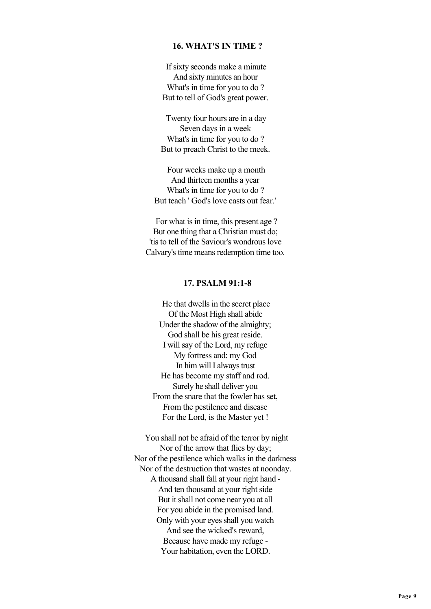## **16. WHAT'S IN TIME ?**

 If sixty seconds make a minute And sixty minutes an hour What's in time for you to do ? But to tell of God's great power.

 Twenty four hours are in a day Seven days in a week What's in time for you to do ? But to preach Christ to the meek.

 Four weeks make up a month And thirteen months a year What's in time for you to do ? But teach ' God's love casts out fear.'

 For what is in time, this present age ? But one thing that a Christian must do; 'tis to tell of the Saviour's wondrous love Calvary's time means redemption time too.

## **17. PSALM 91:1-8**

 He that dwells in the secret place Of the Most High shall abide Under the shadow of the almighty; God shall be his great reside. I will say of the Lord, my refuge My fortress and: my God In him will I always trust He has become my staff and rod. Surely he shall deliver you From the snare that the fowler has set, From the pestilence and disease For the Lord, is the Master yet !

 You shall not be afraid of the terror by night Nor of the arrow that flies by day; Nor of the pestilence which walks in the darkness Nor of the destruction that wastes at noonday. A thousand shall fall at your right hand - And ten thousand at your right side But it shall not come near you at all For you abide in the promised land. Only with your eyes shall you watch And see the wicked's reward, Because have made my refuge - Your habitation, even the LORD.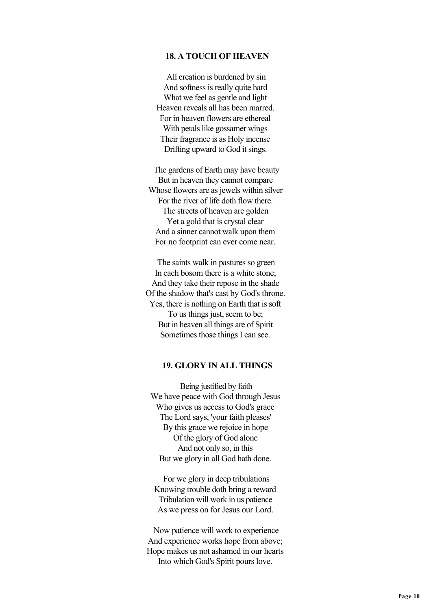## **18. A TOUCH OF HEAVEN**

 All creation is burdened by sin And softness is really quite hard What we feel as gentle and light Heaven reveals all has been marred. For in heaven flowers are ethereal With petals like gossamer wings Their fragrance is as Holy incense Drifting upward to God it sings.

 The gardens of Earth may have beauty But in heaven they cannot compare Whose flowers are as jewels within silver For the river of life doth flow there. The streets of heaven are golden Yet a gold that is crystal clear And a sinner cannot walk upon them For no footprint can ever come near.

 The saints walk in pastures so green In each bosom there is a white stone; And they take their repose in the shade Of the shadow that's cast by God's throne. Yes, there is nothing on Earth that is soft To us things just, seem to be; But in heaven all things are of Spirit Sometimes those things I can see.

#### **19. GLORY IN ALL THINGS**

 Being justified by faith We have peace with God through Jesus Who gives us access to God's grace The Lord says, 'your faith pleases' By this grace we rejoice in hope Of the glory of God alone And not only so, in this But we glory in all God hath done.

 For we glory in deep tribulations Knowing trouble doth bring a reward Tribulation will work in us patience As we press on for Jesus our Lord.

 Now patience will work to experience And experience works hope from above; Hope makes us not ashamed in our hearts Into which God's Spirit pours love.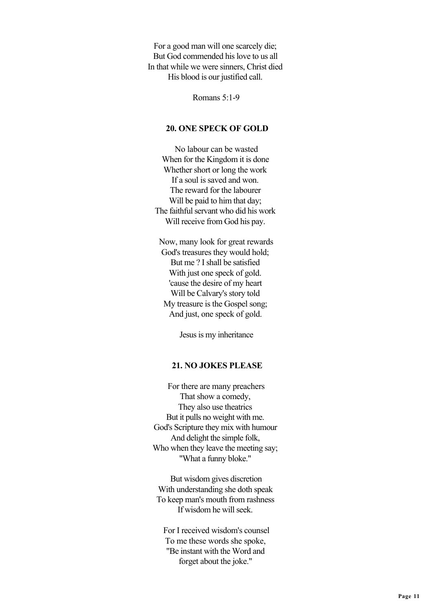For a good man will one scarcely die; But God commended his love to us all In that while we were sinners, Christ died His blood is our justified call.

Romans 5:1-9

### **20. ONE SPECK OF GOLD**

 No labour can be wasted When for the Kingdom it is done Whether short or long the work If a soul is saved and won. The reward for the labourer Will be paid to him that day; The faithful servant who did his work Will receive from God his pay.

 Now, many look for great rewards God's treasures they would hold; But me ? I shall be satisfied With just one speck of gold. 'cause the desire of my heart Will be Calvary's story told My treasure is the Gospel song; And just, one speck of gold.

Jesus is my inheritance

### **21. NO JOKES PLEASE**

 For there are many preachers That show a comedy, They also use theatrics But it pulls no weight with me. God's Scripture they mix with humour And delight the simple folk, Who when they leave the meeting say; "What a funny bloke."

 But wisdom gives discretion With understanding she doth speak To keep man's mouth from rashness If wisdom he will seek.

 For I received wisdom's counsel To me these words she spoke, "Be instant with the Word and forget about the joke."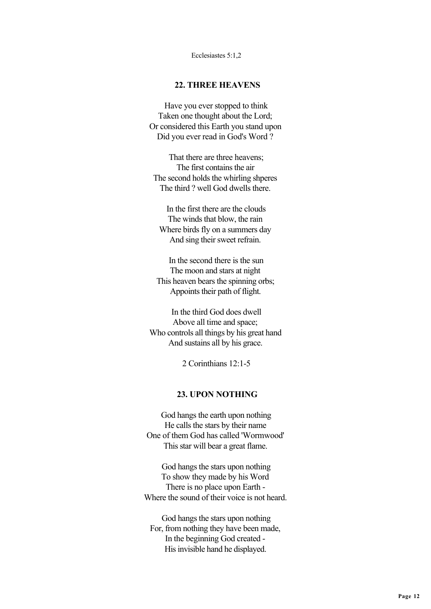Ecclesiastes 5:1,2

## **22. THREE HEAVENS**

 Have you ever stopped to think Taken one thought about the Lord; Or considered this Earth you stand upon Did you ever read in God's Word ?

 That there are three heavens; The first contains the air The second holds the whirling shperes The third ? well God dwells there.

 In the first there are the clouds The winds that blow, the rain Where birds fly on a summers day And sing their sweet refrain.

 In the second there is the sun The moon and stars at night This heaven bears the spinning orbs; Appoints their path of flight.

 In the third God does dwell Above all time and space; Who controls all things by his great hand And sustains all by his grace.

2 Corinthians 12:1-5

## **23. UPON NOTHING**

 God hangs the earth upon nothing He calls the stars by their name One of them God has called 'Wormwood' This star will bear a great flame.

 God hangs the stars upon nothing To show they made by his Word There is no place upon Earth - Where the sound of their voice is not heard.

 God hangs the stars upon nothing For, from nothing they have been made, In the beginning God created - His invisible hand he displayed.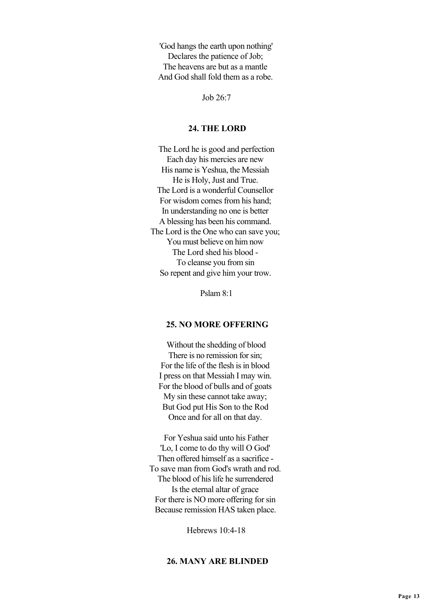'God hangs the earth upon nothing' Declares the patience of Job; The heavens are but as a mantle And God shall fold them as a robe.

Job  $26.7$ 

#### **24. THE LORD**

 The Lord he is good and perfection Each day his mercies are new His name is Yeshua, the Messiah He is Holy, Just and True. The Lord is a wonderful Counsellor For wisdom comes from his hand; In understanding no one is better A blessing has been his command. The Lord is the One who can save you; You must believe on him now The Lord shed his blood - To cleanse you from sin So repent and give him your trow.

Pslam 8:1

## **25. NO MORE OFFERING**

 Without the shedding of blood There is no remission for sin. For the life of the flesh is in blood I press on that Messiah I may win. For the blood of bulls and of goats My sin these cannot take away; But God put His Son to the Rod Once and for all on that day.

 For Yeshua said unto his Father 'Lo, I come to do thy will O God' Then offered himself as a sacrifice - To save man from God's wrath and rod. The blood of his life he surrendered Is the eternal altar of grace For there is NO more offering for sin Because remission HAS taken place.

Hebrews 10:4-18

## **26. MANY ARE BLINDED**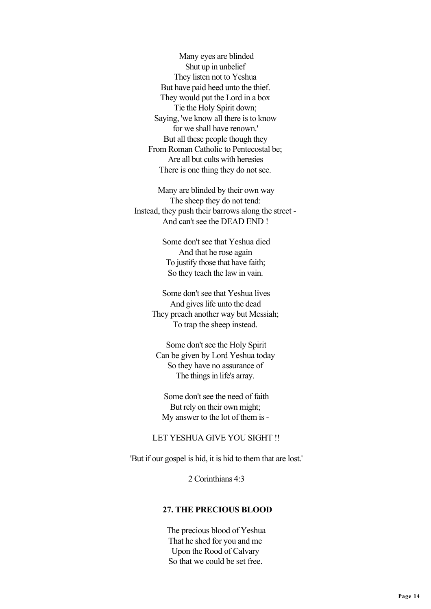Many eyes are blinded Shut up in unbelief They listen not to Yeshua But have paid heed unto the thief. They would put the Lord in a box Tie the Holy Spirit down; Saying, 'we know all there is to know for we shall have renown.' But all these people though they From Roman Catholic to Pentecostal be; Are all but cults with heresies There is one thing they do not see.

 Many are blinded by their own way The sheep they do not tend: Instead, they push their barrows along the street - And can't see the DEAD END !

> Some don't see that Yeshua died And that he rose again To justify those that have faith; So they teach the law in vain.

 Some don't see that Yeshua lives And gives life unto the dead They preach another way but Messiah; To trap the sheep instead.

 Some don't see the Holy Spirit Can be given by Lord Yeshua today So they have no assurance of The things in life's array.

 Some don't see the need of faith But rely on their own might; My answer to the lot of them is -

## LET YESHUA GIVE YOU SIGHT !!

'But if our gospel is hid, it is hid to them that are lost.'

2 Corinthians 4:3

## **27. THE PRECIOUS BLOOD**

 The precious blood of Yeshua That he shed for you and me Upon the Rood of Calvary So that we could be set free.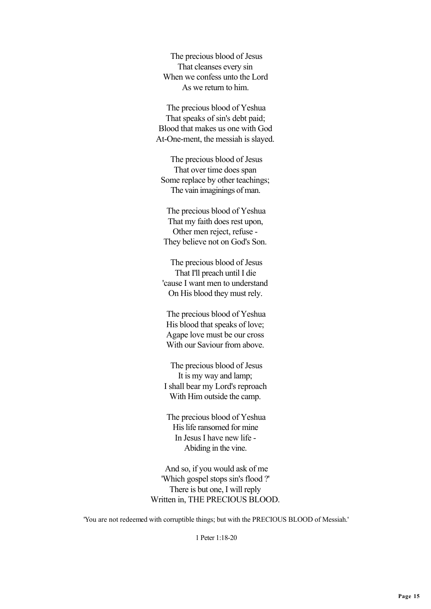The precious blood of Jesus That cleanses every sin When we confess unto the Lord As we return to him.

 The precious blood of Yeshua That speaks of sin's debt paid; Blood that makes us one with God At-One-ment, the messiah is slayed.

 The precious blood of Jesus That over time does span Some replace by other teachings; The vain imaginings of man.

 The precious blood of Yeshua That my faith does rest upon, Other men reject, refuse - They believe not on God's Son.

 The precious blood of Jesus That I'll preach until I die 'cause I want men to understand On His blood they must rely.

 The precious blood of Yeshua His blood that speaks of love; Agape love must be our cross With our Saviour from above.

 The precious blood of Jesus It is my way and lamp; I shall bear my Lord's reproach With Him outside the camp.

 The precious blood of Yeshua His life ransomed for mine In Jesus I have new life - Abiding in the vine.

 And so, if you would ask of me 'Which gospel stops sin's flood ?' There is but one, I will reply Written in, THE PRECIOUS BLOOD.

'You are not redeemed with corruptible things; but with the PRECIOUS BLOOD of Messiah.'

1 Peter 1:18-20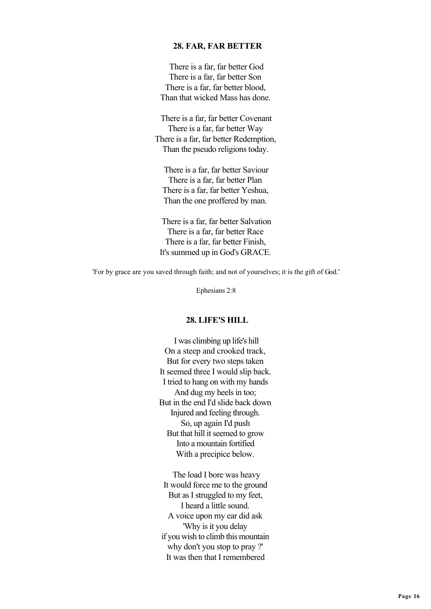#### **28. FAR, FAR BETTER**

 There is a far, far better God There is a far, far better Son There is a far, far better blood, Than that wicked Mass has done.

 There is a far, far better Covenant There is a far, far better Way There is a far, far better Redemption, Than the pseudo religions today.

 There is a far, far better Saviour There is a far, far better Plan There is a far, far better Yeshua, Than the one proffered by man.

 There is a far, far better Salvation There is a far, far better Race There is a far, far better Finish, It's summed up in God's GRACE.

'For by grace are you saved through faith; and not of yourselves; it is the gift of God.'

Ephesians 2:8

### **28. LIFE'S HILL**

 I was climbing up life's hill On a steep and crooked track, But for every two steps taken It seemed three I would slip back. I tried to hang on with my hands And dug my heels in too; But in the end I'd slide back down Injured and feeling through. So, up again I'd push But that hill it seemed to grow Into a mountain fortified With a precipice below.

 The load I bore was heavy It would force me to the ground But as I struggled to my feet, I heard a little sound. A voice upon my ear did ask 'Why is it you delay if you wish to climb this mountain why don't you stop to pray ?' It was then that I remembered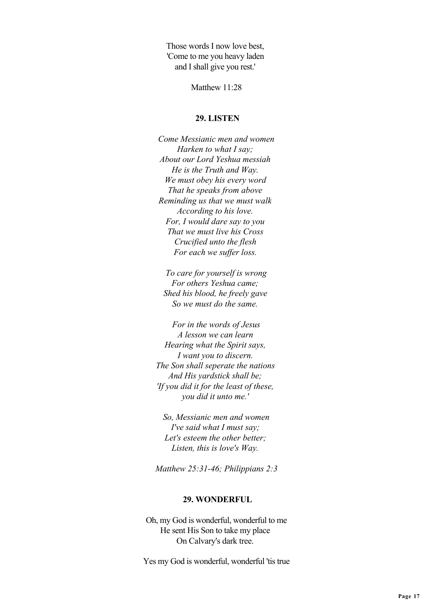Those words I now love best, 'Come to me you heavy laden and I shall give you rest.'

Matthew 11<sup>-28</sup>

## **29. LISTEN**

 *Come Messianic men and women Harken to what I say; About our Lord Yeshua messiah He is the Truth and Way. We must obey his every word That he speaks from above Reminding us that we must walk According to his love. For, I would dare say to you That we must live his Cross Crucified unto the flesh For each we suffer loss.*

 *To care for yourself is wrong For others Yeshua came; Shed his blood, he freely gave So we must do the same.*

 *For in the words of Jesus A lesson we can learn Hearing what the Spirit says, I want you to discern. The Son shall seperate the nations And His yardstick shall be; 'If you did it for the least of these, you did it unto me.'*

 *So, Messianic men and women I've said what I must say; Let's esteem the other better; Listen, this is love's Way.*

 *Matthew 25:31-46; Philippians 2:3*

### **29. WONDERFUL**

 Oh, my God is wonderful, wonderful to me He sent His Son to take my place On Calvary's dark tree.

Yes my God is wonderful, wonderful 'tis true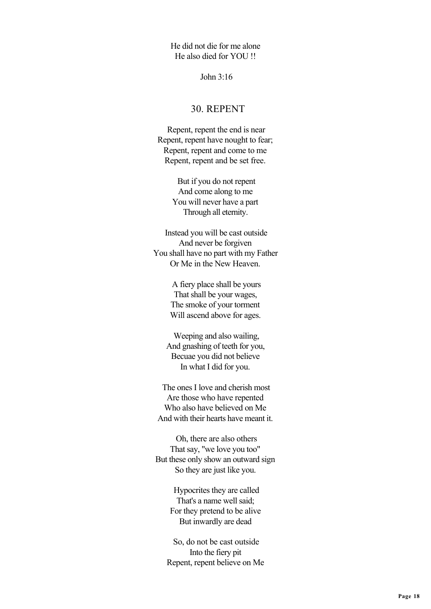He did not die for me alone He also died for YOU !!

John 3:16

# 30. REPENT

 Repent, repent the end is near Repent, repent have nought to fear; Repent, repent and come to me Repent, repent and be set free.

> But if you do not repent And come along to me You will never have a part Through all eternity.

 Instead you will be cast outside And never be forgiven You shall have no part with my Father Or Me in the New Heaven.

> A fiery place shall be yours That shall be your wages, The smoke of your torment Will ascend above for ages.

 Weeping and also wailing, And gnashing of teeth for you, Becuae you did not believe In what I did for you.

 The ones I love and cherish most Are those who have repented Who also have believed on Me And with their hearts have meant it.

 Oh, there are also others That say, "we love you too" But these only show an outward sign So they are just like you.

> Hypocrites they are called That's a name well said; For they pretend to be alive But inwardly are dead

 So, do not be cast outside Into the fiery pit Repent, repent believe on Me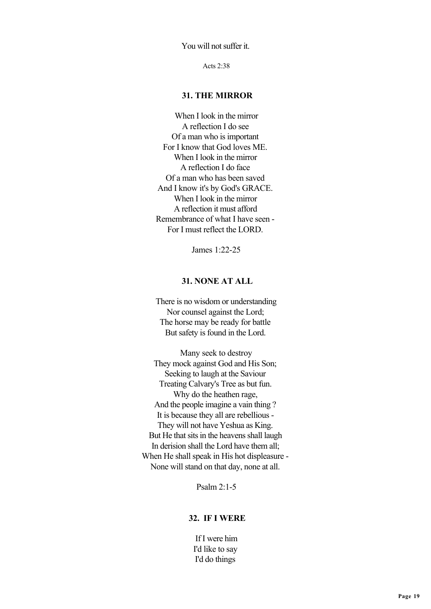You will not suffer it.

Acts 2:38

## **31. THE MIRROR**

 When I look in the mirror A reflection I do see Of a man who is important For I know that God loves ME. When I look in the mirror A reflection I do face Of a man who has been saved And I know it's by God's GRACE. When I look in the mirror A reflection it must afford Remembrance of what I have seen - For I must reflect the LORD.

James 1:22-25

## **31. NONE AT ALL**

 There is no wisdom or understanding Nor counsel against the Lord; The horse may be ready for battle But safety is found in the Lord.

 Many seek to destroy They mock against God and His Son; Seeking to laugh at the Saviour Treating Calvary's Tree as but fun. Why do the heathen rage, And the people imagine a vain thing ? It is because they all are rebellious - They will not have Yeshua as King. But He that sits in the heavens shall laugh In derision shall the Lord have them all; When He shall speak in His hot displeasure - None will stand on that day, none at all.

Psalm 2:1-5

## **32. IF I WERE**

 If I were him I'd like to say I'd do things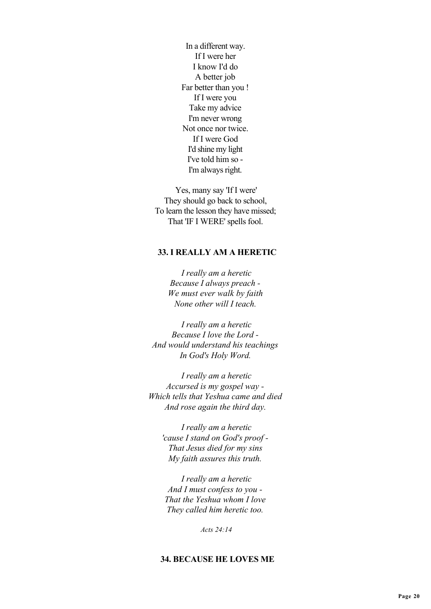In a different way. If I were her I know I'd do A better job Far better than you ! If I were you Take my advice I'm never wrong Not once nor twice. If I were God I'd shine my light I've told him so - I'm always right.

 Yes, many say 'If I were' They should go back to school, To learn the lesson they have missed; That 'IF I WERE' spells fool.

## **33. I REALLY AM A HERETIC**

 *I really am a heretic Because I always preach - We must ever walk by faith None other will I teach.*

 *I really am a heretic Because I love the Lord - And would understand his teachings In God's Holy Word.*

 *I really am a heretic Accursed is my gospel way - Which tells that Yeshua came and died And rose again the third day.*

 *I really am a heretic 'cause I stand on God's proof - That Jesus died for my sins My faith assures this truth.*

 *I really am a heretic And I must confess to you - That the Yeshua whom I love They called him heretic too.*

 *Acts 24:14*

## **34. BECAUSE HE LOVES ME**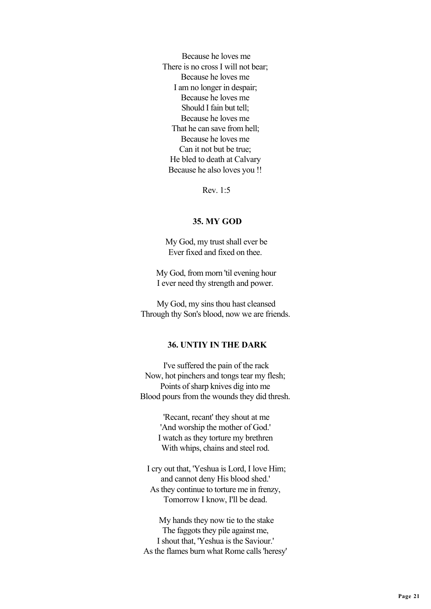Because he loves me There is no cross I will not bear; Because he loves me I am no longer in despair; Because he loves me Should I fain but tell: Because he loves me That he can save from hell; Because he loves me Can it not but be true; He bled to death at Calvary Because he also loves you !!

Rev. 1:5

#### **35. MY GOD**

 My God, my trust shall ever be Ever fixed and fixed on thee.

 My God, from morn 'til evening hour I ever need thy strength and power.

 My God, my sins thou hast cleansed Through thy Son's blood, now we are friends.

## **36. UNTIY IN THE DARK**

 I've suffered the pain of the rack Now, hot pinchers and tongs tear my flesh; Points of sharp knives dig into me Blood pours from the wounds they did thresh.

> 'Recant, recant' they shout at me 'And worship the mother of God.' I watch as they torture my brethren With whips, chains and steel rod.

 I cry out that, 'Yeshua is Lord, I love Him; and cannot deny His blood shed.' As they continue to torture me in frenzy, Tomorrow I know, I'll be dead.

 My hands they now tie to the stake The faggots they pile against me, I shout that, 'Yeshua is the Saviour.' As the flames burn what Rome calls 'heresy'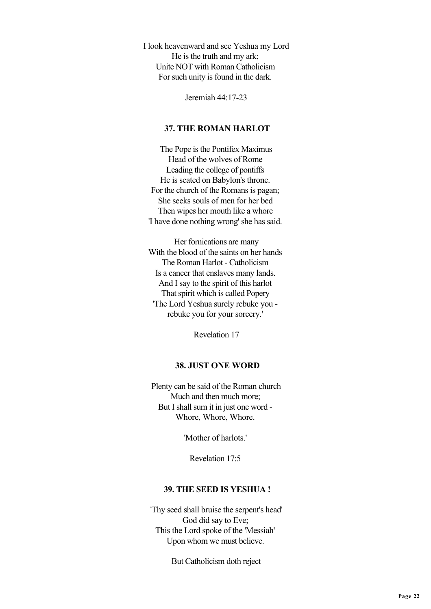I look heavenward and see Yeshua my Lord He is the truth and my ark; Unite NOT with Roman Catholicism For such unity is found in the dark.

Jeremiah 44:17-23

## **37. THE ROMAN HARLOT**

 The Pope is the Pontifex Maximus Head of the wolves of Rome Leading the college of pontiffs He is seated on Babylon's throne. For the church of the Romans is pagan; She seeks souls of men for her bed Then wipes her mouth like a whore 'I have done nothing wrong' she has said.

 Her fornications are many With the blood of the saints on her hands The Roman Harlot - Catholicism Is a cancer that enslaves many lands. And I say to the spirit of this harlot That spirit which is called Popery 'The Lord Yeshua surely rebuke you rebuke you for your sorcery.'

Revelation 17

## **38. JUST ONE WORD**

 Plenty can be said of the Roman church Much and then much more; But I shall sum it in just one word - Whore, Whore, Whore.

'Mother of harlots.'

Revelation 17:5

#### **39. THE SEED IS YESHUA !**

 'Thy seed shall bruise the serpent's head' God did say to Eve; This the Lord spoke of the 'Messiah' Upon whom we must believe.

But Catholicism doth reject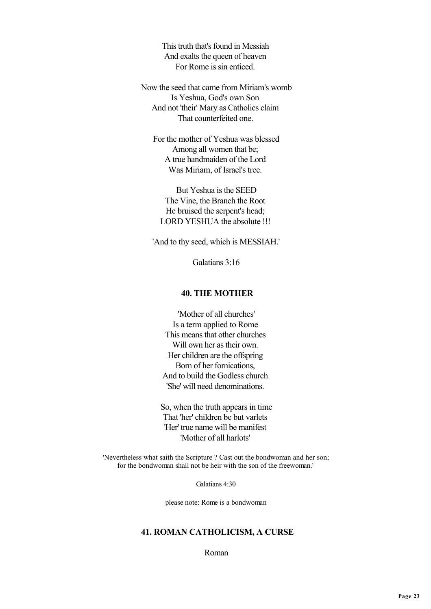This truth that's found in Messiah And exalts the queen of heaven For Rome is sin enticed.

 Now the seed that came from Miriam's womb Is Yeshua, God's own Son And not 'their' Mary as Catholics claim That counterfeited one.

 For the mother of Yeshua was blessed Among all women that be; A true handmaiden of the Lord Was Miriam, of Israel's tree.

 But Yeshua is the SEED The Vine, the Branch the Root He bruised the serpent's head; LORD YESHUA the absolute !!!

'And to thy seed, which is MESSIAH.'

Galatians 3:16

## **40. THE MOTHER**

 'Mother of all churches' Is a term applied to Rome This means that other churches Will own her as their own. Her children are the offspring Born of her fornications, And to build the Godless church 'She' will need denominations.

 So, when the truth appears in time That 'her' children be but varlets 'Her' true name will be manifest 'Mother of all harlots'

 'Nevertheless what saith the Scripture ? Cast out the bondwoman and her son; for the bondwoman shall not be heir with the son of the freewoman.'

Galatians 4:30

please note: Rome is a bondwoman

## **41. ROMAN CATHOLICISM, A CURSE**

Roman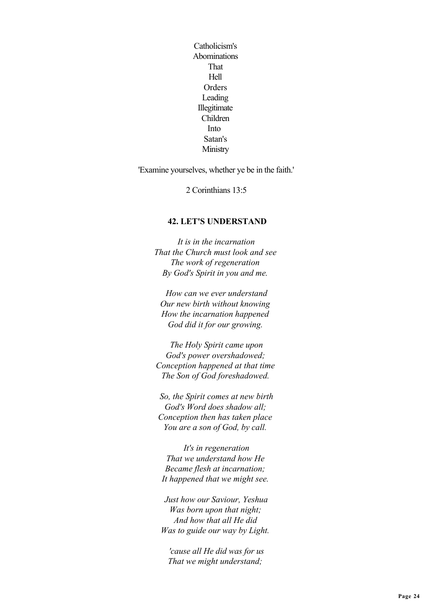Catholicism's Abominations That Hell **Orders** Leading Illegitimate Children Into Satan's **Ministry** 

'Examine yourselves, whether ye be in the faith.'

2 Corinthians 13:5

## **42. LET'S UNDERSTAND**

 *It is in the incarnation That the Church must look and see The work of regeneration By God's Spirit in you and me.*

 *How can we ever understand Our new birth without knowing How the incarnation happened God did it for our growing.*

 *The Holy Spirit came upon God's power overshadowed; Conception happened at that time The Son of God foreshadowed.*

 *So, the Spirit comes at new birth God's Word does shadow all; Conception then has taken place You are a son of God, by call.*

 *It's in regeneration That we understand how He Became flesh at incarnation; It happened that we might see.*

 *Just how our Saviour, Yeshua Was born upon that night; And how that all He did Was to guide our way by Light.*

 *'cause all He did was for us That we might understand;*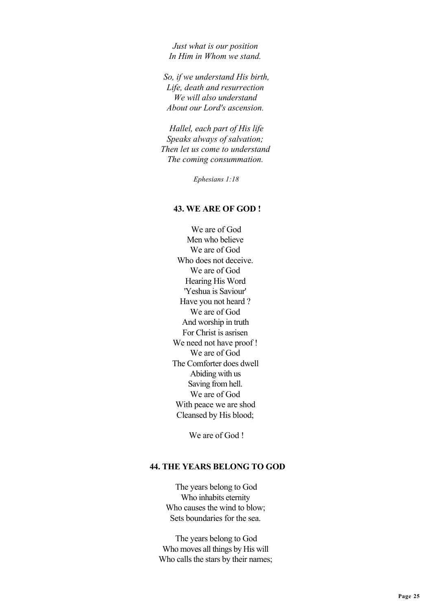*Just what is our position In Him in Whom we stand.*

 *So, if we understand His birth, Life, death and resurrection We will also understand About our Lord's ascension.*

 *Hallel, each part of His life Speaks always of salvation; Then let us come to understand The coming consummation.*

 *Ephesians 1:18*

#### **43. WE ARE OF GOD !**

 We are of God Men who believe We are of God Who does not deceive. We are of God Hearing His Word 'Yeshua is Saviour' Have you not heard ? We are of God And worship in truth For Christ is asrisen We need not have proof! We are of God The Comforter does dwell Abiding with us Saving from hell. We are of God With peace we are shod Cleansed by His blood;

We are of God !

## **44. THE YEARS BELONG TO GOD**

 The years belong to God Who inhabits eternity Who causes the wind to blow; Sets boundaries for the sea.

 The years belong to God Who moves all things by His will Who calls the stars by their names;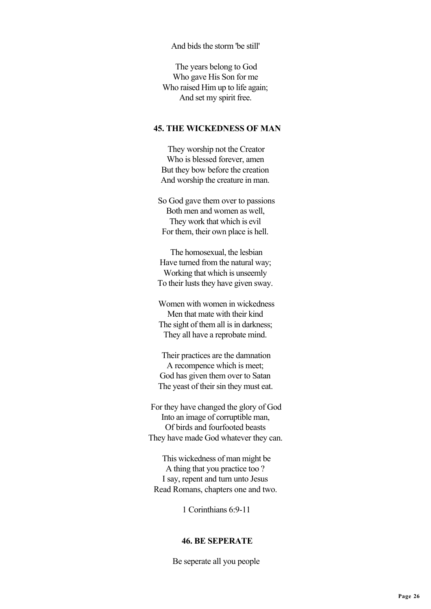And bids the storm 'be still'

 The years belong to God Who gave His Son for me Who raised Him up to life again; And set my spirit free.

### **45. THE WICKEDNESS OF MAN**

 They worship not the Creator Who is blessed forever, amen But they bow before the creation And worship the creature in man.

 So God gave them over to passions Both men and women as well, They work that which is evil For them, their own place is hell.

 The homosexual, the lesbian Have turned from the natural way; Working that which is unseemly To their lusts they have given sway.

 Women with women in wickedness Men that mate with their kind The sight of them all is in darkness; They all have a reprobate mind.

 Their practices are the damnation A recompence which is meet; God has given them over to Satan The yeast of their sin they must eat.

 For they have changed the glory of God Into an image of corruptible man, Of birds and fourfooted beasts They have made God whatever they can.

 This wickedness of man might be A thing that you practice too ? I say, repent and turn unto Jesus Read Romans, chapters one and two.

1 Corinthians 6:9-11

### **46. BE SEPERATE**

Be seperate all you people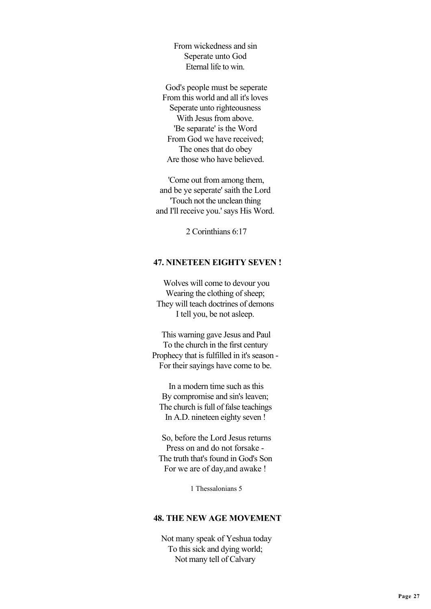From wickedness and sin Seperate unto God Eternal life to win.

 God's people must be seperate From this world and all it's loves Seperate unto righteousness With Jesus from above. 'Be separate' is the Word From God we have received; The ones that do obey Are those who have believed.

 'Come out from among them, and be ye seperate' saith the Lord 'Touch not the unclean thing and I'll receive you.' says His Word.

2 Corinthians 6:17

### **47. NINETEEN EIGHTY SEVEN !**

 Wolves will come to devour you Wearing the clothing of sheep; They will teach doctrines of demons I tell you, be not asleep.

 This warning gave Jesus and Paul To the church in the first century Prophecy that is fulfilled in it's season - For their sayings have come to be.

 In a modern time such as this By compromise and sin's leaven; The church is full of false teachings In A.D. nineteen eighty seven !

 So, before the Lord Jesus returns Press on and do not forsake - The truth that's found in God's Son For we are of day,and awake !

1 Thessalonians 5

## **48. THE NEW AGE MOVEMENT**

 Not many speak of Yeshua today To this sick and dying world; Not many tell of Calvary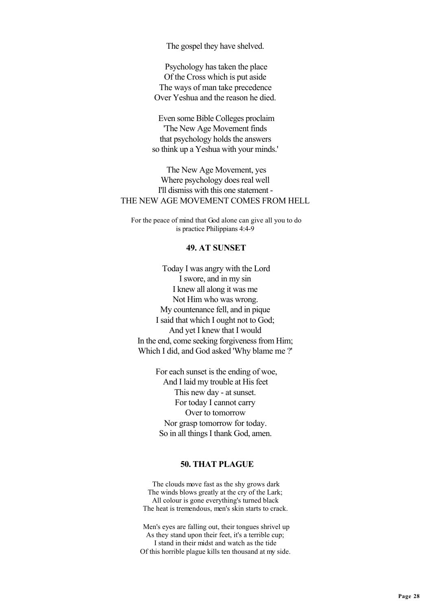The gospel they have shelved.

 Psychology has taken the place Of the Cross which is put aside The ways of man take precedence Over Yeshua and the reason he died.

 Even some Bible Colleges proclaim 'The New Age Movement finds that psychology holds the answers so think up a Yeshua with your minds.'

 The New Age Movement, yes Where psychology does real well I'll dismiss with this one statement - THE NEW AGE MOVEMENT COMES FROM HELL

 For the peace of mind that God alone can give all you to do is practice Philippians 4:4-9

#### **49. AT SUNSET**

 Today I was angry with the Lord I swore, and in my sin I knew all along it was me Not Him who was wrong. My countenance fell, and in pique I said that which I ought not to God; And yet I knew that I would In the end, come seeking forgiveness from Him; Which I did, and God asked 'Why blame me ?'

> For each sunset is the ending of woe, And I laid my trouble at His feet This new day - at sunset. For today I cannot carry Over to tomorrow Nor grasp tomorrow for today. So in all things I thank God, amen.

## **50. THAT PLAGUE**

 The clouds move fast as the shy grows dark The winds blows greatly at the cry of the Lark; All colour is gone everything's turned black The heat is tremendous, men's skin starts to crack.

 Men's eyes are falling out, their tongues shrivel up As they stand upon their feet, it's a terrible cup; I stand in their midst and watch as the tide Of this horrible plague kills ten thousand at my side.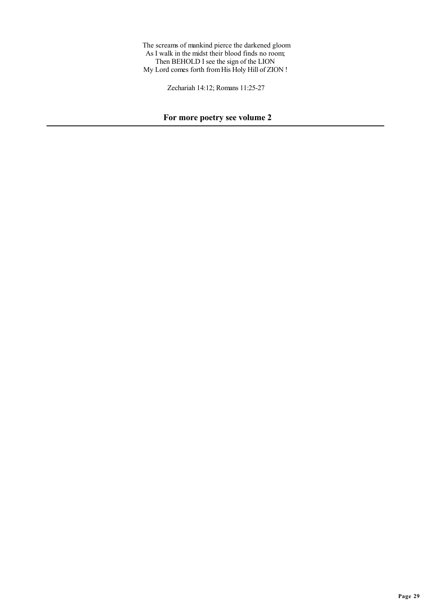The screams of mankind pierce the darkened gloom As I walk in the midst their blood finds no room; Then BEHOLD I see the sign of the LION My Lord comes forth from His Holy Hill of ZION !

Zechariah 14:12; Romans 11:25-27

# **For more poetry see volume 2**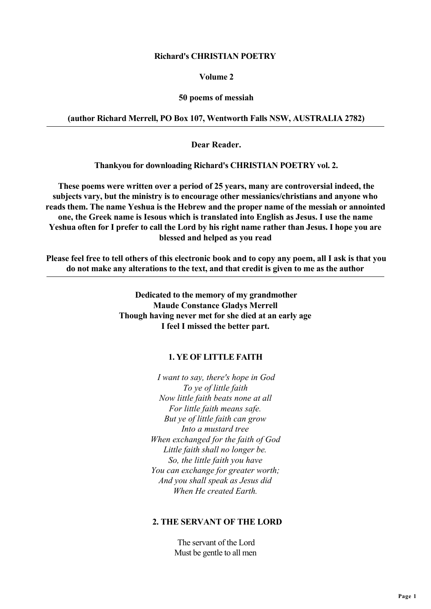## **Richard's CHRISTIAN POETRY**

## **Volume 2**

### **50 poems of messiah**

## **(author Richard Merrell, PO Box 107, Wentworth Falls NSW, AUSTRALIA 2782)**

 **Dear Reader.**

 **Thankyou for downloading Richard's CHRISTIAN POETRY vol. 2.**

 **These poems were written over a period of 25 years, many are controversial indeed, the subjects vary, but the ministry is to encourage other messianics/christians and anyone who reads them. The name Yeshua is the Hebrew and the proper name of the messiah or annointed one, the Greek name is Iesous which is translated into English as Jesus. I use the name Yeshua often for I prefer to call the Lord by his right name rather than Jesus. I hope you are blessed and helped as you read**

 **Please feel free to tell others of this electronic book and to copy any poem, all I ask is that you do not make any alterations to the text, and that credit is given to me as the author**

> **Dedicated to the memory of my grandmother Maude Constance Gladys Merrell Though having never met for she died at an early age I feel I missed the better part.**

## **1. YE OF LITTLE FAITH**

 *I want to say, there's hope in God To ye of little faith Now little faith beats none at all For little faith means safe. But ye of little faith can grow Into a mustard tree When exchanged for the faith of God Little faith shall no longer be. So, the little faith you have You can exchange for greater worth; And you shall speak as Jesus did When He created Earth.*

## **2. THE SERVANT OF THE LORD**

 The servant of the Lord Must be gentle to all men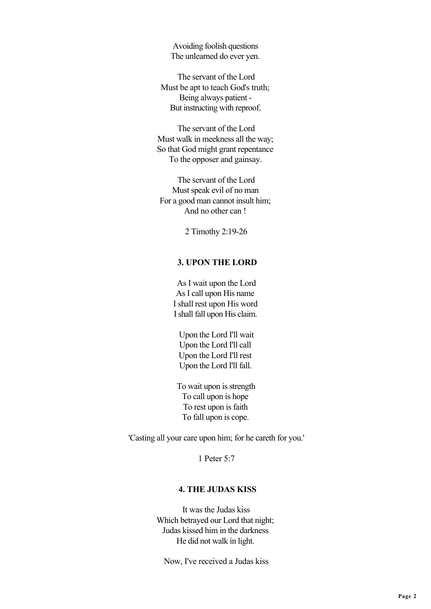Avoiding foolish questions The unlearned do ever yen.

 The servant of the Lord Must be apt to teach God's truth; Being always patient - But instructing with reproof.

 The servant of the Lord Must walk in meekness all the way; So that God might grant repentance To the opposer and gainsay.

 The servant of the Lord Must speak evil of no man For a good man cannot insult him; And no other can !

2 Timothy 2:19-26

## **3. UPON THE LORD**

 As I wait upon the Lord As I call upon His name I shall rest upon His word I shall fall upon His claim.

 Upon the Lord I'll wait Upon the Lord I'll call Upon the Lord I'll rest Upon the Lord I'll fall.

 To wait upon is strength To call upon is hope To rest upon is faith To fall upon is cope.

'Casting all your care upon him; for he careth for you.'

1 Peter 5:7

## **4. THE JUDAS KISS**

 It was the Judas kiss Which betrayed our Lord that night; Judas kissed him in the darkness He did not walk in light.

Now, I've received a Judas kiss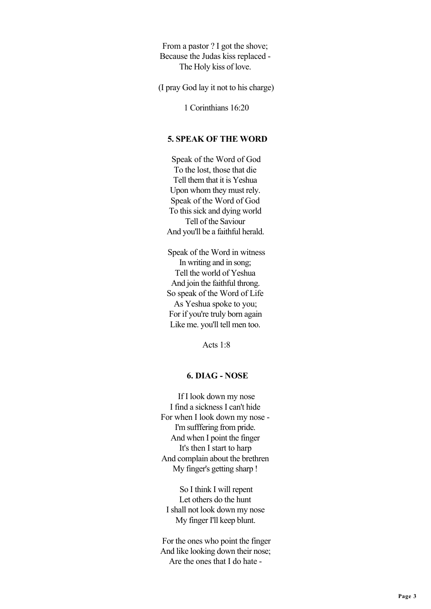From a pastor ? I got the shove; Because the Judas kiss replaced - The Holy kiss of love.

(I pray God lay it not to his charge)

1 Corinthians 16:20

## **5. SPEAK OF THE WORD**

 Speak of the Word of God To the lost, those that die Tell them that it is Yeshua Upon whom they must rely. Speak of the Word of God To this sick and dying world Tell of the Saviour And you'll be a faithful herald.

 Speak of the Word in witness In writing and in song; Tell the world of Yeshua And join the faithful throng. So speak of the Word of Life As Yeshua spoke to you; For if you're truly born again Like me. you'll tell men too.

Acts  $1.8$ 

## **6. DIAG - NOSE**

 If I look down my nose I find a sickness I can't hide For when I look down my nose - I'm sufffering from pride. And when I point the finger It's then I start to harp And complain about the brethren My finger's getting sharp !

 So I think I will repent Let others do the hunt I shall not look down my nose My finger I'll keep blunt.

 For the ones who point the finger And like looking down their nose; Are the ones that I do hate -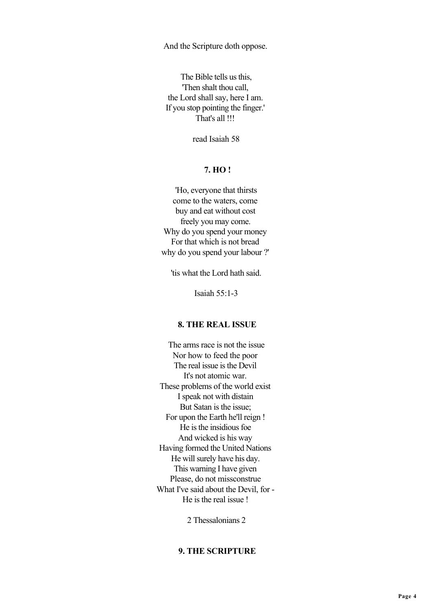And the Scripture doth oppose.

 The Bible tells us this, 'Then shalt thou call, the Lord shall say, here I am. If you stop pointing the finger.' That's all !!!

read Isaiah 58

## **7. HO !**

 'Ho, everyone that thirsts come to the waters, come buy and eat without cost freely you may come. Why do you spend your money For that which is not bread why do you spend your labour ?'

'tis what the Lord hath said.

Isaiah 55:1-3

## **8. THE REAL ISSUE**

 The arms race is not the issue Nor how to feed the poor The real issue is the Devil It's not atomic war. These problems of the world exist I speak not with distain But Satan is the issue; For upon the Earth he'll reign ! He is the insidious foe And wicked is his way Having formed the United Nations He will surely have his day. This warning I have given Please, do not missconstrue What I've said about the Devil, for - He is the real issue !

2 Thessalonians 2

## **9. THE SCRIPTURE**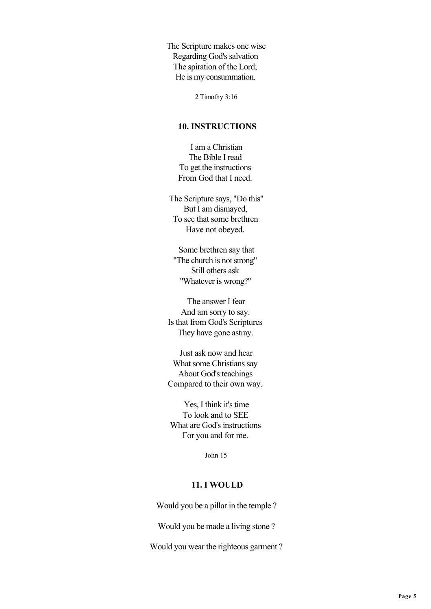The Scripture makes one wise Regarding God's salvation The spiration of the Lord; He is my consummation.

2 Timothy 3:16

### **10. INSTRUCTIONS**

 I am a Christian The Bible I read To get the instructions From God that I need.

 The Scripture says, "Do this" But I am dismayed, To see that some brethren Have not obeyed.

 Some brethren say that "The church is not strong" Still others ask "Whatever is wrong?"

 The answer I fear And am sorry to say. Is that from God's Scriptures They have gone astray.

 Just ask now and hear What some Christians say About God's teachings Compared to their own way.

 Yes, I think it's time To look and to SEE What are God's instructions For you and for me.

John 15

#### **11. I WOULD**

Would you be a pillar in the temple ?

Would you be made a living stone ?

Would you wear the righteous garment ?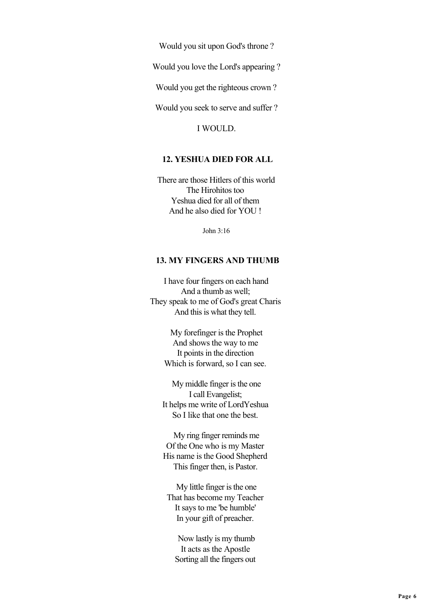Would you sit upon God's throne ?

Would you love the Lord's appearing ?

Would you get the righteous crown ?

Would you seek to serve and suffer ?

I WOULD.

#### **12. YESHUA DIED FOR ALL**

 There are those Hitlers of this world The Hirohitos too Yeshua died for all of them And he also died for YOU !

John 3:16

## **13. MY FINGERS AND THUMB**

 I have four fingers on each hand And a thumb as well; They speak to me of God's great Charis And this is what they tell.

> My forefinger is the Prophet And shows the way to me It points in the direction Which is forward, so I can see.

 My middle finger is the one I call Evangelist; It helps me write of LordYeshua So I like that one the best.

 My ring finger reminds me Of the One who is my Master His name is the Good Shepherd This finger then, is Pastor.

 My little finger is the one That has become my Teacher It says to me 'be humble' In your gift of preacher.

 Now lastly is my thumb It acts as the Apostle Sorting all the fingers out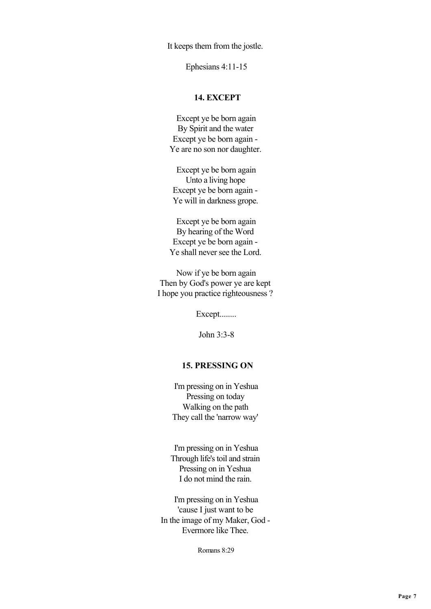It keeps them from the jostle.

Ephesians 4:11-15

## **14. EXCEPT**

 Except ye be born again By Spirit and the water Except ye be born again - Ye are no son nor daughter.

 Except ye be born again Unto a living hope Except ye be born again - Ye will in darkness grope.

 Except ye be born again By hearing of the Word Except ye be born again - Ye shall never see the Lord.

 Now if ye be born again Then by God's power ye are kept I hope you practice righteousness ?

Except........

John 3:3-8

### **15. PRESSING ON**

 I'm pressing on in Yeshua Pressing on today Walking on the path They call the 'narrow way'

 I'm pressing on in Yeshua Through life's toil and strain Pressing on in Yeshua I do not mind the rain.

 I'm pressing on in Yeshua 'cause I just want to be In the image of my Maker, God - Evermore like Thee.

Romans 8:29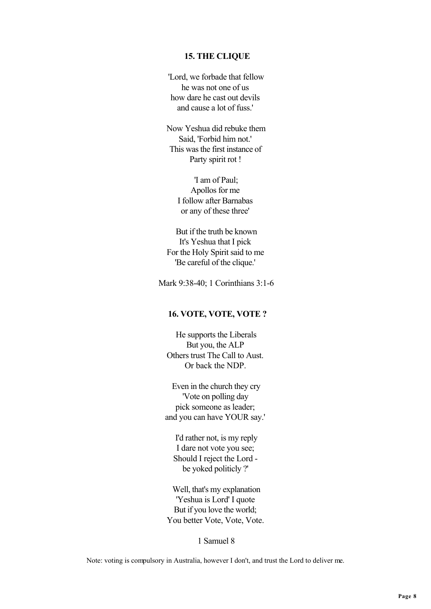#### **15. THE CLIQUE**

 'Lord, we forbade that fellow he was not one of us how dare he cast out devils and cause a lot of fuss.'

 Now Yeshua did rebuke them Said, 'Forbid him not.' This was the first instance of Party spirit rot !

> 'I am of Paul; Apollos for me I follow after Barnabas or any of these three'

 But if the truth be known It's Yeshua that I pick For the Holy Spirit said to me 'Be careful of the clique.'

Mark 9:38-40; 1 Corinthians 3:1-6

#### **16. VOTE, VOTE, VOTE ?**

 He supports the Liberals But you, the ALP Others trust The Call to Aust. Or back the NDP.

 Even in the church they cry 'Vote on polling day pick someone as leader; and you can have YOUR say.'

 I'd rather not, is my reply I dare not vote you see; Should I reject the Lord be yoked politicly ?'

 Well, that's my explanation 'Yeshua is Lord' I quote But if you love the world; You better Vote, Vote, Vote.

1 Samuel 8

Note: voting is compulsory in Australia, however I don't, and trust the Lord to deliver me.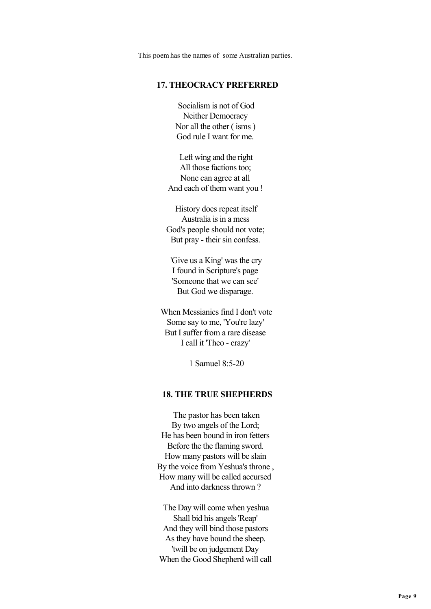This poem has the names of some Australian parties.

## **17. THEOCRACY PREFERRED**

 Socialism is not of God Neither Democracy Nor all the other ( isms ) God rule I want for me.

 Left wing and the right All those factions too; None can agree at all And each of them want you !

 History does repeat itself Australia is in a mess God's people should not vote; But pray - their sin confess.

 'Give us a King' was the cry I found in Scripture's page 'Someone that we can see' But God we disparage.

 When Messianics find I don't vote Some say to me, 'You're lazy' But I suffer from a rare disease I call it 'Theo - crazy'

1 Samuel 8:5-20

### **18. THE TRUE SHEPHERDS**

 The pastor has been taken By two angels of the Lord; He has been bound in iron fetters Before the the flaming sword. How many pastors will be slain By the voice from Yeshua's throne , How many will be called accursed And into darkness thrown ?

 The Day will come when yeshua Shall bid his angels 'Reap' And they will bind those pastors As they have bound the sheep. 'twill be on judgement Day When the Good Shepherd will call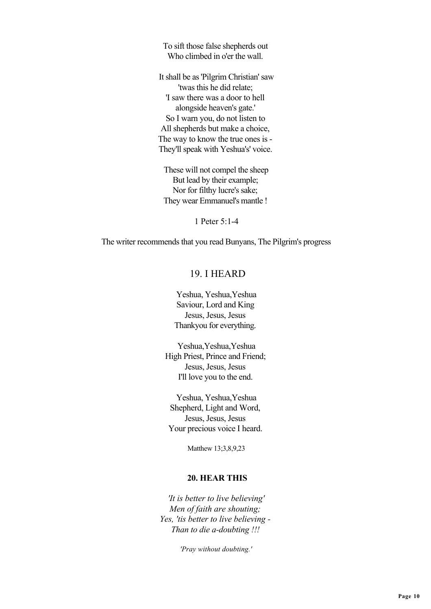To sift those false shepherds out Who climbed in o'er the wall.

 It shall be as 'Pilgrim Christian' saw 'twas this he did relate; 'I saw there was a door to hell alongside heaven's gate.' So I warn you, do not listen to All shepherds but make a choice, The way to know the true ones is - They'll speak with Yeshua's' voice.

 These will not compel the sheep But lead by their example; Nor for filthy lucre's sake; They wear Emmanuel's mantle !

1 Peter 5:1-4

The writer recommends that you read Bunyans, The Pilgrim's progress

# 19. I HEARD

 Yeshua, Yeshua,Yeshua Saviour, Lord and King Jesus, Jesus, Jesus Thankyou for everything.

 Yeshua,Yeshua,Yeshua High Priest, Prince and Friend; Jesus, Jesus, Jesus I'll love you to the end.

 Yeshua, Yeshua,Yeshua Shepherd, Light and Word, Jesus, Jesus, Jesus Your precious voice I heard.

Matthew 13;3,8,9,23

### **20. HEAR THIS**

 *'It is better to live believing' Men of faith are shouting; Yes, 'tis better to live believing - Than to die a-doubting !!!*

 *'Pray without doubting.'*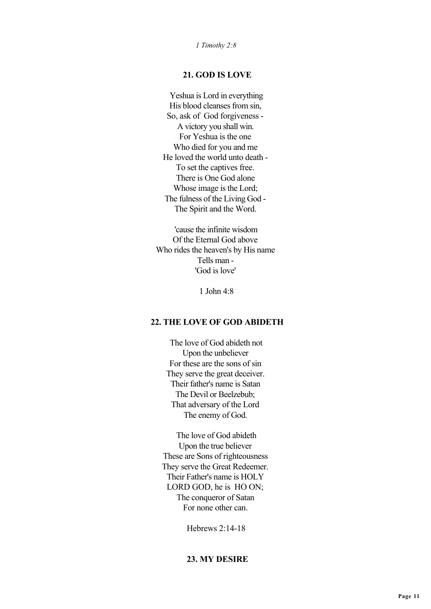*1 Timothy 2:8*

## **21. GOD IS LOVE**

 Yeshua is Lord in everything His blood cleanses from sin, So, ask of God forgiveness - A victory you shall win. For Yeshua is the one Who died for you and me He loved the world unto death - To set the captives free. There is One God alone Whose image is the Lord; The fulness of the Living God - The Spirit and the Word.

 'cause the infinite wisdom Of the Eternal God above Who rides the heaven's by His name Tells man - 'God is love'

1 John  $4.8$ 

## **22. THE LOVE OF GOD ABIDETH**

 The love of God abideth not Upon the unbeliever For these are the sons of sin They serve the great deceiver. Their father's name is Satan The Devil or Beelzebub; That adversary of the Lord The enemy of God.

 The love of God abideth Upon the true believer These are Sons of righteousness They serve the Great Redeemer. Their Father's name is HOLY LORD GOD, he is HO ON; The conqueror of Satan For none other can.

Hebrews 2:14-18

## **23. MY DESIRE**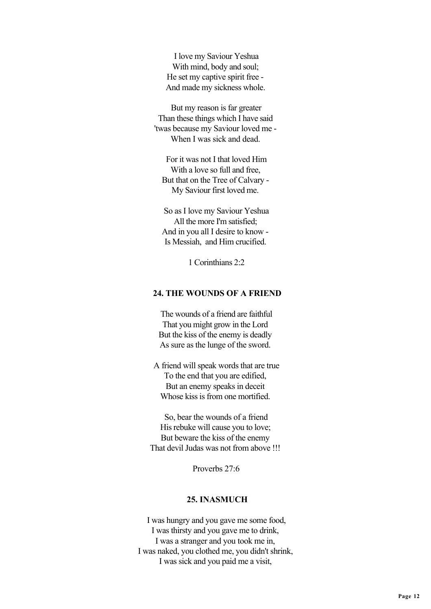I love my Saviour Yeshua With mind, body and soul; He set my captive spirit free - And made my sickness whole.

 But my reason is far greater Than these things which I have said 'twas because my Saviour loved me - When I was sick and dead.

 For it was not I that loved Him With a love so full and free, But that on the Tree of Calvary - My Saviour first loved me.

 So as I love my Saviour Yeshua All the more I'm satisfied; And in you all I desire to know - Is Messiah, and Him crucified.

1 Corinthians 2:2

### **24. THE WOUNDS OF A FRIEND**

 The wounds of a friend are faithful That you might grow in the Lord But the kiss of the enemy is deadly As sure as the lunge of the sword.

 A friend will speak words that are true To the end that you are edified, But an enemy speaks in deceit Whose kiss is from one mortified.

 So, bear the wounds of a friend His rebuke will cause you to love; But beware the kiss of the enemy That devil Judas was not from above !!!

Proverbs 27:6

## **25. INASMUCH**

 I was hungry and you gave me some food, I was thirsty and you gave me to drink, I was a stranger and you took me in, I was naked, you clothed me, you didn't shrink, I was sick and you paid me a visit,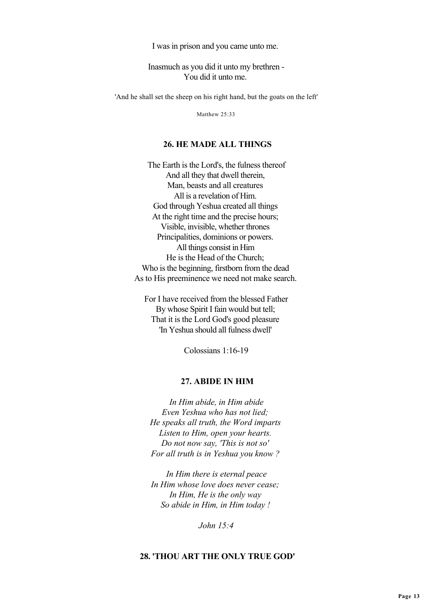I was in prison and you came unto me.

 Inasmuch as you did it unto my brethren - You did it unto me.

'And he shall set the sheep on his right hand, but the goats on the left'

Matthew 25:33

#### **26. HE MADE ALL THINGS**

 The Earth is the Lord's, the fulness thereof And all they that dwell therein, Man, beasts and all creatures All is a revelation of Him. God through Yeshua created all things At the right time and the precise hours; Visible, invisible, whether thrones Principalities, dominions or powers. All things consist in Him He is the Head of the Church; Who is the beginning, firstborn from the dead As to His preeminence we need not make search.

 For I have received from the blessed Father By whose Spirit I fain would but tell; That it is the Lord God's good pleasure 'In Yeshua should all fulness dwell'

Colossians 1:16-19

#### **27. ABIDE IN HIM**

 *In Him abide, in Him abide Even Yeshua who has not lied; He speaks all truth, the Word imparts Listen to Him, open your hearts. Do not now say, 'This is not so' For all truth is in Yeshua you know ?*

 *In Him there is eternal peace In Him whose love does never cease; In Him, He is the only way So abide in Him, in Him today !*

 *John 15:4*

## **28. 'THOU ART THE ONLY TRUE GOD'**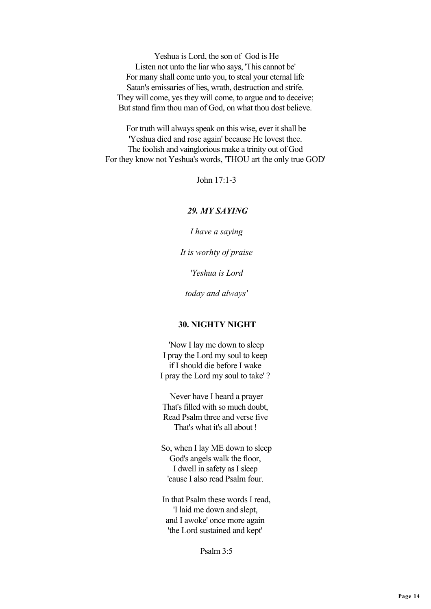Yeshua is Lord, the son of God is He Listen not unto the liar who says, 'This cannot be' For many shall come unto you, to steal your eternal life Satan's emissaries of lies, wrath, destruction and strife. They will come, yes they will come, to argue and to deceive; But stand firm thou man of God, on what thou dost believe.

 For truth will always speak on this wise, ever it shall be 'Yeshua died and rose again' because He lovest thee. The foolish and vainglorious make a trinity out of God For they know not Yeshua's words, 'THOU art the only true GOD'

John 17:1-3

### *29. MY SAYING*

 *I have a saying*

 *It is worhty of praise*

 *'Yeshua is Lord*

 *today and always'*

## **30. NIGHTY NIGHT**

 'Now I lay me down to sleep I pray the Lord my soul to keep if I should die before I wake I pray the Lord my soul to take' ?

 Never have I heard a prayer That's filled with so much doubt, Read Psalm three and verse five That's what it's all about !

 So, when I lay ME down to sleep God's angels walk the floor, I dwell in safety as I sleep 'cause I also read Psalm four.

 In that Psalm these words I read, 'I laid me down and slept, and I awoke' once more again 'the Lord sustained and kept'

Psalm 3:5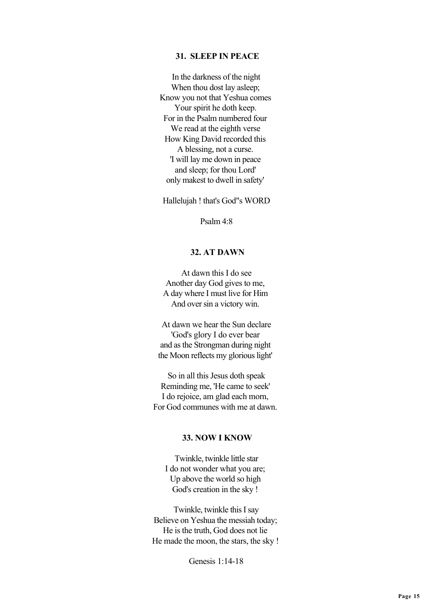## **31. SLEEP IN PEACE**

 In the darkness of the night When thou dost lay asleep; Know you not that Yeshua comes Your spirit he doth keep. For in the Psalm numbered four We read at the eighth verse How King David recorded this A blessing, not a curse. 'I will lay me down in peace and sleep; for thou Lord' only makest to dwell in safety'

Hallelujah ! that's God"s WORD

Psalm 4:8

### **32. AT DAWN**

 At dawn this I do see Another day God gives to me, A day where I must live for Him And over sin a victory win.

 At dawn we hear the Sun declare 'God's glory I do ever bear and as the Strongman during night the Moon reflects my glorious light'

 So in all this Jesus doth speak Reminding me, 'He came to seek' I do rejoice, am glad each morn, For God communes with me at dawn.

### **33. NOW I KNOW**

 Twinkle, twinkle little star I do not wonder what you are; Up above the world so high God's creation in the sky !

 Twinkle, twinkle this I say Believe on Yeshua the messiah today; He is the truth, God does not lie He made the moon, the stars, the sky !

Genesis 1:14-18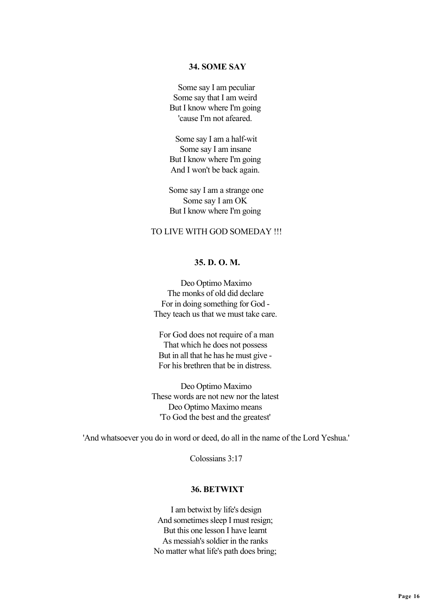### **34. SOME SAY**

 Some say I am peculiar Some say that I am weird But I know where I'm going 'cause I'm not afeared.

 Some say I am a half-wit Some say I am insane But I know where I'm going And I won't be back again.

 Some say I am a strange one Some say I am OK But I know where I'm going

### TO LIVE WITH GOD SOMEDAY !!!

### **35. D. O. M.**

 Deo Optimo Maximo The monks of old did declare For in doing something for God - They teach us that we must take care.

 For God does not require of a man That which he does not possess But in all that he has he must give - For his brethren that be in distress.

 Deo Optimo Maximo These words are not new nor the latest Deo Optimo Maximo means 'To God the best and the greatest'

'And whatsoever you do in word or deed, do all in the name of the Lord Yeshua.'

Colossians 3:17

#### **36. BETWIXT**

 I am betwixt by life's design And sometimes sleep I must resign; But this one lesson I have learnt As messiah's soldier in the ranks No matter what life's path does bring;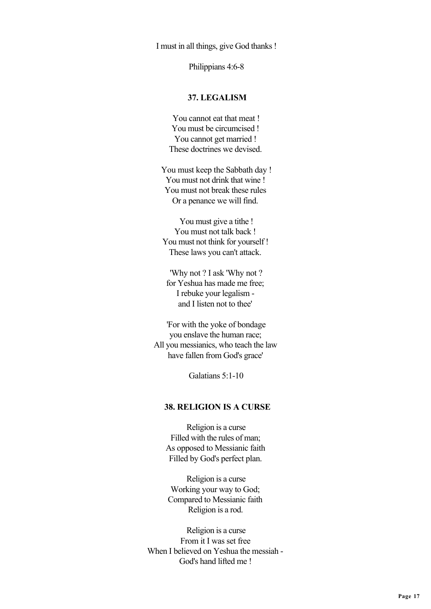I must in all things, give God thanks !

Philippians 4:6-8

### **37. LEGALISM**

 You cannot eat that meat ! You must be circumcised ! You cannot get married ! These doctrines we devised.

 You must keep the Sabbath day ! You must not drink that wine ! You must not break these rules Or a penance we will find.

 You must give a tithe ! You must not talk back ! You must not think for yourself ! These laws you can't attack.

 'Why not ? I ask 'Why not ? for Yeshua has made me free; I rebuke your legalism and I listen not to thee'

 'For with the yoke of bondage you enslave the human race; All you messianics, who teach the law have fallen from God's grace'

Galatians 5:1-10

### **38. RELIGION IS A CURSE**

 Religion is a curse Filled with the rules of man; As opposed to Messianic faith Filled by God's perfect plan.

 Religion is a curse Working your way to God; Compared to Messianic faith Religion is a rod.

 Religion is a curse From it I was set free When I believed on Yeshua the messiah - God's hand lifted me !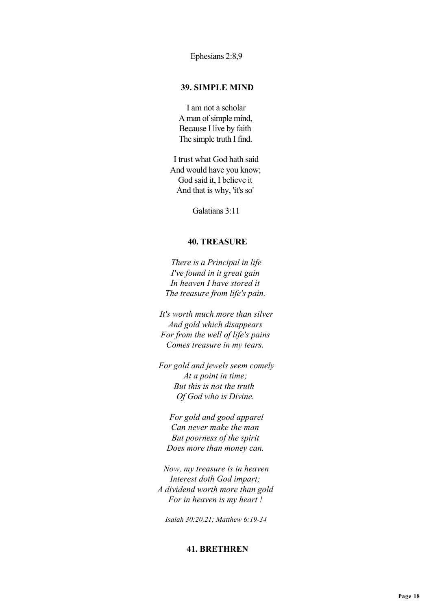Ephesians 2:8,9

### **39. SIMPLE MIND**

 I am not a scholar A man of simple mind, Because I live by faith The simple truth I find.

 I trust what God hath said And would have you know; God said it, I believe it And that is why, 'it's so'

Galatians 3:11

### **40. TREASURE**

 *There is a Principal in life I've found in it great gain In heaven I have stored it The treasure from life's pain.*

 *It's worth much more than silver And gold which disappears For from the well of life's pains Comes treasure in my tears.*

 *For gold and jewels seem comely At a point in time; But this is not the truth Of God who is Divine.*

 *For gold and good apparel Can never make the man But poorness of the spirit Does more than money can.*

 *Now, my treasure is in heaven Interest doth God impart; A dividend worth more than gold For in heaven is my heart !*

 *Isaiah 30:20,21; Matthew 6:19-34*

### **41. BRETHREN**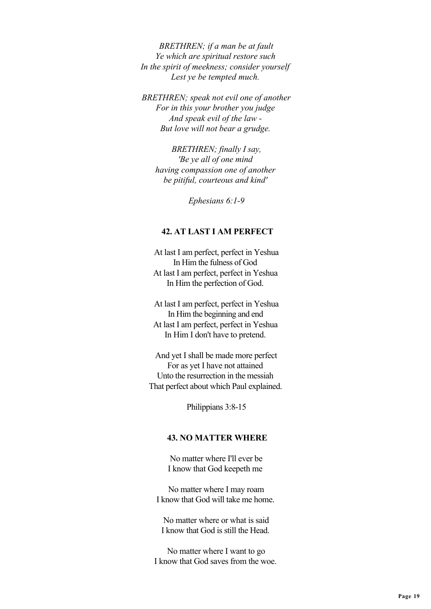*BRETHREN; if a man be at fault Ye which are spiritual restore such In the spirit of meekness; consider yourself Lest ye be tempted much.*

 *BRETHREN; speak not evil one of another For in this your brother you judge And speak evil of the law - But love will not bear a grudge.*

 *BRETHREN; finally I say, 'Be ye all of one mind having compassion one of another be pitiful, courteous and kind'*

 *Ephesians 6:1-9*

### **42. AT LAST I AM PERFECT**

 At last I am perfect, perfect in Yeshua In Him the fulness of God At last I am perfect, perfect in Yeshua In Him the perfection of God.

 At last I am perfect, perfect in Yeshua In Him the beginning and end At last I am perfect, perfect in Yeshua In Him I don't have to pretend.

 And yet I shall be made more perfect For as yet I have not attained Unto the resurrection in the messiah That perfect about which Paul explained.

Philippians 3:8-15

### **43. NO MATTER WHERE**

 No matter where I'll ever be I know that God keepeth me

 No matter where I may roam I know that God will take me home.

 No matter where or what is said I know that God is still the Head.

 No matter where I want to go I know that God saves from the woe.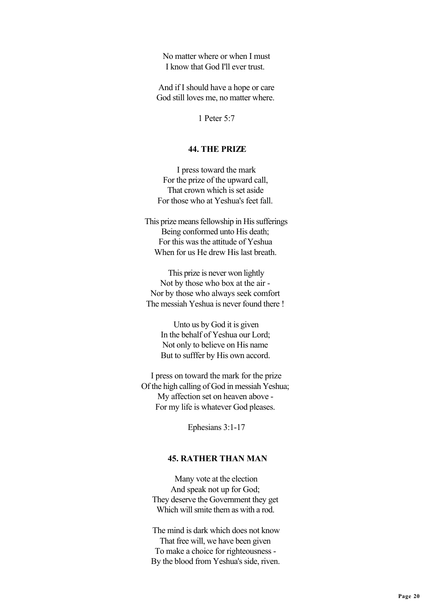No matter where or when I must I know that God I'll ever trust.

 And if I should have a hope or care God still loves me, no matter where.

1 Peter 5:7

## **44. THE PRIZE**

 I press toward the mark For the prize of the upward call, That crown which is set aside For those who at Yeshua's feet fall.

 This prize means fellowship in His sufferings Being conformed unto His death; For this was the attitude of Yeshua When for us He drew His last breath.

 This prize is never won lightly Not by those who box at the air - Nor by those who always seek comfort The messiah Yeshua is never found there !

> Unto us by God it is given In the behalf of Yeshua our Lord; Not only to believe on His name But to sufffer by His own accord.

 I press on toward the mark for the prize Of the high calling of God in messiah Yeshua; My affection set on heaven above - For my life is whatever God pleases.

Ephesians 3:1-17

# **45. RATHER THAN MAN**

 Many vote at the election And speak not up for God; They deserve the Government they get Which will smite them as with a rod.

 The mind is dark which does not know That free will, we have been given To make a choice for righteousness - By the blood from Yeshua's side, riven.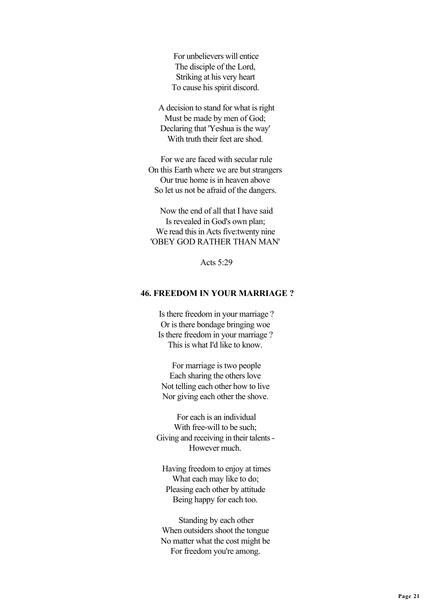For unbelievers will entice The disciple of the Lord, Striking at his very heart To cause his spirit discord.

 A decision to stand for what is right Must be made by men of God; Declaring that 'Yeshua is the way' With truth their feet are shod.

 For we are faced with secular rule On this Earth where we are but strangers Our true home is in heaven above So let us not be afraid of the dangers.

 Now the end of all that I have said Is revealed in God's own plan; We read this in Acts five:twenty nine 'OBEY GOD RATHER THAN MAN'

Acts  $5.29$ 

### **46. FREEDOM IN YOUR MARRIAGE ?**

 Is there freedom in your marriage ? Or is there bondage bringing woe Is there freedom in your marriage ? This is what I'd like to know.

 For marriage is two people Each sharing the others love Not telling each other how to live Nor giving each other the shove.

 For each is an individual With free-will to be such: Giving and receiving in their talents - However much.

 Having freedom to enjoy at times What each may like to do; Pleasing each other by attitude Being happy for each too.

 Standing by each other When outsiders shoot the tongue No matter what the cost might be For freedom you're among.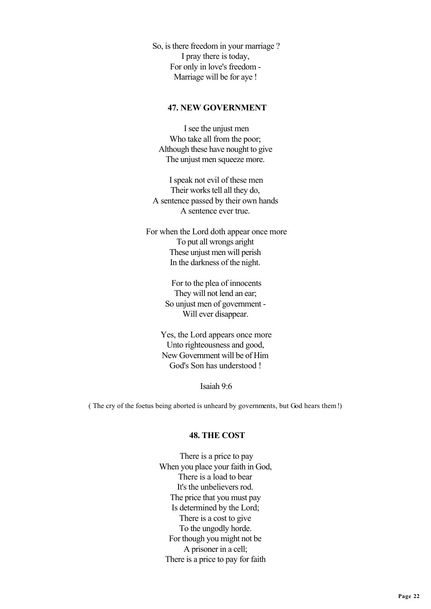So, is there freedom in your marriage ? I pray there is today, For only in love's freedom - Marriage will be for aye !

### **47. NEW GOVERNMENT**

 I see the unjust men Who take all from the poor; Although these have nought to give The unjust men squeeze more.

 I speak not evil of these men Their works tell all they do, A sentence passed by their own hands A sentence ever true.

 For when the Lord doth appear once more To put all wrongs aright These unjust men will perish In the darkness of the night.

> For to the plea of innocents They will not lend an ear; So unjust men of government - Will ever disappear.

 Yes, the Lord appears once more Unto righteousness and good, New Government will be of Him God's Son has understood !

Isaiah 9:6

( The cry of the foetus being aborted is unheard by governments, but God hears them !)

## **48. THE COST**

 There is a price to pay When you place your faith in God, There is a load to bear It's the unbelievers rod. The price that you must pay Is determined by the Lord; There is a cost to give To the ungodly horde. For though you might not be A prisoner in a cell; There is a price to pay for faith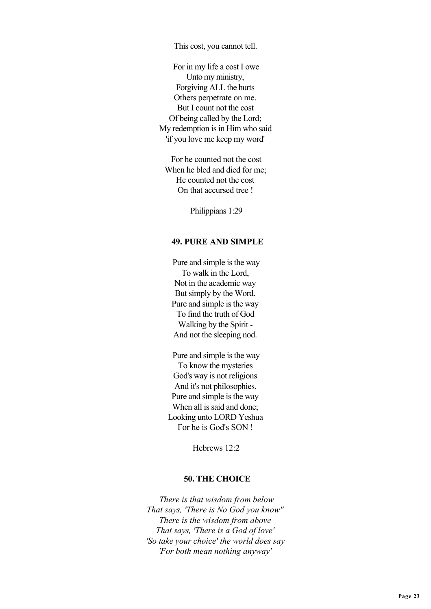This cost, you cannot tell.

 For in my life a cost I owe Unto my ministry, Forgiving ALL the hurts Others perpetrate on me. But I count not the cost Of being called by the Lord; My redemption is in Him who said 'if you love me keep my word'

 For he counted not the cost When he bled and died for me; He counted not the cost On that accursed tree !

Philippians 1:29

#### **49. PURE AND SIMPLE**

 Pure and simple is the way To walk in the Lord, Not in the academic way But simply by the Word. Pure and simple is the way To find the truth of God Walking by the Spirit - And not the sleeping nod.

 Pure and simple is the way To know the mysteries God's way is not religions And it's not philosophies. Pure and simple is the way When all is said and done; Looking unto LORD Yeshua For he is God's SON !

Hebrews 12:2

### **50. THE CHOICE**

 *There is that wisdom from below That says, 'There is No God you know" There is the wisdom from above That says, 'There is a God of love' 'So take your choice' the world does say 'For both mean nothing anyway'*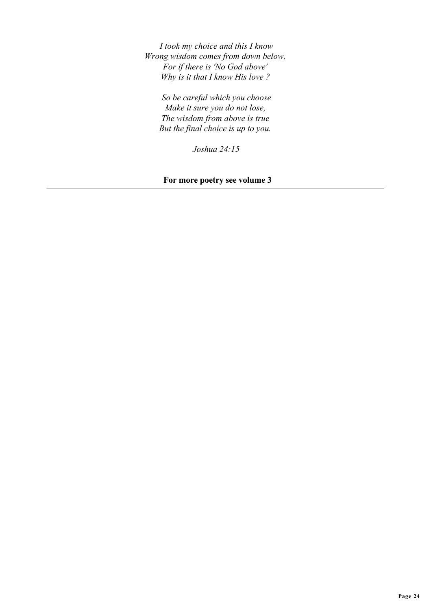*I took my choice and this I know Wrong wisdom comes from down below, For if there is 'No God above' Why is it that I know His love ?*

 *So be careful which you choose Make it sure you do not lose, The wisdom from above is true But the final choice is up to you.*

 *Joshua 24:15*

 **For more poetry see volume 3**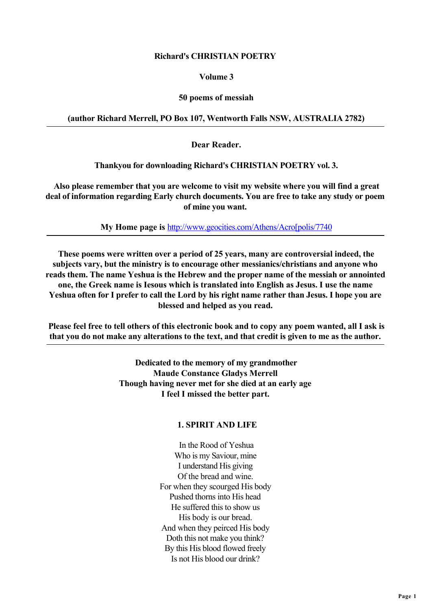## **Richard's CHRISTIAN POETRY**

## **Volume 3**

## **50 poems of messiah**

## **(author Richard Merrell, PO Box 107, Wentworth Falls NSW, AUSTRALIA 2782)**

 **Dear Reader.**

 **Thankyou for downloading Richard's CHRISTIAN POETRY vol. 3.**

 **Also please remember that you are welcome to visit my website where you will find a great deal of information regarding Early church documents. You are free to take any study or poem of mine you want.**

 **My Home page is** [http://www.geocities.com/Athens/Acro\[polis/7740](http://www.geocities.com/Athens/Acro[polis/7740)

 **These poems were written over a period of 25 years, many are controversial indeed, the subjects vary, but the ministry is to encourage other messianics/christians and anyone who reads them. The name Yeshua is the Hebrew and the proper name of the messiah or annointed one, the Greek name is Iesous which is translated into English as Jesus. I use the name Yeshua often for I prefer to call the Lord by his right name rather than Jesus. I hope you are blessed and helped as you read.**

 **Please feel free to tell others of this electronic book and to copy any poem wanted, all I ask is that you do not make any alterations to the text, and that credit is given to me as the author.**

> **Dedicated to the memory of my grandmother Maude Constance Gladys Merrell Though having never met for she died at an early age I feel I missed the better part.**

# **1. SPIRIT AND LIFE**

 In the Rood of Yeshua Who is my Saviour, mine I understand His giving Of the bread and wine. For when they scourged His body Pushed thorns into His head He suffered this to show us His body is our bread. And when they peirced His body Doth this not make you think? By this His blood flowed freely Is not His blood our drink?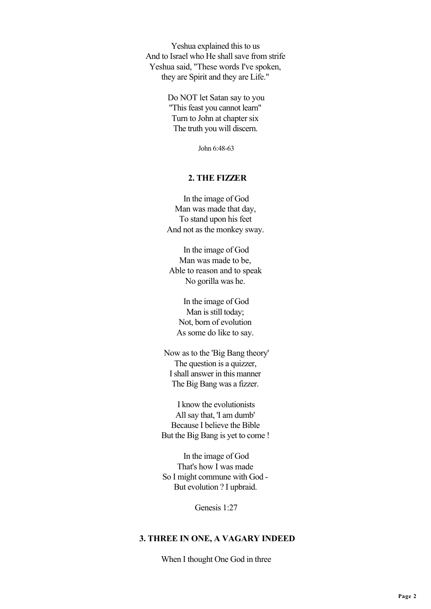Yeshua explained this to us And to Israel who He shall save from strife Yeshua said, "These words I've spoken, they are Spirit and they are Life."

> Do NOT let Satan say to you "This feast you cannot learn" Turn to John at chapter six The truth you will discern.

> > John 6:48-63

## **2. THE FIZZER**

 In the image of God Man was made that day, To stand upon his feet And not as the monkey sway.

 In the image of God Man was made to be, Able to reason and to speak No gorilla was he.

 In the image of God Man is still today; Not, born of evolution As some do like to say.

 Now as to the 'Big Bang theory' The question is a quizzer. I shall answer in this manner The Big Bang was a fizzer.

 I know the evolutionists All say that, 'I am dumb' Because I believe the Bible But the Big Bang is yet to come !

 In the image of God That's how I was made So I might commune with God - But evolution ? I upbraid.

Genesis 1:27

## **3. THREE IN ONE, A VAGARY INDEED**

When I thought One God in three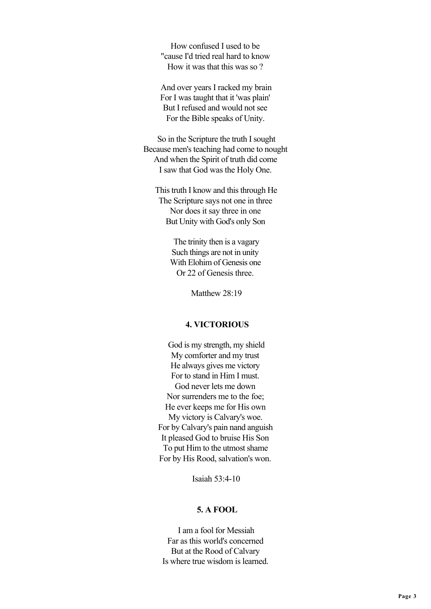How confused I used to be "cause I'd tried real hard to know How it was that this was so ?

 And over years I racked my brain For I was taught that it 'was plain' But I refused and would not see For the Bible speaks of Unity.

 So in the Scripture the truth I sought Because men's teaching had come to nought And when the Spirit of truth did come I saw that God was the Holy One.

 This truth I know and this through He The Scripture says not one in three Nor does it say three in one But Unity with God's only Son

> The trinity then is a vagary Such things are not in unity With Elohim of Genesis one Or 22 of Genesis three.

> > Matthew 28:19

# **4. VICTORIOUS**

 God is my strength, my shield My comforter and my trust He always gives me victory For to stand in Him I must. God never lets me down Nor surrenders me to the foe; He ever keeps me for His own My victory is Calvary's woe. For by Calvary's pain nand anguish It pleased God to bruise His Son To put Him to the utmost shame For by His Rood, salvation's won.

Isaiah 53:4-10

### **5. A FOOL**

 I am a fool for Messiah Far as this world's concerned But at the Rood of Calvary Is where true wisdom is learned.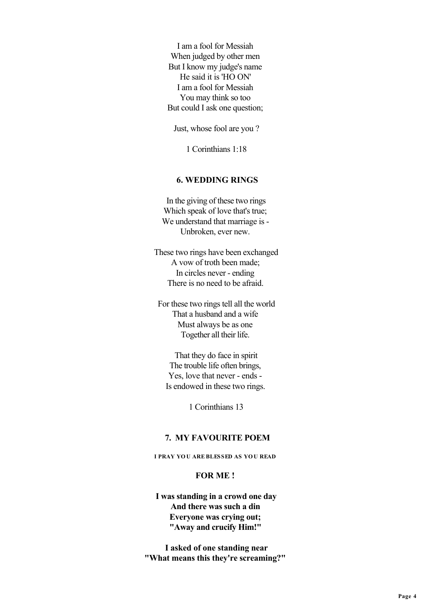I am a fool for Messiah When judged by other men But I know my judge's name He said it is 'HO ON' I am a fool for Messiah You may think so too But could I ask one question;

Just, whose fool are you ?

1 Corinthians 1:18

## **6. WEDDING RINGS**

 In the giving of these two rings Which speak of love that's true; We understand that marriage is - Unbroken, ever new.

 These two rings have been exchanged A vow of troth been made; In circles never - ending There is no need to be afraid.

 For these two rings tell all the world That a husband and a wife Must always be as one Together all their life.

 That they do face in spirit The trouble life often brings, Yes, love that never - ends - Is endowed in these two rings.

1 Corinthians 13

### **7. MY FAVOURITE POEM**

 **I PRAY YO U ARE BLESSED AS YO U READ** 

#### **FOR ME !**

 **I was standing in a crowd one day And there was such a din Everyone was crying out; "Away and crucify Him!"**

 **I asked of one standing near "What means this they're screaming?"**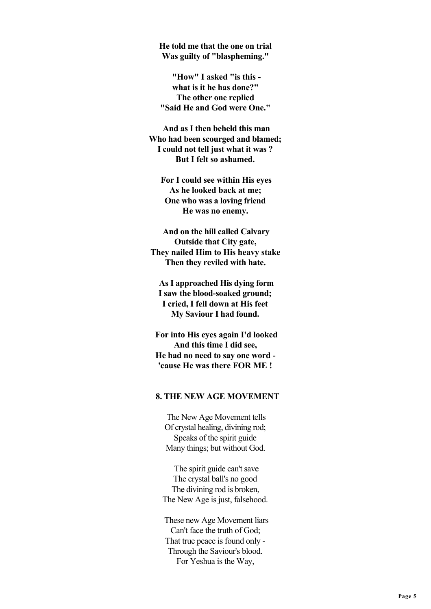**He told me that the one on trial Was guilty of "blaspheming."**

 **"How" I asked "is this what is it he has done?" The other one replied "Said He and God were One."**

 **And as I then beheld this man Who had been scourged and blamed; I could not tell just what it was ? But I felt so ashamed.**

 **For I could see within His eyes As he looked back at me; One who was a loving friend He was no enemy.**

 **And on the hill called Calvary Outside that City gate, They nailed Him to His heavy stake Then they reviled with hate.**

 **As I approached His dying form I saw the blood-soaked ground; I cried, I fell down at His feet My Saviour I had found.**

 **For into His eyes again I'd looked And this time I did see, He had no need to say one word - 'cause He was there FOR ME !**

### **8. THE NEW AGE MOVEMENT**

 The New Age Movement tells Of crystal healing, divining rod; Speaks of the spirit guide Many things; but without God.

 The spirit guide can't save The crystal ball's no good The divining rod is broken, The New Age is just, falsehood.

 These new Age Movement liars Can't face the truth of God; That true peace is found only - Through the Saviour's blood. For Yeshua is the Way,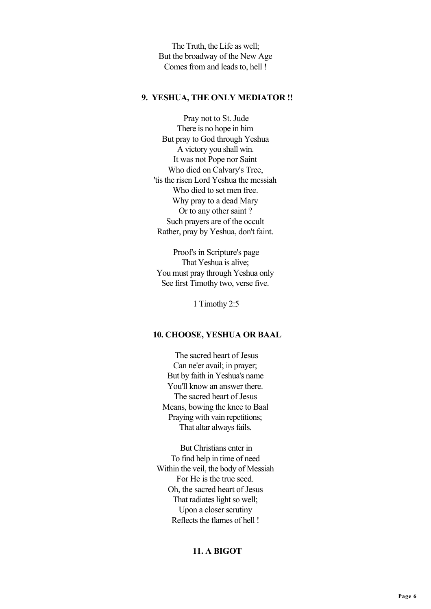The Truth, the Life as well; But the broadway of the New Age Comes from and leads to, hell !

### **9. YESHUA, THE ONLY MEDIATOR !!**

 Pray not to St. Jude There is no hope in him But pray to God through Yeshua A victory you shall win. It was not Pope nor Saint Who died on Calvary's Tree, 'tis the risen Lord Yeshua the messiah Who died to set men free. Why pray to a dead Mary Or to any other saint ? Such prayers are of the occult Rather, pray by Yeshua, don't faint.

 Proof's in Scripture's page That Yeshua is alive; You must pray through Yeshua only See first Timothy two, verse five.

1 Timothy 2:5

### **10. CHOOSE, YESHUA OR BAAL**

 The sacred heart of Jesus Can ne'er avail; in prayer; But by faith in Yeshua's name You'll know an answer there. The sacred heart of Jesus Means, bowing the knee to Baal Praying with vain repetitions; That altar always fails.

 But Christians enter in To find help in time of need Within the veil, the body of Messiah For He is the true seed. Oh, the sacred heart of Jesus That radiates light so well; Upon a closer scrutiny Reflects the flames of hell !

# **11. A BIGOT**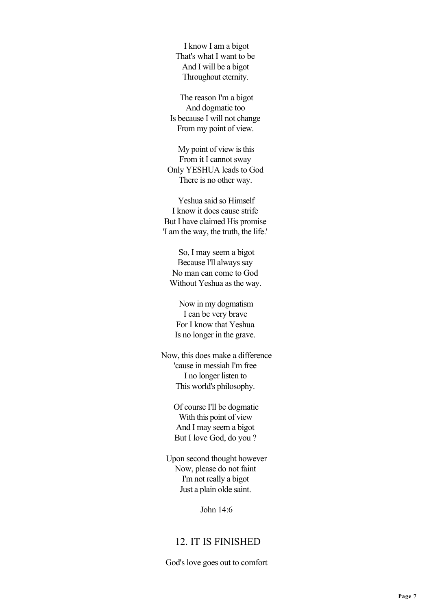I know I am a bigot That's what I want to be And I will be a bigot Throughout eternity.

 The reason I'm a bigot And dogmatic too Is because I will not change From my point of view.

 My point of view is this From it I cannot sway Only YESHUA leads to God There is no other way.

 Yeshua said so Himself I know it does cause strife But I have claimed His promise 'I am the way, the truth, the life.'

 So, I may seem a bigot Because I'll always say No man can come to God Without Yeshua as the way.

 Now in my dogmatism I can be very brave For I know that Yeshua Is no longer in the grave.

 Now, this does make a difference 'cause in messiah I'm free I no longer listen to This world's philosophy.

> Of course I'll be dogmatic With this point of view And I may seem a bigot But I love God, do you ?

 Upon second thought however Now, please do not faint I'm not really a bigot Just a plain olde saint.

John 14:6

# 12. IT IS FINISHED

God's love goes out to comfort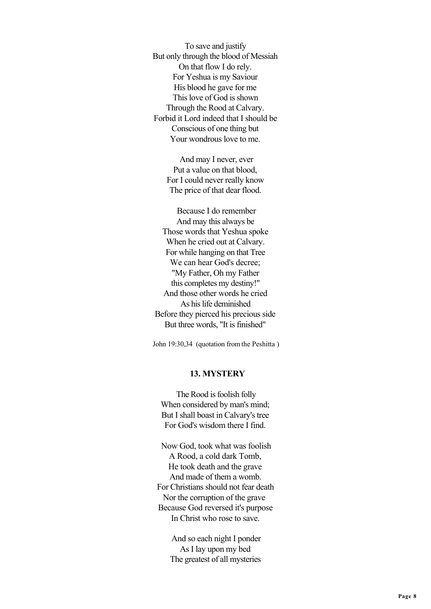To save and justify But only through the blood of Messiah On that flow I do rely. For Yeshua is my Saviour His blood he gave for me This love of God is shown Through the Rood at Calvary. Forbid it Lord indeed that I should be Conscious of one thing but Your wondrous love to me.

> And may I never, ever Put a value on that blood, For I could never really know The price of that dear flood.

 Because I do remember And may this always be Those words that Yeshua spoke When he cried out at Calvary. For while hanging on that Tree We can hear God's decree; "My Father, Oh my Father this completes my destiny!" And those other words he cried As his life deminished Before they pierced his precious side But three words, "It is finished"

John 19:30,34 (quotation from the Peshitta )

### **13. MYSTERY**

 The Rood is foolish folly When considered by man's mind; But I shall boast in Calvary's tree For God's wisdom there I find.

 Now God, took what was foolish A Rood, a cold dark Tomb, He took death and the grave And made of them a womb. For Christians should not fear death Nor the corruption of the grave Because God reversed it's purpose In Christ who rose to save.

> And so each night I ponder As I lay upon my bed The greatest of all mysteries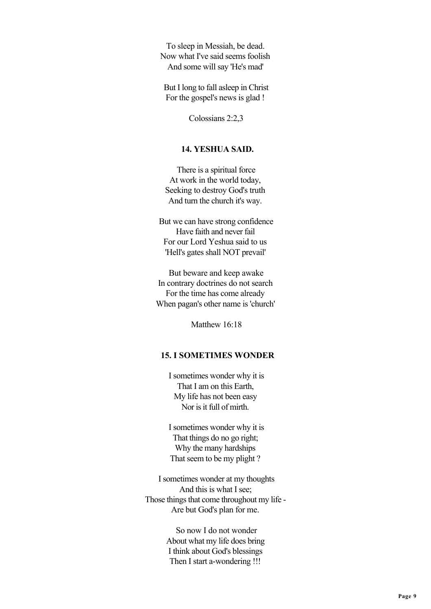To sleep in Messiah, be dead. Now what I've said seems foolish And some will say 'He's mad'

 But I long to fall asleep in Christ For the gospel's news is glad !

Colossians 2:2,3

## **14. YESHUA SAID.**

 There is a spiritual force At work in the world today, Seeking to destroy God's truth And turn the church it's way.

 But we can have strong confidence Have faith and never fail For our Lord Yeshua said to us 'Hell's gates shall NOT prevail'

 But beware and keep awake In contrary doctrines do not search For the time has come already When pagan's other name is 'church'

Matthew 16:18

## **15. I SOMETIMES WONDER**

 I sometimes wonder why it is That I am on this Earth, My life has not been easy Nor is it full of mirth.

 I sometimes wonder why it is That things do no go right; Why the many hardships That seem to be my plight ?

 I sometimes wonder at my thoughts And this is what I see; Those things that come throughout my life - Are but God's plan for me.

> So now I do not wonder About what my life does bring I think about God's blessings Then I start a-wondering !!!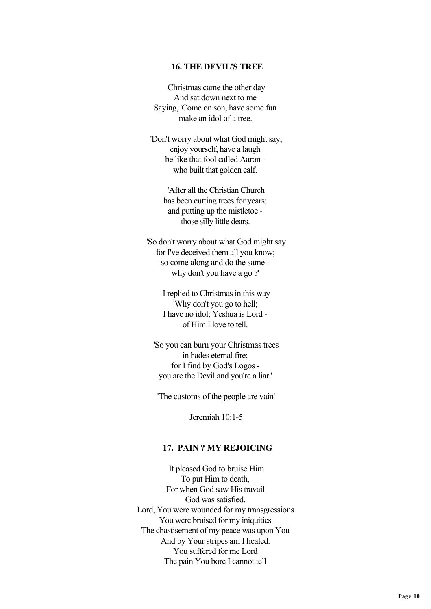### **16. THE DEVIL'S TREE**

 Christmas came the other day And sat down next to me Saying, 'Come on son, have some fun make an idol of a tree

 'Don't worry about what God might say, enjoy yourself, have a laugh be like that fool called Aaron who built that golden calf.

 'After all the Christian Church has been cutting trees for years; and putting up the mistletoe those silly little dears.

 'So don't worry about what God might say for I've deceived them all you know; so come along and do the same why don't you have a go ?'

> I replied to Christmas in this way 'Why don't you go to hell; I have no idol; Yeshua is Lord of Him I love to tell.

 'So you can burn your Christmas trees in hades eternal fire; for I find by God's Logos you are the Devil and you're a liar.'

'The customs of the people are vain'

Jeremiah 10:1-5

## **17. PAIN ? MY REJOICING**

 It pleased God to bruise Him To put Him to death, For when God saw His travail God was satisfied. Lord, You were wounded for my transgressions You were bruised for my iniquities The chastisement of my peace was upon You And by Your stripes am I healed. You suffered for me Lord The pain You bore I cannot tell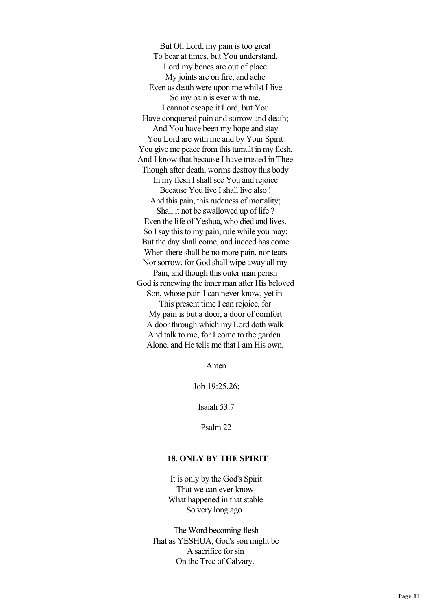But Oh Lord, my pain is too great To bear at times, but You understand. Lord my bones are out of place My joints are on fire, and ache Even as death were upon me whilst I live So my pain is ever with me. I cannot escape it Lord, but You Have conquered pain and sorrow and death: And You have been my hope and stay You Lord are with me and by Your Spirit You give me peace from this tumult in my flesh. And I know that because I have trusted in Thee Though after death, worms destroy this body In my flesh I shall see You and rejoice Because You live I shall live also ! And this pain, this rudeness of mortality; Shall it not be swallowed up of life ? Even the life of Yeshua, who died and lives. So I say this to my pain, rule while you may; But the day shall come, and indeed has come When there shall be no more pain, nor tears Nor sorrow, for God shall wipe away all my Pain, and though this outer man perish God is renewing the inner man after His beloved Son, whose pain I can never know, yet in This present time I can rejoice, for My pain is but a door, a door of comfort A door through which my Lord doth walk And talk to me, for I come to the garden Alone, and He tells me that I am His own.

Amen

Job 19:25,26;

Isaiah 53:7

Psalm 22

### **18. ONLY BY THE SPIRIT**

 It is only by the God's Spirit That we can ever know What happened in that stable So very long ago.

 The Word becoming flesh That as YESHUA, God's son might be A sacrifice for sin On the Tree of Calvary.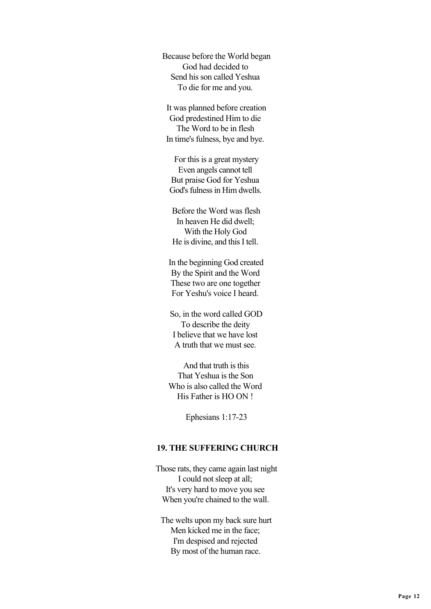Because before the World began God had decided to Send his son called Yeshua To die for me and you.

 It was planned before creation God predestined Him to die The Word to be in flesh In time's fulness, bye and bye.

 For this is a great mystery Even angels cannot tell But praise God for Yeshua God's fulness in Him dwells.

 Before the Word was flesh In heaven He did dwell; With the Holy God He is divine, and this I tell.

 In the beginning God created By the Spirit and the Word These two are one together For Yeshu's voice I heard.

 So, in the word called GOD To describe the deity I believe that we have lost A truth that we must see.

 And that truth is this That Yeshua is the Son Who is also called the Word His Father is HO ON !

Ephesians 1:17-23

## **19. THE SUFFERING CHURCH**

 Those rats, they came again last night I could not sleep at all; It's very hard to move you see When you're chained to the wall.

 The welts upon my back sure hurt Men kicked me in the face; I'm despised and rejected By most of the human race.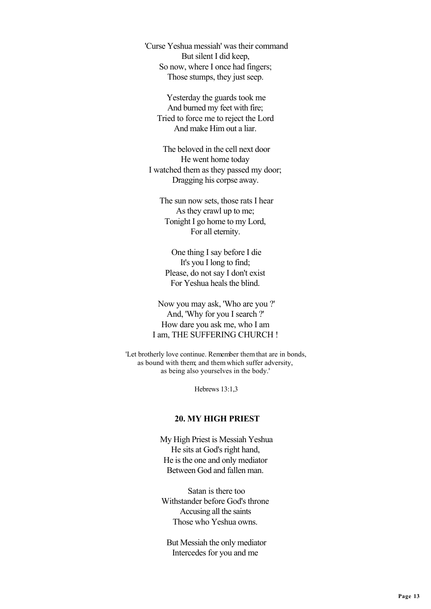'Curse Yeshua messiah' was their command But silent I did keep, So now, where I once had fingers; Those stumps, they just seep.

 Yesterday the guards took me And burned my feet with fire; Tried to force me to reject the Lord And make Him out a liar.

 The beloved in the cell next door He went home today I watched them as they passed my door; Dragging his corpse away.

 The sun now sets, those rats I hear As they crawl up to me; Tonight I go home to my Lord, For all eternity.

 One thing I say before I die It's you I long to find; Please, do not say I don't exist For Yeshua heals the blind.

 Now you may ask, 'Who are you ?' And, 'Why for you I search ?' How dare you ask me, who I am I am, THE SUFFERING CHURCH !

 'Let brotherly love continue. Remember them that are in bonds, as bound with them; and them which suffer adversity, as being also yourselves in the body.'

Hebrews 13:1,3

#### **20. MY HIGH PRIEST**

 My High Priest is Messiah Yeshua He sits at God's right hand, He is the one and only mediator Between God and fallen man.

 Satan is there too Withstander before God's throne Accusing all the saints Those who Yeshua owns.

 But Messiah the only mediator Intercedes for you and me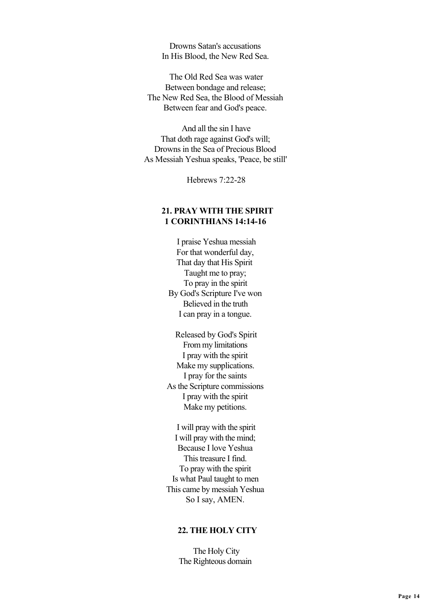Drowns Satan's accusations In His Blood, the New Red Sea.

 The Old Red Sea was water Between bondage and release; The New Red Sea, the Blood of Messiah Between fear and God's peace.

 And all the sin I have That doth rage against God's will; Drowns in the Sea of Precious Blood As Messiah Yeshua speaks, 'Peace, be still'

Hebrews 7:22-28

# **21. PRAY WITH THE SPIRIT 1 CORINTHIANS 14:14-16**

 I praise Yeshua messiah For that wonderful day, That day that His Spirit Taught me to pray; To pray in the spirit By God's Scripture I've won Believed in the truth I can pray in a tongue.

 Released by God's Spirit From my limitations I pray with the spirit Make my supplications. I pray for the saints As the Scripture commissions I pray with the spirit Make my petitions.

 I will pray with the spirit I will pray with the mind; Because I love Yeshua This treasure I find. To pray with the spirit Is what Paul taught to men This came by messiah Yeshua So I say, AMEN.

## **22. THE HOLY CITY**

 The Holy City The Righteous domain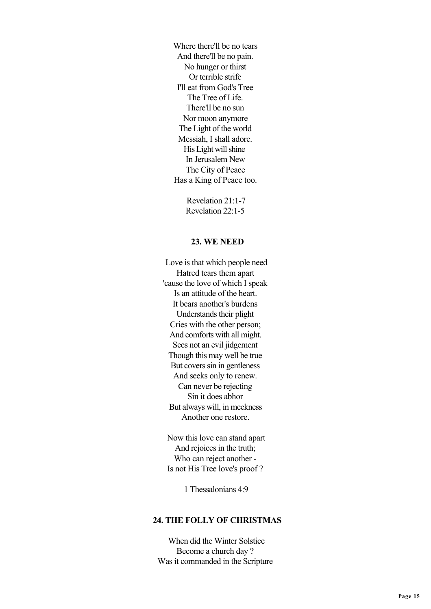Where there'll be no tears And there'll be no pain. No hunger or thirst Or terrible strife I'll eat from God's Tree The Tree of Life. There'll be no sun Nor moon anymore The Light of the world Messiah, I shall adore. His Light will shine In Jerusalem New The City of Peace Has a King of Peace too.

> Revelation 21:1-7 Revelation 22:1-5

#### **23. WE NEED**

 Love is that which people need Hatred tears them apart 'cause the love of which I speak Is an attitude of the heart. It bears another's burdens Understands their plight Cries with the other person; And comforts with all might. Sees not an evil jidgement Though this may well be true But covers sin in gentleness And seeks only to renew. Can never be rejecting Sin it does abhor But always will, in meekness Another one restore.

 Now this love can stand apart And rejoices in the truth; Who can reject another - Is not His Tree love's proof ?

1 Thessalonians 4:9

## **24. THE FOLLY OF CHRISTMAS**

 When did the Winter Solstice Become a church day ? Was it commanded in the Scripture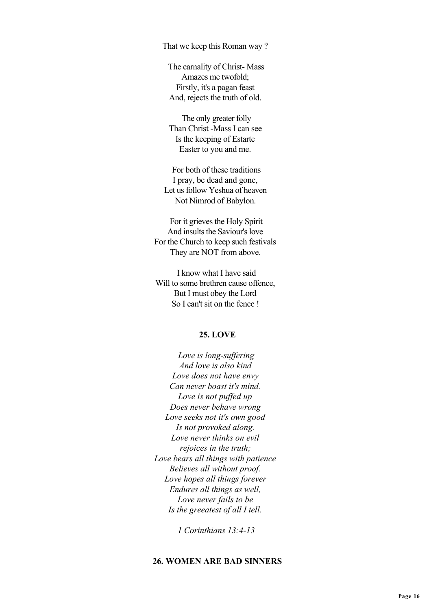That we keep this Roman way ?

 The carnality of Christ- Mass Amazes me twofold; Firstly, it's a pagan feast And, rejects the truth of old.

 The only greater folly Than Christ -Mass I can see Is the keeping of Estarte Easter to you and me.

 For both of these traditions I pray, be dead and gone, Let us follow Yeshua of heaven Not Nimrod of Babylon.

 For it grieves the Holy Spirit And insults the Saviour's love For the Church to keep such festivals They are NOT from above.

 I know what I have said Will to some brethren cause offence, But I must obey the Lord So I can't sit on the fence !

### **25. LOVE**

 *Love is long-suffering And love is also kind Love does not have envy Can never boast it's mind. Love is not puffed up Does never behave wrong Love seeks not it's own good Is not provoked along. Love never thinks on evil rejoices in the truth; Love bears all things with patience Believes all without proof. Love hopes all things forever Endures all things as well, Love never fails to be Is the greeatest of all I tell.*

 *1 Corinthians 13:4-13*

## **26. WOMEN ARE BAD SINNERS**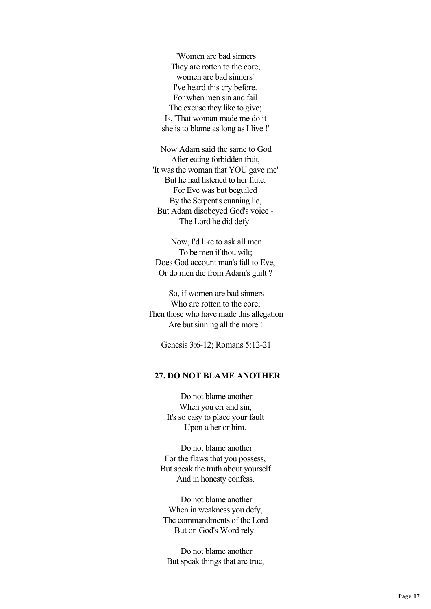'Women are bad sinners They are rotten to the core; women are bad sinners' I've heard this cry before. For when men sin and fail The excuse they like to give; Is, 'That woman made me do it she is to blame as long as I live !'

 Now Adam said the same to God After eating forbidden fruit, 'It was the woman that YOU gave me' But he had listened to her flute. For Eve was but beguiled By the Serpent's cunning lie, But Adam disobeyed God's voice - The Lord he did defy.

 Now, I'd like to ask all men To be men if thou wilt; Does God account man's fall to Eve, Or do men die from Adam's guilt ?

 So, if women are bad sinners Who are rotten to the core; Then those who have made this allegation Are but sinning all the more !

Genesis 3:6-12; Romans 5:12-21

## **27. DO NOT BLAME ANOTHER**

 Do not blame another When you err and sin, It's so easy to place your fault Upon a her or him.

 Do not blame another For the flaws that you possess, But speak the truth about yourself And in honesty confess.

 Do not blame another When in weakness you defy, The commandments of the Lord But on God's Word rely.

 Do not blame another But speak things that are true,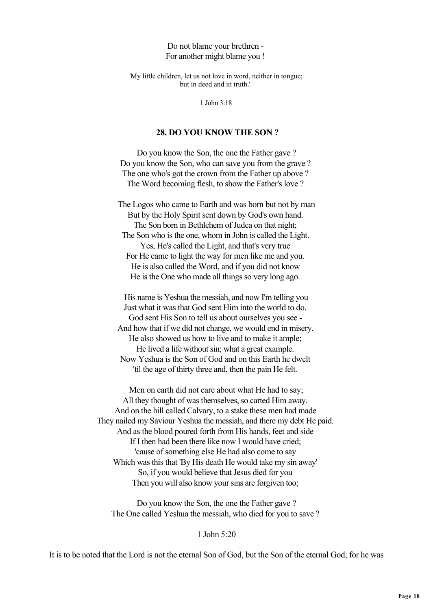### Do not blame your brethren - For another might blame you !

 'My little children, let us not love in word, neither in tongue; but in deed and in truth.'

1 John 3:18

### **28. DO YOU KNOW THE SON ?**

 Do you know the Son, the one the Father gave ? Do you know the Son, who can save you from the grave ? The one who's got the crown from the Father up above ? The Word becoming flesh, to show the Father's love ?

 The Logos who came to Earth and was born but not by man But by the Holy Spirit sent down by God's own hand. The Son born in Bethlehem of Judea on that night; The Son who is the one, whom in John is called the Light. Yes, He's called the Light, and that's very true For He came to light the way for men like me and you. He is also called the Word, and if you did not know He is the One who made all things so very long ago.

 His name is Yeshua the messiah, and now I'm telling you Just what it was that God sent Him into the world to do. God sent His Son to tell us about ourselves you see - And how that if we did not change, we would end in misery. He also showed us how to live and to make it ample; He lived a life without sin; what a great example. Now Yeshua is the Son of God and on this Earth he dwelt 'til the age of thirty three and, then the pain He felt.

 Men on earth did not care about what He had to say; All they thought of was themselves, so carted Him away. And on the hill called Calvary, to a stake these men had made They nailed my Saviour Yeshua the messiah, and there my debt He paid. And as the blood poured forth from His hands, feet and side If I then had been there like now I would have cried; 'cause of something else He had also come to say Which was this that 'By His death He would take my sin away' So, if you would believe that Jesus died for you Then you will also know your sins are forgiven too;

 Do you know the Son, the one the Father gave ? The One called Yeshua the messiah, who died for you to save ?

### 1 John 5:20

It is to be noted that the Lord is not the eternal Son of God, but the Son of the eternal God; for he was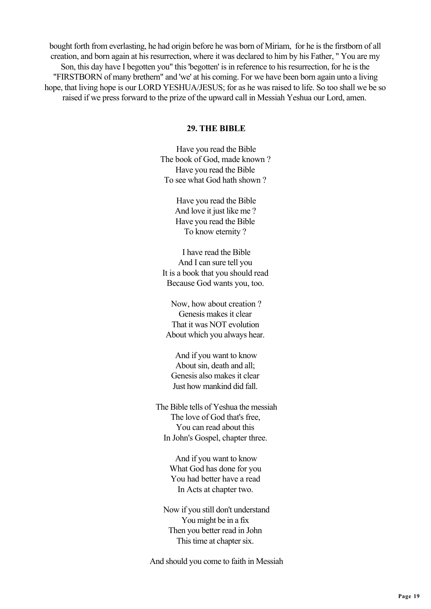bought forth from everlasting, he had origin before he was born of Miriam, for he is the firstborn of all creation, and born again at his resurrection, where it was declared to him by his Father, " You are my Son, this day have I begotten you" this 'begotten' is in reference to his resurrection, for he is the "FIRSTBORN of many brethern" and 'we' at his coming. For we have been born again unto a living hope, that living hope is our LORD YESHUA/JESUS; for as he was raised to life. So too shall we be so raised if we press forward to the prize of the upward call in Messiah Yeshua our Lord, amen.

### **29. THE BIBLE**

 Have you read the Bible The book of God, made known ? Have you read the Bible To see what God hath shown ?

> Have you read the Bible And love it just like me? Have you read the Bible To know eternity ?

 I have read the Bible And I can sure tell you It is a book that you should read Because God wants you, too.

 Now, how about creation ? Genesis makes it clear That it was NOT evolution About which you always hear.

 And if you want to know About sin, death and all; Genesis also makes it clear Just how mankind did fall.

 The Bible tells of Yeshua the messiah The love of God that's free, You can read about this In John's Gospel, chapter three.

> And if you want to know What God has done for you You had better have a read In Acts at chapter two.

 Now if you still don't understand You might be in a fix Then you better read in John This time at chapter six.

And should you come to faith in Messiah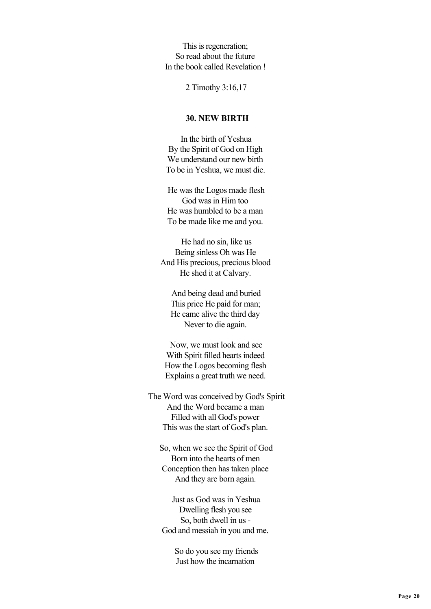This is regeneration; So read about the future In the book called Revelation !

2 Timothy 3:16,17

# **30. NEW BIRTH**

 In the birth of Yeshua By the Spirit of God on High We understand our new birth To be in Yeshua, we must die.

 He was the Logos made flesh God was in Him too He was humbled to be a man To be made like me and you.

 He had no sin, like us Being sinless Oh was He And His precious, precious blood He shed it at Calvary.

 And being dead and buried This price He paid for man; He came alive the third day Never to die again.

 Now, we must look and see With Spirit filled hearts indeed How the Logos becoming flesh Explains a great truth we need.

 The Word was conceived by God's Spirit And the Word became a man Filled with all God's power This was the start of God's plan.

 So, when we see the Spirit of God Born into the hearts of men Conception then has taken place And they are born again.

 Just as God was in Yeshua Dwelling flesh you see So, both dwell in us - God and messiah in you and me.

> So do you see my friends Just how the incarnation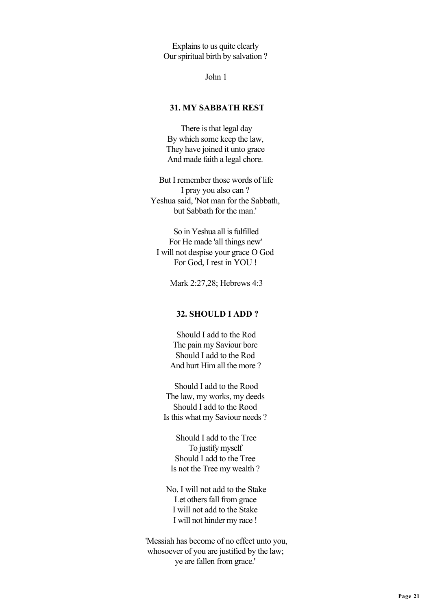Explains to us quite clearly Our spiritual birth by salvation ?

John 1

## **31. MY SABBATH REST**

 There is that legal day By which some keep the law, They have joined it unto grace And made faith a legal chore.

 But I remember those words of life I pray you also can ? Yeshua said, 'Not man for the Sabbath, but Sabbath for the man.'

 So in Yeshua all is fulfilled For He made 'all things new' I will not despise your grace O God For God, I rest in YOU !

Mark 2:27,28; Hebrews 4:3

### **32. SHOULD I ADD ?**

 Should I add to the Rod The pain my Saviour bore Should I add to the Rod And hurt Him all the more ?

 Should I add to the Rood The law, my works, my deeds Should I add to the Rood Is this what my Saviour needs ?

 Should I add to the Tree To justify myself Should I add to the Tree Is not the Tree my wealth ?

 No, I will not add to the Stake Let others fall from grace I will not add to the Stake I will not hinder my race !

 'Messiah has become of no effect unto you, whosoever of you are justified by the law; ye are fallen from grace.'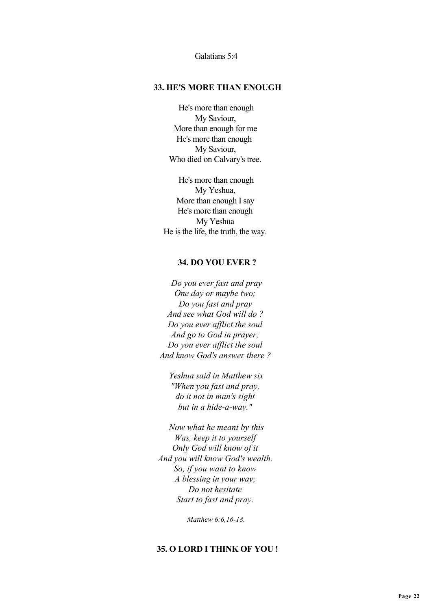Galatians 5:4

#### **33. HE'S MORE THAN ENOUGH**

 He's more than enough My Saviour, More than enough for me He's more than enough My Saviour, Who died on Calvary's tree.

 He's more than enough My Yeshua, More than enough I say He's more than enough My Yeshua He is the life, the truth, the way.

#### **34. DO YOU EVER ?**

 *Do you ever fast and pray One day or maybe two; Do you fast and pray And see what God will do ? Do you ever afflict the soul And go to God in prayer; Do you ever afflict the soul And know God's answer there ?*

 *Yeshua said in Matthew six "When you fast and pray, do it not in man's sight but in a hide-a-way."*

 *Now what he meant by this Was, keep it to yourself Only God will know of it And you will know God's wealth. So, if you want to know A blessing in your way; Do not hesitate Start to fast and pray.*

 *Matthew 6:6,16-18.*

#### **35. O LORD I THINK OF YOU !**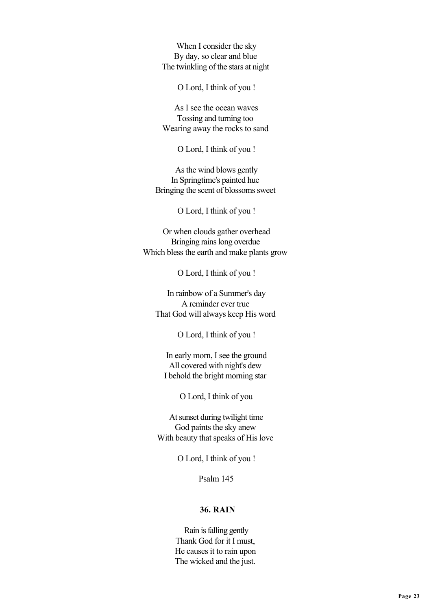When I consider the sky By day, so clear and blue The twinkling of the stars at night

O Lord, I think of you !

 As I see the ocean waves Tossing and turning too Wearing away the rocks to sand

O Lord, I think of you !

 As the wind blows gently In Springtime's painted hue Bringing the scent of blossoms sweet

O Lord, I think of you !

 Or when clouds gather overhead Bringing rains long overdue Which bless the earth and make plants grow

O Lord, I think of you !

 In rainbow of a Summer's day A reminder ever true That God will always keep His word

O Lord, I think of you !

 In early morn, I see the ground All covered with night's dew I behold the bright morning star

O Lord, I think of you

 At sunset during twilight time God paints the sky anew With beauty that speaks of His love

O Lord, I think of you !

Psalm 145

## **36. RAIN**

 Rain is falling gently Thank God for it I must, He causes it to rain upon The wicked and the just.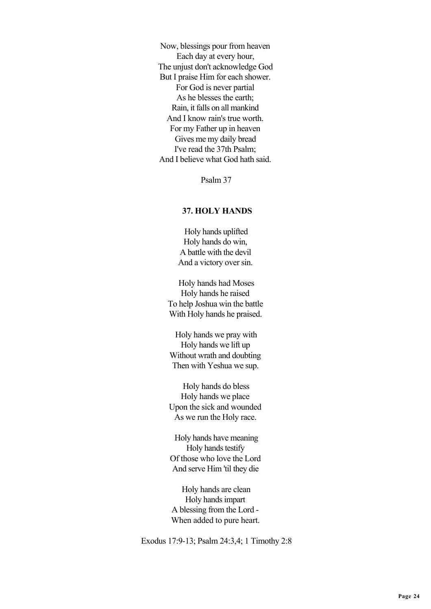Now, blessings pour from heaven Each day at every hour, The unjust don't acknowledge God But I praise Him for each shower. For God is never partial As he blesses the earth; Rain, it falls on all mankind And I know rain's true worth. For my Father up in heaven Gives me my daily bread I've read the 37th Psalm; And I believe what God hath said.

Psalm 37

## **37. HOLY HANDS**

 Holy hands uplifted Holy hands do win, A battle with the devil And a victory over sin.

 Holy hands had Moses Holy hands he raised To help Joshua win the battle With Holy hands he praised.

 Holy hands we pray with Holy hands we lift up Without wrath and doubting Then with Yeshua we sup.

 Holy hands do bless Holy hands we place Upon the sick and wounded As we run the Holy race.

 Holy hands have meaning Holy hands testify Of those who love the Lord And serve Him 'til they die

 Holy hands are clean Holy hands impart A blessing from the Lord - When added to pure heart.

Exodus 17:9-13; Psalm 24:3,4; 1 Timothy 2:8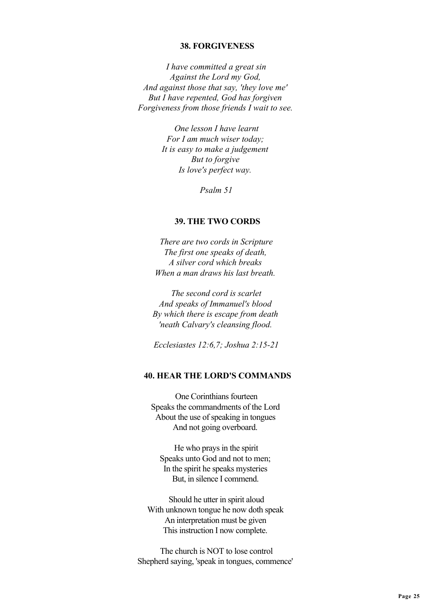### **38. FORGIVENESS**

 *I have committed a great sin Against the Lord my God, And against those that say, 'they love me' But I have repented, God has forgiven Forgiveness from those friends I wait to see.*

> *One lesson I have learnt For I am much wiser today; It is easy to make a judgement But to forgive Is love's perfect way.*

> > *Psalm 51*

### **39. THE TWO CORDS**

 *There are two cords in Scripture The first one speaks of death, A silver cord which breaks When a man draws his last breath.*

 *The second cord is scarlet And speaks of Immanuel's blood By which there is escape from death 'neath Calvary's cleansing flood.*

 *Ecclesiastes 12:6,7; Joshua 2:15-21*

## **40. HEAR THE LORD'S COMMANDS**

 One Corinthians fourteen Speaks the commandments of the Lord About the use of speaking in tongues And not going overboard.

 He who prays in the spirit Speaks unto God and not to men; In the spirit he speaks mysteries But, in silence I commend.

 Should he utter in spirit aloud With unknown tongue he now doth speak An interpretation must be given This instruction I now complete.

 The church is NOT to lose control Shepherd saying, 'speak in tongues, commence'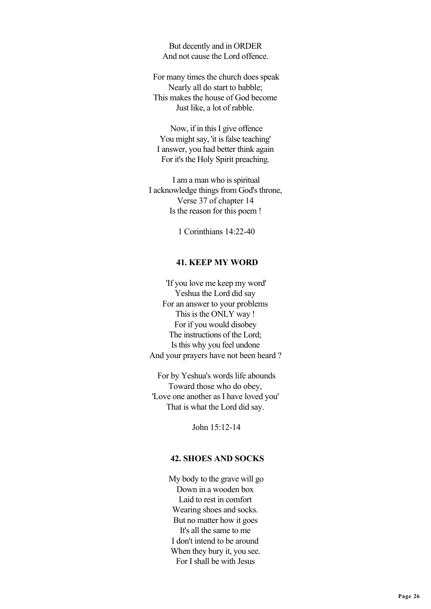But decently and in ORDER And not cause the Lord offence.

 For many times the church does speak Nearly all do start to babble; This makes the house of God become Just like, a lot of rabble.

 Now, if in this I give offence You might say, 'it is false teaching' I answer, you had better think again For it's the Holy Spirit preaching.

 I am a man who is spiritual I acknowledge things from God's throne, Verse 37 of chapter 14 Is the reason for this poem !

1 Corinthians 14:22-40

### **41. KEEP MY WORD**

 'If you love me keep my word' Yeshua the Lord did say For an answer to your problems This is the ONLY way ! For if you would disobey The instructions of the Lord; Is this why you feel undone And your prayers have not been heard ?

 For by Yeshua's words life abounds Toward those who do obey, 'Love one another as I have loved you' That is what the Lord did say.

John 15:12-14

### **42. SHOES AND SOCKS**

 My body to the grave will go Down in a wooden box Laid to rest in comfort Wearing shoes and socks. But no matter how it goes It's all the same to me I don't intend to be around When they bury it, you see. For I shall be with Jesus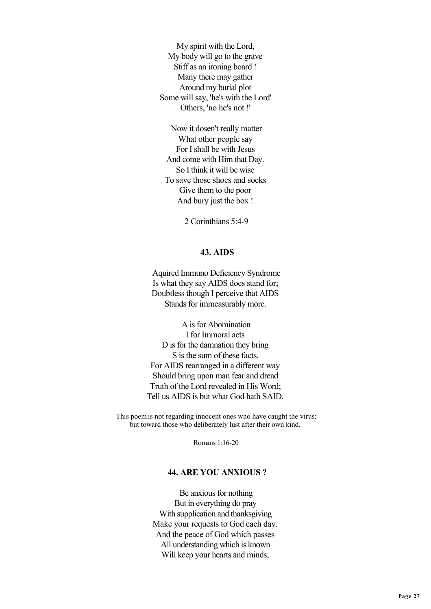My spirit with the Lord, My body will go to the grave Stiff as an ironing board ! Many there may gather Around my burial plot Some will say, 'he's with the Lord' Others, 'no he's not !'

 Now it dosen't really matter What other people say For I shall be with Jesus And come with Him that Day. So I think it will be wise To save those shoes and socks Give them to the poor And bury just the box !

2 Corinthians 5:4-9

### **43. AIDS**

 Aquired Immuno Deficiency Syndrome Is what they say AIDS does stand for; Doubtless though I perceive that AIDS Stands for immeasurably more.

 A is for Abomination I for Immoral acts D is for the damnation they bring S is the sum of these facts. For AIDS rearranged in a different way Should bring upon man fear and dread Truth of the Lord revealed in His Word; Tell us AIDS is but what God hath SAID.

 This poem is not regarding innocent ones who have caught the virus: but toward those who deliberately lust after their own kind.

Romans 1:16-20

# **44. ARE YOU ANXIOUS ?**

 Be anxious for nothing But in everything do pray With supplication and thanksgiving Make your requests to God each day. And the peace of God which passes All understanding which is known Will keep your hearts and minds;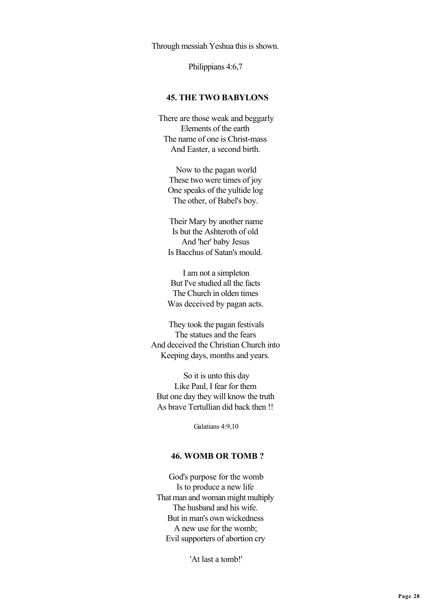Through messiah Yeshua this is shown.

Philippians 4:6,7

#### **45. THE TWO BABYLONS**

 There are those weak and beggarly Elements of the earth The name of one is Christ-mass And Easter, a second birth.

 Now to the pagan world These two were times of joy One speaks of the yultide log The other, of Babel's boy.

 Their Mary by another name Is but the Ashteroth of old And 'her' baby Jesus Is Bacchus of Satan's mould.

 I am not a simpleton But I've studied all the facts The Church in olden times Was deceived by pagan acts.

 They took the pagan festivals The statues and the fears And deceived the Christian Church into Keeping days, months and years.

 So it is unto this day Like Paul, I fear for them But one day they will know the truth As brave Tertullian did back then !!

Galatians 4:9,10

## **46. WOMB OR TOMB ?**

 God's purpose for the womb Is to produce a new life That man and woman might multiply The husband and his wife. But in man's own wickedness A new use for the womb; Evil supporters of abortion cry

'At last a tomb!'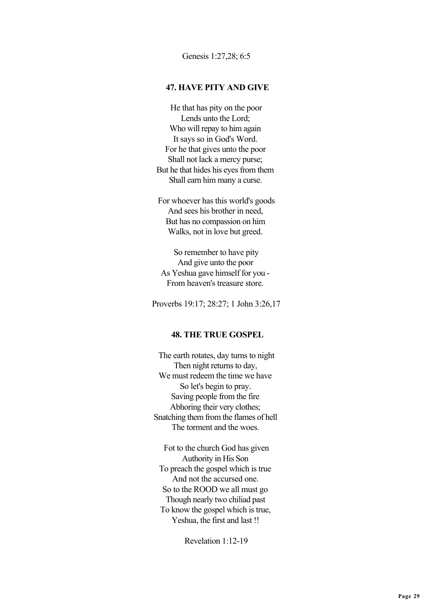Genesis 1:27,28; 6:5

#### **47. HAVE PITY AND GIVE**

 He that has pity on the poor Lends unto the Lord; Who will repay to him again It says so in God's Word. For he that gives unto the poor Shall not lack a mercy purse; But he that hides his eyes from them Shall earn him many a curse.

 For whoever has this world's goods And sees his brother in need, But has no compassion on him Walks, not in love but greed.

 So remember to have pity And give unto the poor As Yeshua gave himself for you - From heaven's treasure store.

Proverbs 19:17; 28:27; 1 John 3:26,17

### **48. THE TRUE GOSPEL**

 The earth rotates, day turns to night Then night returns to day, We must redeem the time we have So let's begin to pray. Saving people from the fire Abhoring their very clothes; Snatching them from the flames of hell The torment and the woes.

 Fot to the church God has given Authority in His Son To preach the gospel which is true And not the accursed one. So to the ROOD we all must go Though nearly two chiliad past To know the gospel which is true, Yeshua, the first and last !!

Revelation 1:12-19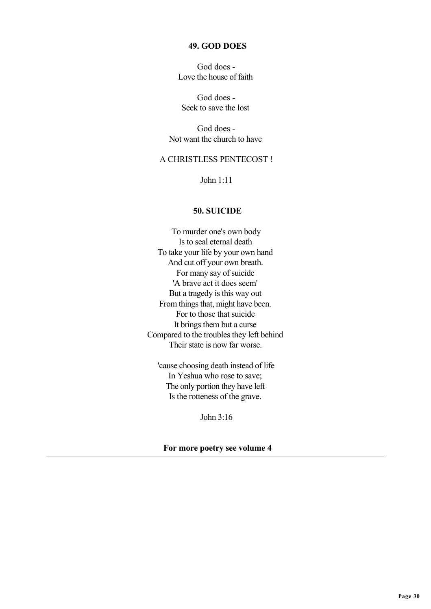### **49. GOD DOES**

 God does - Love the house of faith

 God does - Seek to save the lost

 God does - Not want the church to have

# A CHRISTLESS PENTECOST !

John 1:11

## **50. SUICIDE**

 To murder one's own body Is to seal eternal death To take your life by your own hand And cut off your own breath. For many say of suicide 'A brave act it does seem' But a tragedy is this way out From things that, might have been. For to those that suicide It brings them but a curse Compared to the troubles they left behind Their state is now far worse.

 'cause choosing death instead of life In Yeshua who rose to save; The only portion they have left Is the rotteness of the grave.

John  $3:16$ 

 **For more poetry see volume 4**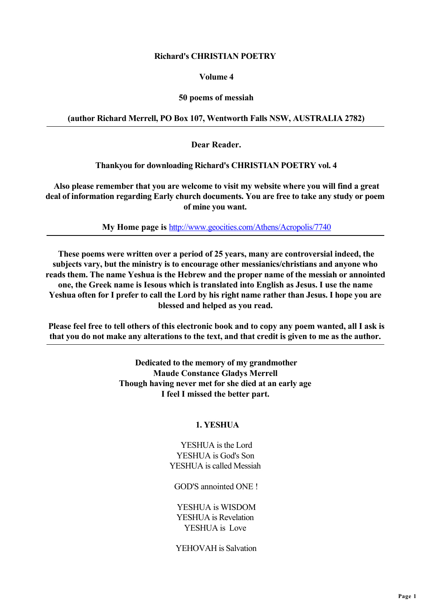# **Richard's CHRISTIAN POETRY**

## **Volume 4**

# **50 poems of messiah**

# **(author Richard Merrell, PO Box 107, Wentworth Falls NSW, AUSTRALIA 2782)**

 **Dear Reader.**

 **Thankyou for downloading Richard's CHRISTIAN POETRY vol. 4**

 **Also please remember that you are welcome to visit my website where you will find a great deal of information regarding Early church documents. You are free to take any study or poem of mine you want.**

 **My Home page is** <http://www.geocities.com/Athens/Acropolis/7740>

 **These poems were written over a period of 25 years, many are controversial indeed, the subjects vary, but the ministry is to encourage other messianics/christians and anyone who reads them. The name Yeshua is the Hebrew and the proper name of the messiah or annointed one, the Greek name is Iesous which is translated into English as Jesus. I use the name Yeshua often for I prefer to call the Lord by his right name rather than Jesus. I hope you are blessed and helped as you read.**

 **Please feel free to tell others of this electronic book and to copy any poem wanted, all I ask is that you do not make any alterations to the text, and that credit is given to me as the author.**

> **Dedicated to the memory of my grandmother Maude Constance Gladys Merrell Though having never met for she died at an early age I feel I missed the better part.**

# **1. YESHUA**

 YESHUA is the Lord YESHUA is God's Son YESHUA is called Messiah

GOD'S annointed ONE !

 YESHUA is WISDOM YESHUA is Revelation YESHUA is Love

YEHOVAH is Salvation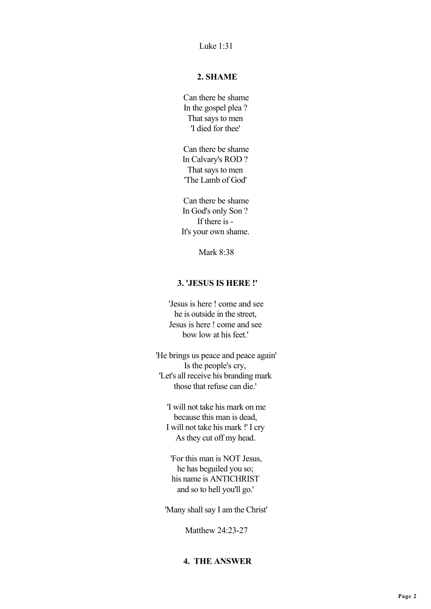Luke 1:31

# **2. SHAME**

 Can there be shame In the gospel plea ? That says to men 'I died for thee'

 Can there be shame In Calvary's ROD ? That says to men 'The Lamb of God'

 Can there be shame In God's only Son ? If there is - It's your own shame.

Mark 8:38

# **3. 'JESUS IS HERE !'**

 'Jesus is here ! come and see he is outside in the street, Jesus is here ! come and see bow low at his feet.'

 'He brings us peace and peace again' Is the people's cry, 'Let's all receive his branding mark those that refuse can die.'

 'I will not take his mark on me because this man is dead, I will not take his mark !' I cry As they cut off my head.

 'For this man is NOT Jesus, he has beguiled you so; his name is ANTICHRIST and so to hell you'll go.'

'Many shall say I am the Christ'

Matthew 24:23-27

# **4. THE ANSWER**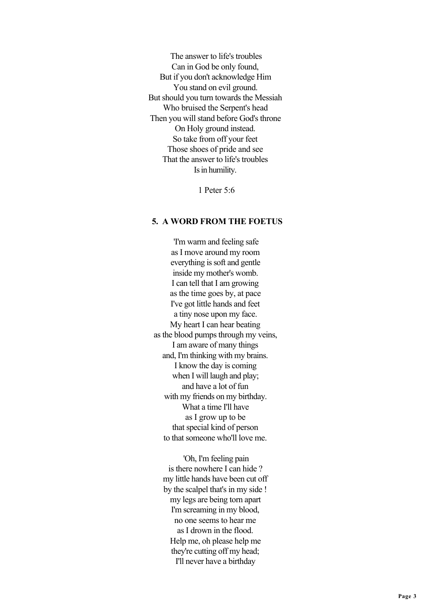The answer to life's troubles Can in God be only found, But if you don't acknowledge Him You stand on evil ground. But should you turn towards the Messiah Who bruised the Serpent's head Then you will stand before God's throne On Holy ground instead. So take from off your feet Those shoes of pride and see That the answer to life's troubles Is in humility.

1 Peter 5:6

## **5. A WORD FROM THE FOETUS**

 'I'm warm and feeling safe as I move around my room everything is soft and gentle inside my mother's womb. I can tell that I am growing as the time goes by, at pace I've got little hands and feet a tiny nose upon my face. My heart I can hear beating as the blood pumps through my veins, I am aware of many things and, I'm thinking with my brains. I know the day is coming when I will laugh and play; and have a lot of fun with my friends on my birthday. What a time I'll have as I grow up to be that special kind of person to that someone who'll love me.

 'Oh, I'm feeling pain is there nowhere I can hide ? my little hands have been cut off by the scalpel that's in my side ! my legs are being torn apart I'm screaming in my blood, no one seems to hear me as I drown in the flood. Help me, oh please help me they're cutting off my head; I'll never have a birthday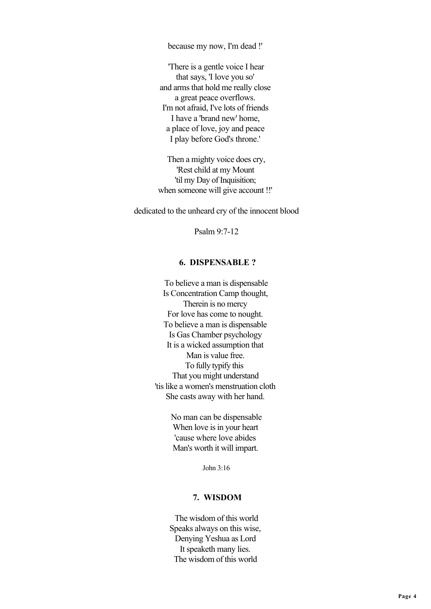because my now, I'm dead !'

 'There is a gentle voice I hear that says, 'I love you so' and arms that hold me really close a great peace overflows. I'm not afraid, I've lots of friends I have a 'brand new' home, a place of love, joy and peace I play before God's throne.'

 Then a mighty voice does cry, 'Rest child at my Mount 'til my Day of Inquisition; when someone will give account !!'

dedicated to the unheard cry of the innocent blood

Psalm 9:7-12

#### **6. DISPENSABLE ?**

 To believe a man is dispensable Is Concentration Camp thought, Therein is no mercy For love has come to nought. To believe a man is dispensable Is Gas Chamber psychology It is a wicked assumption that Man is value free. To fully typify this That you might understand 'tis like a women's menstruation cloth She casts away with her hand.

> No man can be dispensable When love is in your heart 'cause where love abides Man's worth it will impart.

> > John 3:16

#### **7. WISDOM**

 The wisdom of this world Speaks always on this wise, Denying Yeshua as Lord It speaketh many lies. The wisdom of this world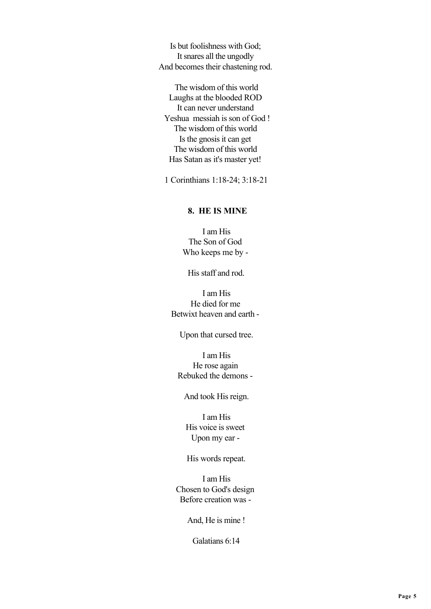Is but foolishness with God; It snares all the ungodly And becomes their chastening rod.

 The wisdom of this world Laughs at the blooded ROD It can never understand Yeshua messiah is son of God ! The wisdom of this world Is the gnosis it can get The wisdom of this world Has Satan as it's master yet!

1 Corinthians 1:18-24; 3:18-21

### **8. HE IS MINE**

 I am His The Son of God Who keeps me by -

His staff and rod.

 I am His He died for me Betwixt heaven and earth -

Upon that cursed tree.

 I am His He rose again Rebuked the demons -

### And took His reign.

 I am His His voice is sweet Upon my ear -

His words repeat.

 I am His Chosen to God's design Before creation was -

And, He is mine !

Galatians 6:14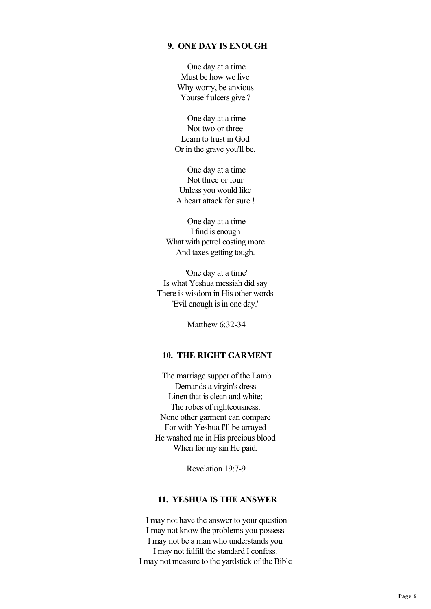## **9. ONE DAY IS ENOUGH**

 One day at a time Must be how we live Why worry, be anxious Yourself ulcers give?

 One day at a time Not two or three Learn to trust in God Or in the grave you'll be.

 One day at a time Not three or four Unless you would like A heart attack for sure !

 One day at a time I find is enough What with petrol costing more And taxes getting tough.

 'One day at a time' Is what Yeshua messiah did say There is wisdom in His other words 'Evil enough is in one day.'

Matthew 6:32-34

# **10. THE RIGHT GARMENT**

 The marriage supper of the Lamb Demands a virgin's dress Linen that is clean and white; The robes of righteousness. None other garment can compare For with Yeshua I'll be arrayed He washed me in His precious blood When for my sin He paid.

Revelation 19:7-9

### **11. YESHUA IS THE ANSWER**

 I may not have the answer to your question I may not know the problems you possess I may not be a man who understands you I may not fulfill the standard I confess. I may not measure to the yardstick of the Bible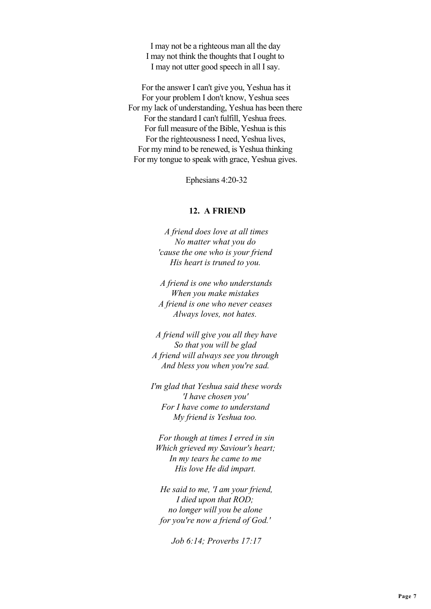I may not be a righteous man all the day I may not think the thoughts that I ought to I may not utter good speech in all I say.

 For the answer I can't give you, Yeshua has it For your problem I don't know, Yeshua sees For my lack of understanding, Yeshua has been there For the standard I can't fulfill, Yeshua frees. For full measure of the Bible, Yeshua is this For the righteousness I need, Yeshua lives, For my mind to be renewed, is Yeshua thinking For my tongue to speak with grace, Yeshua gives.

Ephesians 4:20-32

#### **12. A FRIEND**

 *A friend does love at all times No matter what you do 'cause the one who is your friend His heart is truned to you.*

 *A friend is one who understands When you make mistakes A friend is one who never ceases Always loves, not hates.*

 *A friend will give you all they have So that you will be glad A friend will always see you through And bless you when you're sad.*

 *I'm glad that Yeshua said these words 'I have chosen you' For I have come to understand My friend is Yeshua too.*

 *For though at times I erred in sin Which grieved my Saviour's heart; In my tears he came to me His love He did impart.*

 *He said to me, 'I am your friend, I died upon that ROD; no longer will you be alone for you're now a friend of God.'*

 *Job 6:14; Proverbs 17:17*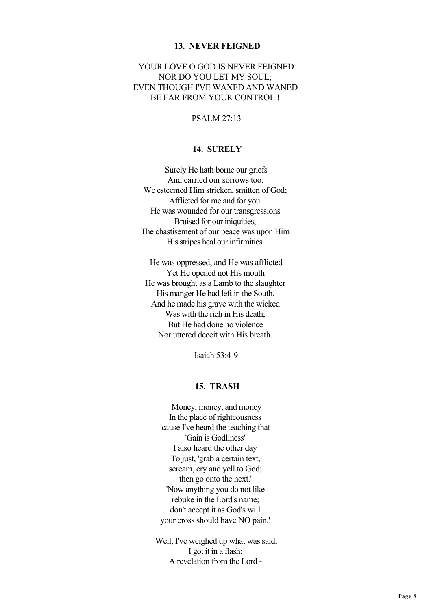#### **13. NEVER FEIGNED**

# YOUR LOVE O GOD IS NEVER FEIGNED NOR DO YOU LET MY SOUL; EVEN THOUGH I'VE WAXED AND WANED BE FAR FROM YOUR CONTROL !

## PSALM 27:13

## **14. SURELY**

 Surely He hath borne our griefs And carried our sorrows too, We esteemed Him stricken, smitten of God; Afflicted for me and for you. He was wounded for our transgressions Bruised for our iniquities: The chastisement of our peace was upon Him His stripes heal our infirmities.

 He was oppressed, and He was afflicted Yet He opened not His mouth He was brought as a Lamb to the slaughter His manger He had left in the South. And he made his grave with the wicked Was with the rich in His death: But He had done no violence Nor uttered deceit with His breath.

Isaiah 53:4-9

# **15. TRASH**

 Money, money, and money In the place of righteousness 'cause I've heard the teaching that 'Gain is Godliness' I also heard the other day To just, 'grab a certain text, scream, cry and yell to God; then go onto the next.' 'Now anything you do not like rebuke in the Lord's name; don't accept it as God's will your cross should have NO pain.'

 Well, I've weighed up what was said, I got it in a flash; A revelation from the Lord -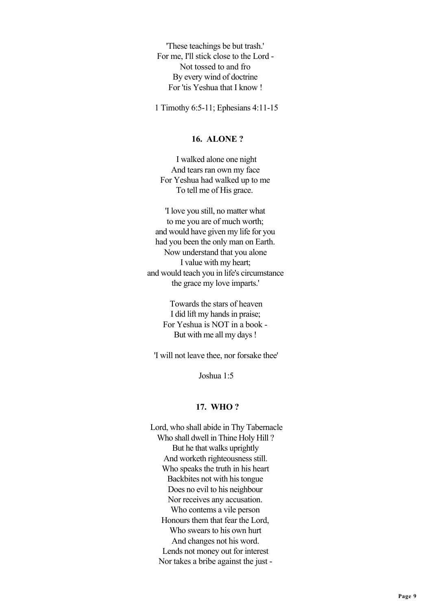'These teachings be but trash.' For me, I'll stick close to the Lord - Not tossed to and fro By every wind of doctrine For 'tis Yeshua that I know !

1 Timothy 6:5-11; Ephesians 4:11-15

## **16. ALONE ?**

 I walked alone one night And tears ran own my face For Yeshua had walked up to me To tell me of His grace.

'I love you still, no matter what to me you are of much worth; and would have given my life for you had you been the only man on Earth. Now understand that you alone I value with my heart; and would teach you in life's circumstance the grace my love imparts.'

> Towards the stars of heaven I did lift my hands in praise; For Yeshua is NOT in a book - But with me all my days !

'I will not leave thee, nor forsake thee'

Joshua 1:5

#### **17. WHO ?**

 Lord, who shall abide in Thy Tabernacle Who shall dwell in Thine Holy Hill ? But he that walks uprightly And worketh righteousness still. Who speaks the truth in his heart Backbites not with his tongue Does no evil to his neighbour Nor receives any accusation. Who contems a vile person Honours them that fear the Lord, Who swears to his own hurt And changes not his word. Lends not money out for interest Nor takes a bribe against the just -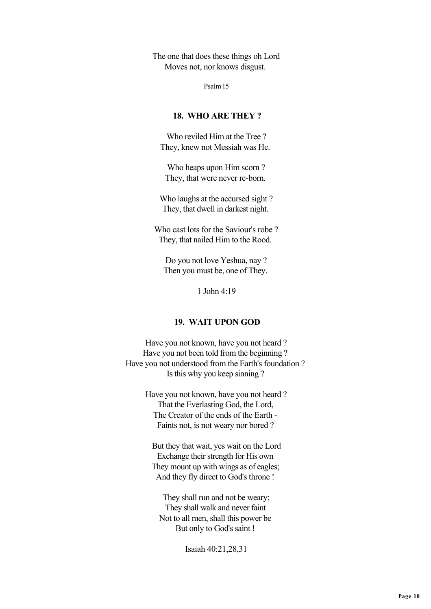The one that does these things oh Lord Moves not, nor knows disgust.

Psalm 15

# **18. WHO ARE THEY ?**

 Who reviled Him at the Tree ? They, knew not Messiah was He.

 Who heaps upon Him scorn ? They, that were never re-born.

 Who laughs at the accursed sight ? They, that dwell in darkest night.

 Who cast lots for the Saviour's robe ? They, that nailed Him to the Rood.

 Do you not love Yeshua, nay ? Then you must be, one of They.

1 John 4:19

# **19. WAIT UPON GOD**

 Have you not known, have you not heard ? Have you not been told from the beginning ? Have you not understood from the Earth's foundation ? Is this why you keep sinning ?

> Have you not known, have you not heard ? That the Everlasting God, the Lord, The Creator of the ends of the Earth - Faints not, is not weary nor bored ?

 But they that wait, yes wait on the Lord Exchange their strength for His own They mount up with wings as of eagles; And they fly direct to God's throne !

 They shall run and not be weary; They shall walk and never faint Not to all men, shall this power be But only to God's saint !

Isaiah 40:21,28,31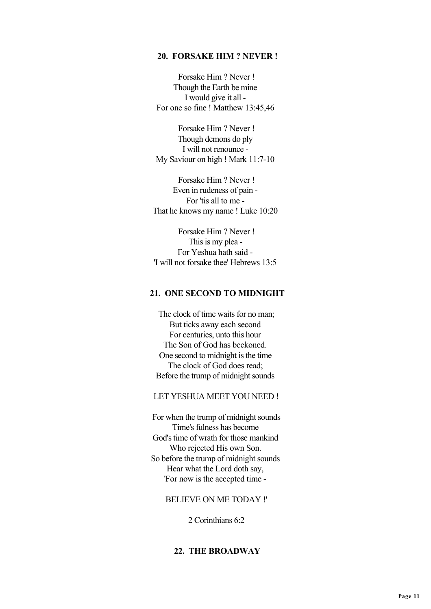### **20. FORSAKE HIM ? NEVER !**

 Forsake Him ? Never ! Though the Earth be mine I would give it all - For one so fine ! Matthew 13:45,46

 Forsake Him ? Never ! Though demons do ply I will not renounce - My Saviour on high ! Mark 11:7-10

 Forsake Him ? Never ! Even in rudeness of pain - For 'tis all to me - That he knows my name ! Luke 10:20

 Forsake Him ? Never ! This is my plea - For Yeshua hath said - 'I will not forsake thee' Hebrews 13:5

## **21. ONE SECOND TO MIDNIGHT**

 The clock of time waits for no man; But ticks away each second For centuries, unto this hour The Son of God has beckoned. One second to midnight is the time The clock of God does read; Before the trump of midnight sounds

### LET YESHUA MEET YOU NEED !

 For when the trump of midnight sounds Time's fulness has become God's time of wrath for those mankind Who rejected His own Son. So before the trump of midnight sounds Hear what the Lord doth say, 'For now is the accepted time -

### BELIEVE ON ME TODAY !'

2 Corinthians 6:2

### **22. THE BROADWAY**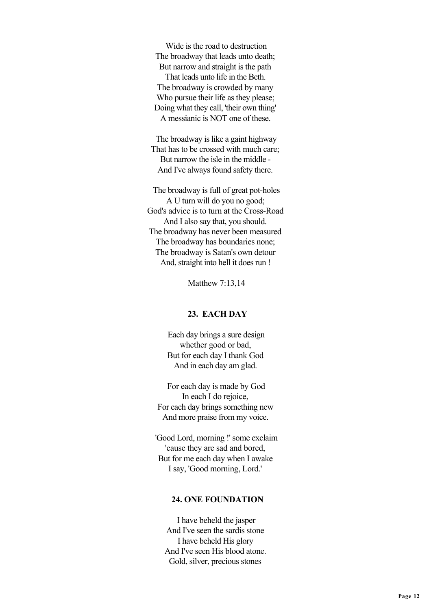Wide is the road to destruction The broadway that leads unto death; But narrow and straight is the path That leads unto life in the Beth. The broadway is crowded by many Who pursue their life as they please; Doing what they call, 'their own thing' A messianic is NOT one of these.

 The broadway is like a gaint highway That has to be crossed with much care; But narrow the isle in the middle - And I've always found safety there.

 The broadway is full of great pot-holes A U turn will do you no good; God's advice is to turn at the Cross-Road And I also say that, you should. The broadway has never been measured The broadway has boundaries none; The broadway is Satan's own detour And, straight into hell it does run !

Matthew 7:13,14

## **23. EACH DAY**

 Each day brings a sure design whether good or bad, But for each day I thank God And in each day am glad.

 For each day is made by God In each I do rejoice, For each day brings something new And more praise from my voice.

 'Good Lord, morning !' some exclaim 'cause they are sad and bored, But for me each day when I awake I say, 'Good morning, Lord.'

### **24. ONE FOUNDATION**

 I have beheld the jasper And I've seen the sardis stone I have beheld His glory And I've seen His blood atone. Gold, silver, precious stones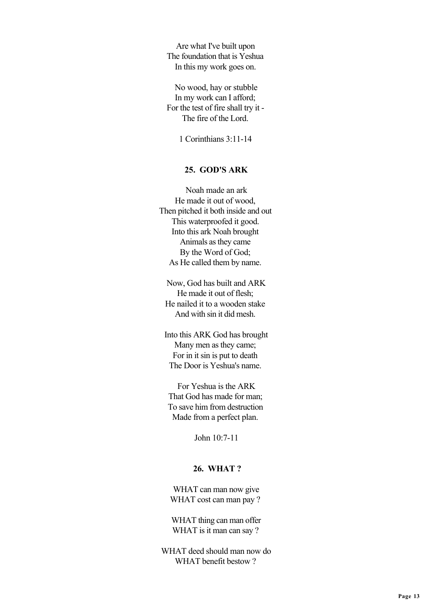Are what I've built upon The foundation that is Yeshua In this my work goes on.

 No wood, hay or stubble In my work can I afford; For the test of fire shall try it - The fire of the Lord.

1 Corinthians 3:11-14

### **25. GOD'S ARK**

 Noah made an ark He made it out of wood, Then pitched it both inside and out This waterproofed it good. Into this ark Noah brought Animals as they came By the Word of God; As He called them by name.

 Now, God has built and ARK He made it out of flesh; He nailed it to a wooden stake And with sin it did mesh.

 Into this ARK God has brought Many men as they came; For in it sin is put to death The Door is Yeshua's name.

 For Yeshua is the ARK That God has made for man; To save him from destruction Made from a perfect plan.

John 10:7-11

### **26. WHAT ?**

 WHAT can man now give WHAT cost can man pay ?

WHAT thing can man offer WHAT is it man can say ?

 WHAT deed should man now do WHAT benefit bestow ?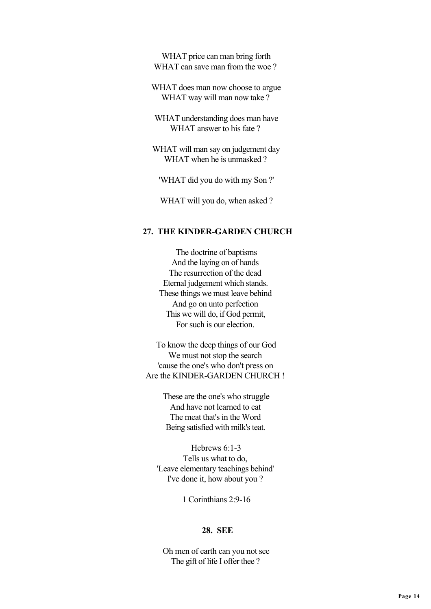WHAT price can man bring forth WHAT can save man from the woe?

 WHAT does man now choose to argue WHAT way will man now take?

 WHAT understanding does man have WHAT answer to his fate ?

 WHAT will man say on judgement day WHAT when he is unmasked ?

'WHAT did you do with my Son ?'

WHAT will you do, when asked ?

### **27. THE KINDER-GARDEN CHURCH**

 The doctrine of baptisms And the laying on of hands The resurrection of the dead Eternal judgement which stands. These things we must leave behind And go on unto perfection This we will do, if God permit, For such is our election.

 To know the deep things of our God We must not stop the search 'cause the one's who don't press on Are the KINDER-GARDEN CHURCH !

> These are the one's who struggle And have not learned to eat The meat that's in the Word Being satisfied with milk's teat.

 Hebrews 6:1-3 Tells us what to do, 'Leave elementary teachings behind' I've done it, how about you ?

1 Corinthians 2:9-16

# **28. SEE**

 Oh men of earth can you not see The gift of life I offer thee ?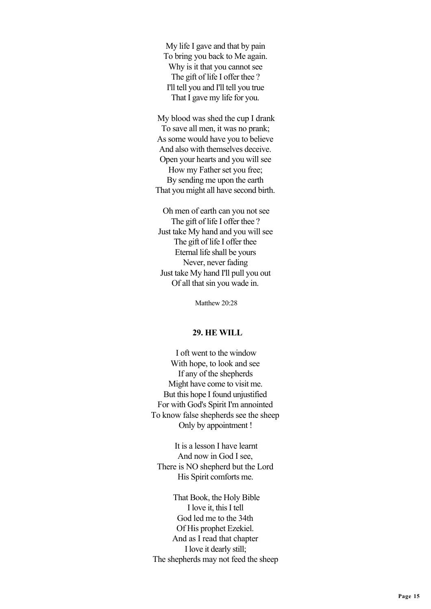My life I gave and that by pain To bring you back to Me again. Why is it that you cannot see The gift of life I offer thee ? I'll tell you and I'll tell you true That I gave my life for you.

 My blood was shed the cup I drank To save all men, it was no prank; As some would have you to believe And also with themselves deceive. Open your hearts and you will see How my Father set you free; By sending me upon the earth That you might all have second birth.

 Oh men of earth can you not see The gift of life I offer thee ? Just take My hand and you will see The gift of life I offer thee Eternal life shall be yours Never, never fading Just take My hand I'll pull you out Of all that sin you wade in.

Matthew 20:28

#### **29. HE WILL**

 I oft went to the window With hope, to look and see If any of the shepherds Might have come to visit me. But this hope I found unjustified For with God's Spirit I'm annointed To know false shepherds see the sheep Only by appointment !

 It is a lesson I have learnt And now in God I see, There is NO shepherd but the Lord His Spirit comforts me.

 That Book, the Holy Bible I love it, this I tell God led me to the 34th Of His prophet Ezekiel. And as I read that chapter I love it dearly still; The shepherds may not feed the sheep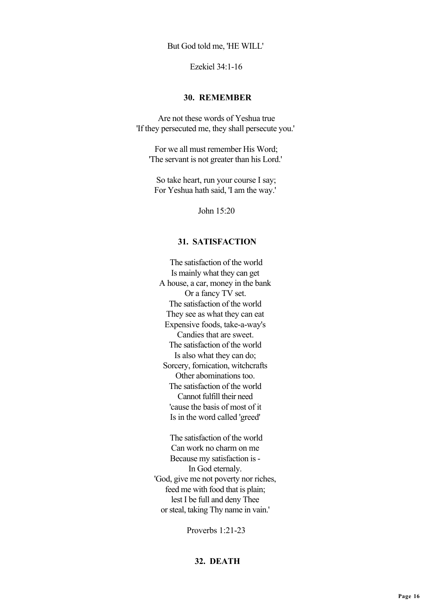But God told me, 'HE WILL'

Ezekiel 34:1-16

#### **30. REMEMBER**

 Are not these words of Yeshua true 'If they persecuted me, they shall persecute you.'

 For we all must remember His Word; 'The servant is not greater than his Lord.'

 So take heart, run your course I say; For Yeshua hath said, 'I am the way.'

John 15:20

## **31. SATISFACTION**

 The satisfaction of the world Is mainly what they can get A house, a car, money in the bank Or a fancy TV set. The satisfaction of the world They see as what they can eat Expensive foods, take-a-way's Candies that are sweet. The satisfaction of the world Is also what they can do; Sorcery, fornication, witchcrafts Other abominations too. The satisfaction of the world Cannot fulfill their need 'cause the basis of most of it Is in the word called 'greed'

 The satisfaction of the world Can work no charm on me Because my satisfaction is - In God eternaly. 'God, give me not poverty nor riches, feed me with food that is plain; lest I be full and deny Thee or steal, taking Thy name in vain.'

Proverbs 1:21-23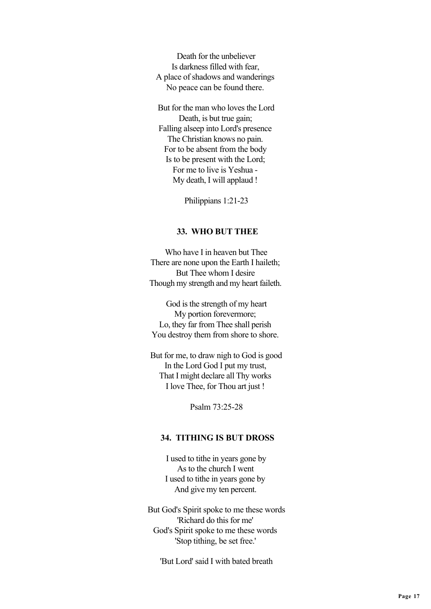Death for the unbeliever Is darkness filled with fear, A place of shadows and wanderings No peace can be found there.

 But for the man who loves the Lord Death, is but true gain; Falling alseep into Lord's presence The Christian knows no pain. For to be absent from the body Is to be present with the Lord; For me to live is Yeshua - My death, I will applaud !

Philippians 1:21-23

#### **33. WHO BUT THEE**

 Who have I in heaven but Thee There are none upon the Earth I haileth; But Thee whom I desire Though my strength and my heart faileth.

 God is the strength of my heart My portion forevermore; Lo, they far from Thee shall perish You destroy them from shore to shore.

 But for me, to draw nigh to God is good In the Lord God I put my trust, That I might declare all Thy works I love Thee, for Thou art just !

Psalm 73:25-28

### **34. TITHING IS BUT DROSS**

 I used to tithe in years gone by As to the church I went I used to tithe in years gone by And give my ten percent.

 But God's Spirit spoke to me these words 'Richard do this for me' God's Spirit spoke to me these words 'Stop tithing, be set free.'

'But Lord' said I with bated breath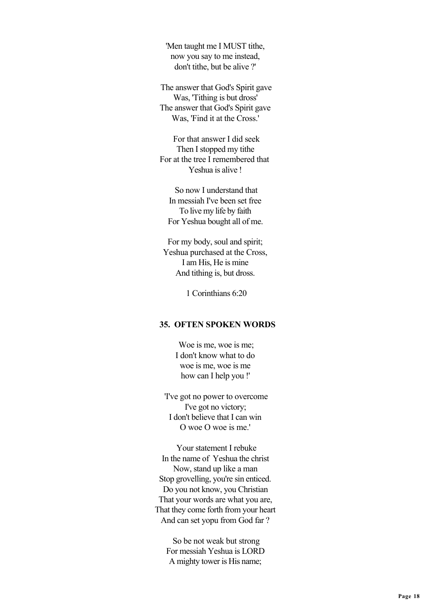'Men taught me I MUST tithe, now you say to me instead, don't tithe, but be alive ?'

 The answer that God's Spirit gave Was, 'Tithing is but dross' The answer that God's Spirit gave Was, 'Find it at the Cross.'

 For that answer I did seek Then I stopped my tithe For at the tree I remembered that Yeshua is alive !

 So now I understand that In messiah I've been set free To live my life by faith For Yeshua bought all of me.

 For my body, soul and spirit; Yeshua purchased at the Cross, I am His, He is mine And tithing is, but dross.

1 Corinthians 6:20

# **35. OFTEN SPOKEN WORDS**

Woe is me, woe is me. I don't know what to do woe is me, woe is me how can I help you !'

 'I've got no power to overcome I've got no victory; I don't believe that I can win O woe O woe is me.'

 Your statement I rebuke In the name of Yeshua the christ Now, stand up like a man Stop grovelling, you're sin enticed. Do you not know, you Christian That your words are what you are, That they come forth from your heart And can set yopu from God far ?

 So be not weak but strong For messiah Yeshua is LORD A mighty tower is His name;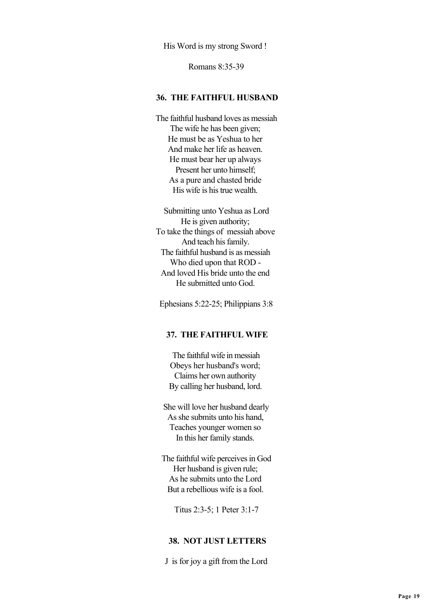His Word is my strong Sword !

Romans 8:35-39

#### **36. THE FAITHFUL HUSBAND**

 The faithful husband loves as messiah The wife he has been given; He must be as Yeshua to her And make her life as heaven. He must bear her up always Present her unto himself; As a pure and chasted bride His wife is his true wealth.

 Submitting unto Yeshua as Lord He is given authority; To take the things of messiah above And teach his family. The faithful husband is as messiah Who died upon that ROD - And loved His bride unto the end He submitted unto God.

Ephesians 5:22-25; Philippians 3:8

### **37. THE FAITHFUL WIFE**

 The faithful wife in messiah Obeys her husband's word; Claims her own authority By calling her husband, lord.

 She will love her husband dearly As she submits unto his hand, Teaches younger women so In this her family stands.

 The faithful wife perceives in God Her husband is given rule; As he submits unto the Lord But a rebellious wife is a fool.

Titus 2:3-5; 1 Peter 3:1-7

### **38. NOT JUST LETTERS**

J is for joy a gift from the Lord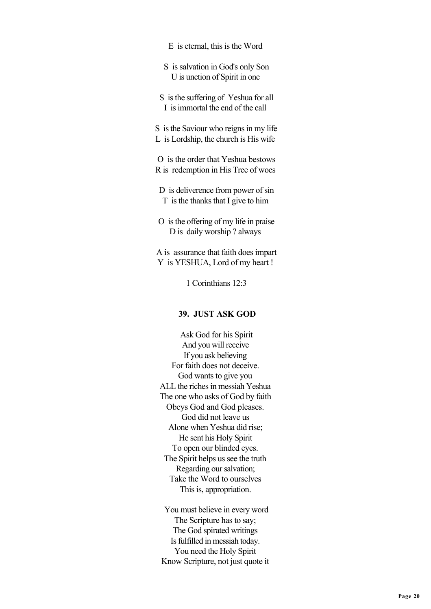- E is eternal, this is the Word
- S is salvation in God's only Son U is unction of Spirit in one
- S is the suffering of Yeshua for all I is immortal the end of the call
- S is the Saviour who reigns in my life L is Lordship, the church is His wife

 O is the order that Yeshua bestows R is redemption in His Tree of woes

- D is deliverence from power of sin T is the thanks that I give to him
- O is the offering of my life in praise D is daily worship ? always

 A is assurance that faith does impart Y is YESHUA, Lord of my heart !

1 Corinthians 12:3

## **39. JUST ASK GOD**

 Ask God for his Spirit And you will receive If you ask believing For faith does not deceive. God wants to give you ALL the riches in messiah Yeshua The one who asks of God by faith Obeys God and God pleases. God did not leave us Alone when Yeshua did rise; He sent his Holy Spirit To open our blinded eyes. The Spirit helps us see the truth Regarding our salvation; Take the Word to ourselves This is, appropriation.

 You must believe in every word The Scripture has to say; The God spirated writings Is fulfilled in messiah today. You need the Holy Spirit Know Scripture, not just quote it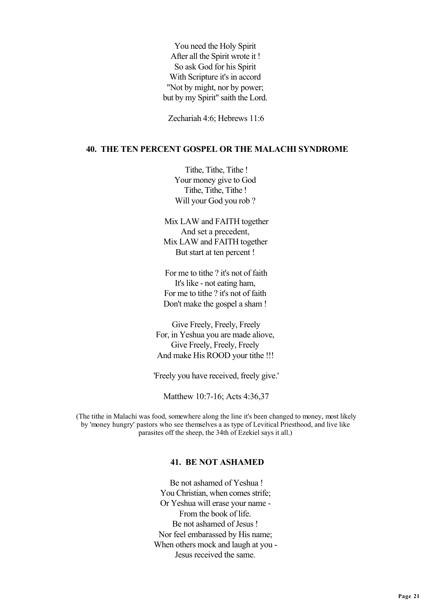You need the Holy Spirit After all the Spirit wrote it ! So ask God for his Spirit With Scripture it's in accord "Not by might, nor by power; but by my Spirit" saith the Lord.

Zechariah 4:6; Hebrews 11:6

### **40. THE TEN PERCENT GOSPEL OR THE MALACHI SYNDROME**

 Tithe, Tithe, Tithe ! Your money give to God Tithe, Tithe, Tithe ! Will your God you rob ?

 Mix LAW and FAITH together And set a precedent, Mix LAW and FAITH together But start at ten percent !

 For me to tithe ? it's not of faith It's like - not eating ham, For me to tithe ? it's not of faith Don't make the gospel a sham !

 Give Freely, Freely, Freely For, in Yeshua you are made aliove, Give Freely, Freely, Freely And make His ROOD your tithe !!!

'Freely you have received, freely give.'

Matthew 10:7-16; Acts 4:36,37

 (The tithe in Malachi was food, somewhere along the line it's been changed to money, most likely by 'money hungry' pastors who see themselves a as type of Levitical Priesthood, and live like parasites off the sheep, the 34th of Ezekiel says it all.)

## **41. BE NOT ASHAMED**

 Be not ashamed of Yeshua ! You Christian, when comes strife; Or Yeshua will erase your name - From the book of life. Be not ashamed of Jesus ! Nor feel embarassed by His name; When others mock and laugh at you - Jesus received the same.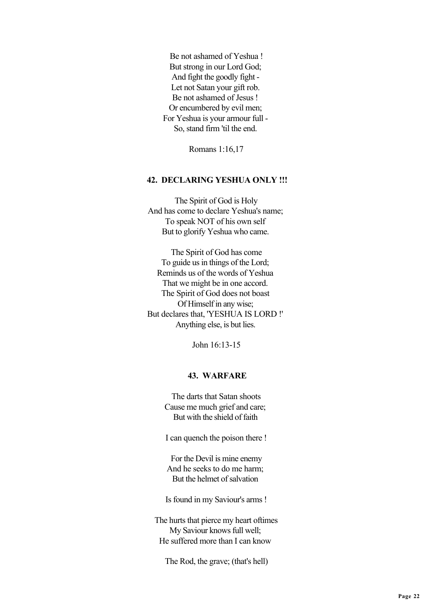Be not ashamed of Yeshua ! But strong in our Lord God; And fight the goodly fight - Let not Satan your gift rob. Be not ashamed of Jesus ! Or encumbered by evil men; For Yeshua is your armour full - So, stand firm 'til the end.

Romans 1:16,17

## **42. DECLARING YESHUA ONLY !!!**

 The Spirit of God is Holy And has come to declare Yeshua's name; To speak NOT of his own self But to glorify Yeshua who came.

 The Spirit of God has come To guide us in things of the Lord; Reminds us of the words of Yeshua That we might be in one accord. The Spirit of God does not boast Of Himself in any wise; But declares that, 'YESHUA IS LORD !' Anything else, is but lies.

John 16:13-15

### **43. WARFARE**

 The darts that Satan shoots Cause me much grief and care; But with the shield of faith

I can quench the poison there !

 For the Devil is mine enemy And he seeks to do me harm; But the helmet of salvation

Is found in my Saviour's arms !

 The hurts that pierce my heart oftimes My Saviour knows full well; He suffered more than I can know

The Rod, the grave; (that's hell)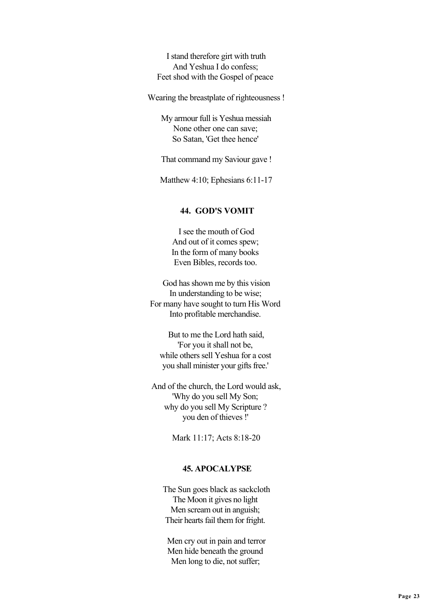I stand therefore girt with truth And Yeshua I do confess; Feet shod with the Gospel of peace

Wearing the breastplate of righteousness !

 My armour full is Yeshua messiah None other one can save; So Satan, 'Get thee hence'

That command my Saviour gave !

Matthew 4:10; Ephesians 6:11-17

### **44. GOD'S VOMIT**

 I see the mouth of God And out of it comes spew; In the form of many books Even Bibles, records too.

 God has shown me by this vision In understanding to be wise; For many have sought to turn His Word Into profitable merchandise.

 But to me the Lord hath said, 'For you it shall not be, while others sell Yeshua for a cost you shall minister your gifts free.'

 And of the church, the Lord would ask, 'Why do you sell My Son; why do you sell My Scripture ? you den of thieves !'

Mark 11:17; Acts 8:18-20

#### **45. APOCALYPSE**

 The Sun goes black as sackcloth The Moon it gives no light Men scream out in anguish; Their hearts fail them for fright.

 Men cry out in pain and terror Men hide beneath the ground Men long to die, not suffer;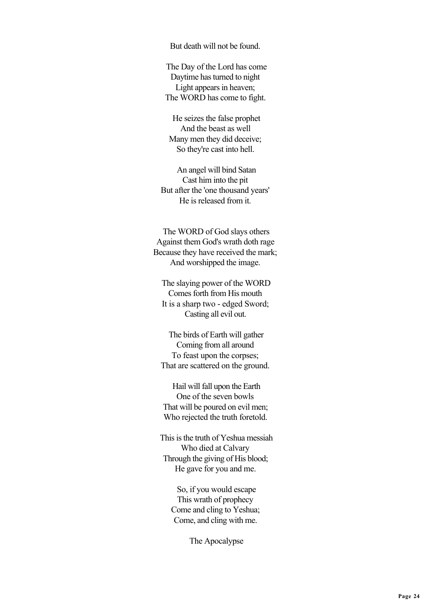But death will not be found.

 The Day of the Lord has come Daytime has turned to night Light appears in heaven; The WORD has come to fight.

 He seizes the false prophet And the beast as well Many men they did deceive; So they're cast into hell.

 An angel will bind Satan Cast him into the pit But after the 'one thousand years' He is released from it.

 The WORD of God slays others Against them God's wrath doth rage Because they have received the mark; And worshipped the image.

 The slaying power of the WORD Comes forth from His mouth It is a sharp two - edged Sword; Casting all evil out.

 The birds of Earth will gather Coming from all around To feast upon the corpses; That are scattered on the ground.

 Hail will fall upon the Earth One of the seven bowls That will be poured on evil men; Who rejected the truth foretold.

 This is the truth of Yeshua messiah Who died at Calvary Through the giving of His blood; He gave for you and me.

 So, if you would escape This wrath of prophecy Come and cling to Yeshua; Come, and cling with me.

The Apocalypse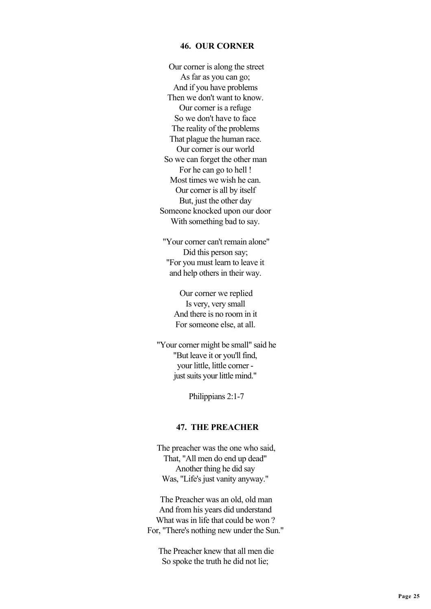### **46. OUR CORNER**

 Our corner is along the street As far as you can go; And if you have problems Then we don't want to know. Our corner is a refuge So we don't have to face The reality of the problems That plague the human race. Our corner is our world So we can forget the other man For he can go to hell ! Most times we wish he can. Our corner is all by itself But, just the other day Someone knocked upon our door With something bad to say.

 "Your corner can't remain alone" Did this person say; "For you must learn to leave it and help others in their way.

 Our corner we replied Is very, very small And there is no room in it For someone else, at all.

 "Your corner might be small" said he "But leave it or you'll find, your little, little corner just suits your little mind."

Philippians 2:1-7

### **47. THE PREACHER**

 The preacher was the one who said, That, "All men do end up dead" Another thing he did say Was, "Life's just vanity anyway."

 The Preacher was an old, old man And from his years did understand What was in life that could be won ? For, "There's nothing new under the Sun."

 The Preacher knew that all men die So spoke the truth he did not lie;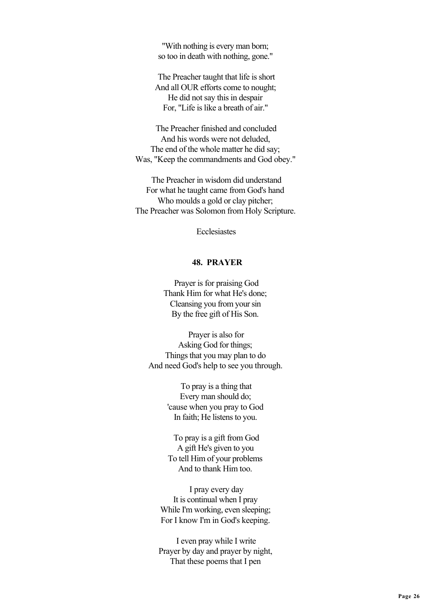"With nothing is every man born; so too in death with nothing, gone."

 The Preacher taught that life is short And all OUR efforts come to nought; He did not say this in despair For, "Life is like a breath of air."

 The Preacher finished and concluded And his words were not deluded, The end of the whole matter he did say; Was, "Keep the commandments and God obey."

 The Preacher in wisdom did understand For what he taught came from God's hand Who moulds a gold or clay pitcher; The Preacher was Solomon from Holy Scripture.

**Ecclesiastes** 

### **48. PRAYER**

 Prayer is for praising God Thank Him for what He's done; Cleansing you from your sin By the free gift of His Son.

 Prayer is also for Asking God for things; Things that you may plan to do And need God's help to see you through.

> To pray is a thing that Every man should do; 'cause when you pray to God In faith; He listens to you.

 To pray is a gift from God A gift He's given to you To tell Him of your problems And to thank Him too.

 I pray every day It is continual when I pray While I'm working, even sleeping; For I know I'm in God's keeping.

 I even pray while I write Prayer by day and prayer by night, That these poems that I pen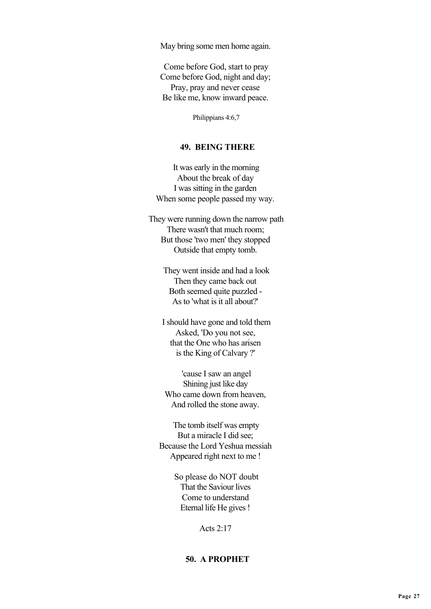May bring some men home again.

 Come before God, start to pray Come before God, night and day; Pray, pray and never cease Be like me, know inward peace.

Philippians 4:6,7

# **49. BEING THERE**

 It was early in the morning About the break of day I was sitting in the garden When some people passed my way.

 They were running down the narrow path There wasn't that much room; But those 'two men' they stopped Outside that empty tomb.

> They went inside and had a look Then they came back out Both seemed quite puzzled - As to 'what is it all about?'

 I should have gone and told them Asked, 'Do you not see, that the One who has arisen is the King of Calvary ?'

 'cause I saw an angel Shining just like day Who came down from heaven, And rolled the stone away.

 The tomb itself was empty But a miracle I did see; Because the Lord Yeshua messiah Appeared right next to me !

> So please do NOT doubt That the Saviour lives Come to understand Eternal life He gives !

> > Acts 2:17

# **50. A PROPHET**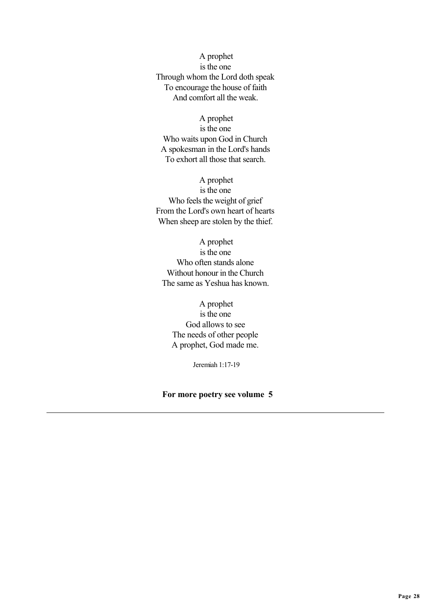A prophet is the one Through whom the Lord doth speak To encourage the house of faith And comfort all the weak.

 A prophet is the one Who waits upon God in Church A spokesman in the Lord's hands To exhort all those that search.

A prophet

is the one Who feels the weight of grief From the Lord's own heart of hearts When sheep are stolen by the thief.

 A prophet is the one Who often stands alone Without honour in the Church The same as Yeshua has known.

 A prophet is the one God allows to see The needs of other people A prophet, God made me.

Jeremiah 1:17-19

#### **For more poetry see volume 5**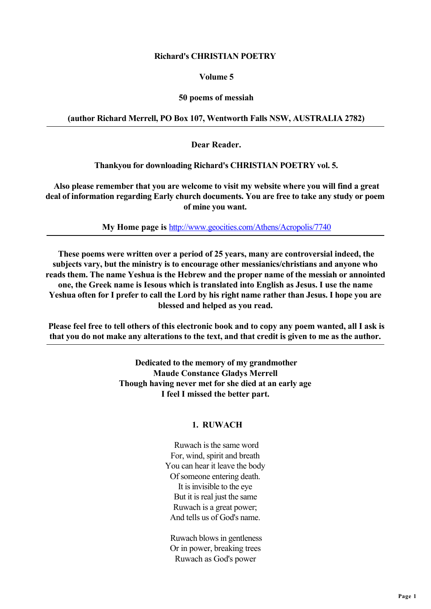### **Richard's CHRISTIAN POETRY**

### **Volume 5**

# **50 poems of messiah**

# **(author Richard Merrell, PO Box 107, Wentworth Falls NSW, AUSTRALIA 2782)**

 **Dear Reader.**

 **Thankyou for downloading Richard's CHRISTIAN POETRY vol. 5.**

 **Also please remember that you are welcome to visit my website where you will find a great deal of information regarding Early church documents. You are free to take any study or poem of mine you want.**

 **My Home page is** [http://www.geocities.com/Athens/Acropolis/7740](http://www.geocities��b���0n7���ޤ������)

 **These poems were written over a period of 25 years, many are controversial indeed, the subjects vary, but the ministry is to encourage other messianics/christians and anyone who reads them. The name Yeshua is the Hebrew and the proper name of the messiah or annointed one, the Greek name is Iesous which is translated into English as Jesus. I use the name Yeshua often for I prefer to call the Lord by his right name rather than Jesus. I hope you are blessed and helped as you read.**

 **Please feel free to tell others of this electronic book and to copy any poem wanted, all I ask is that you do not make any alterations to the text, and that credit is given to me as the author.**

> **Dedicated to the memory of my grandmother Maude Constance Gladys Merrell Though having never met for she died at an early age I feel I missed the better part.**

# **1. RUWACH**

 Ruwach is the same word For, wind, spirit and breath You can hear it leave the body Of someone entering death. It is invisible to the eye But it is real just the same Ruwach is a great power; And tells us of God's name.

 Ruwach blows in gentleness Or in power, breaking trees Ruwach as God's power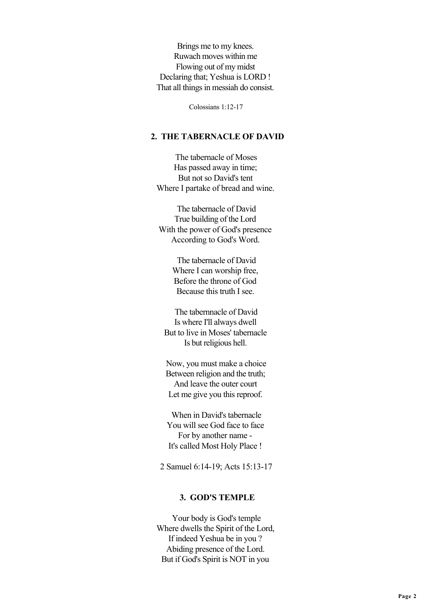Brings me to my knees. Ruwach moves within me Flowing out of my midst Declaring that; Yeshua is LORD ! That all things in messiah do consist.

Colossians 1:12-17

### **2. THE TABERNACLE OF DAVID**

 The tabernacle of Moses Has passed away in time; But not so David's tent Where I partake of bread and wine.

 The tabernacle of David True building of the Lord With the power of God's presence According to God's Word.

> The tabernacle of David Where I can worship free. Before the throne of God Because this truth I see.

 The tabernnacle of David Is where I'll always dwell But to live in Moses' tabernacle Is but religious hell.

 Now, you must make a choice Between religion and the truth; And leave the outer court Let me give you this reproof.

 When in David's tabernacle You will see God face to face For by another name - It's called Most Holy Place !

2 Samuel 6:14-19; Acts 15:13-17

### **3. GOD'S TEMPLE**

 Your body is God's temple Where dwells the Spirit of the Lord, If indeed Yeshua be in you ? Abiding presence of the Lord. But if God's Spirit is NOT in you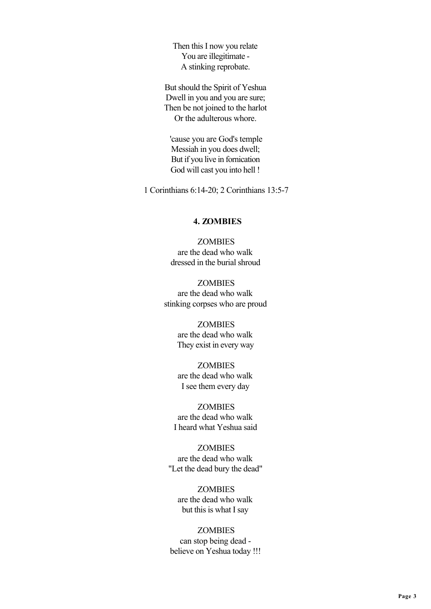Then this I now you relate You are illegitimate - A stinking reprobate.

But should the Spirit of Yeshua Dwell in you and you are sure; Then be not joined to the harlot Or the adulterous whore.

 'cause you are God's temple Messiah in you does dwell; But if you live in fornication God will cast you into hell !

1 Corinthians 6:14-20; 2 Corinthians 13:5-7

### **4. ZOMBIES**

**ZOMBIES** are the dead who walk dressed in the burial shroud

**ZOMBIES** are the dead who walk stinking corpses who are proud

> **ZOMBIES** are the dead who walk They exist in every way

> **ZOMBIES** are the dead who walk I see them every day

 ZOMBIES are the dead who walk I heard what Yeshua said

**ZOMBIES** are the dead who walk "Let the dead bury the dead"

 ZOMBIES are the dead who walk but this is what I say

 ZOMBIES can stop being dead believe on Yeshua today !!!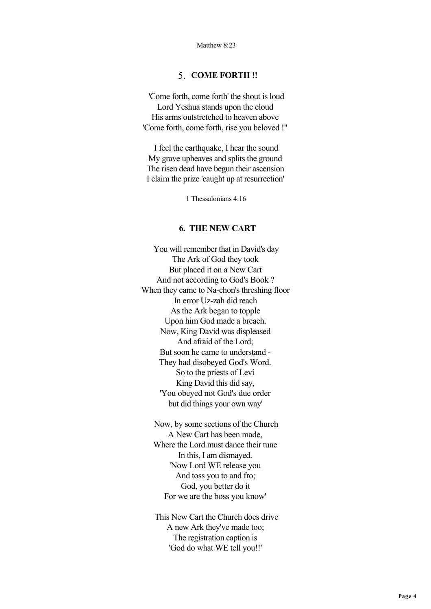### 5. **COME FORTH !!**

 'Come forth, come forth' the shout is loud Lord Yeshua stands upon the cloud His arms outstretched to heaven above 'Come forth, come forth, rise you beloved !"

 I feel the earthquake, I hear the sound My grave upheaves and splits the ground The risen dead have begun their ascension I claim the prize 'caught up at resurrection'

1 Thessalonians 4:16

### **6. THE NEW CART**

 You will remember that in David's day The Ark of God they took But placed it on a New Cart And not according to God's Book ? When they came to Na-chon's threshing floor In error Uz-zah did reach As the Ark began to topple Upon him God made a breach. Now, King David was displeased And afraid of the Lord; But soon he came to understand - They had disobeyed God's Word. So to the priests of Levi King David this did say, 'You obeyed not God's due order but did things your own way'

 Now, by some sections of the Church A New Cart has been made, Where the Lord must dance their tune In this, I am dismayed. 'Now Lord WE release you And toss you to and fro; God, you better do it For we are the boss you know'

 This New Cart the Church does drive A new Ark they've made too; The registration caption is 'God do what WE tell you!!'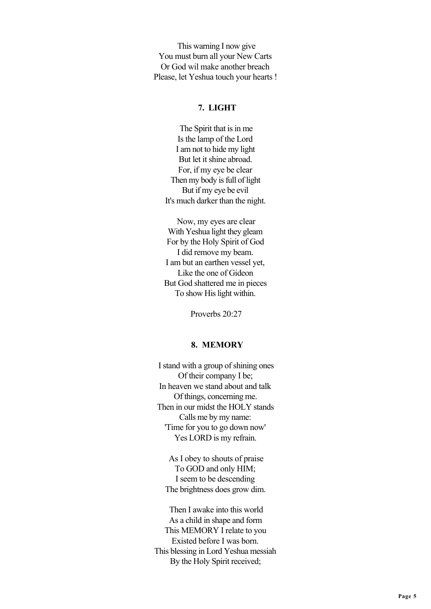This warning I now give You must burn all your New Carts Or God wil make another breach Please, let Yeshua touch your hearts !

### **7. LIGHT**

 The Spirit that is in me Is the lamp of the Lord I am not to hide my light But let it shine abroad. For, if my eye be clear Then my body is full of light But if my eye be evil It's much darker than the night.

 Now, my eyes are clear With Yeshua light they gleam For by the Holy Spirit of God I did remove my beam. I am but an earthen vessel yet, Like the one of Gideon But God shattered me in pieces To show His light within.

Proverbs 20:27

### **8. MEMORY**

 I stand with a group of shining ones Of their company I be; In heaven we stand about and talk Of things, concerning me. Then in our midst the HOLY stands Calls me by my name: 'Time for you to go down now' Yes LORD is my refrain.

 As I obey to shouts of praise To GOD and only HIM; I seem to be descending The brightness does grow dim.

 Then I awake into this world As a child in shape and form This MEMORY I relate to you Existed before I was born. This blessing in Lord Yeshua messiah By the Holy Spirit received;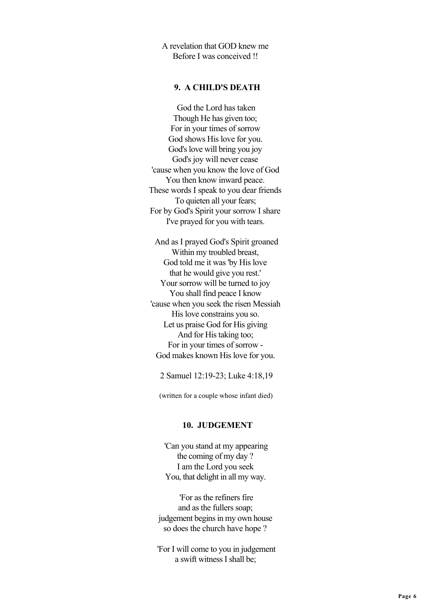A revelation that GOD knew me Before I was conceived !!

### **9. A CHILD'S DEATH**

 God the Lord has taken Though He has given too; For in your times of sorrow God shows His love for you. God's love will bring you joy God's joy will never cease 'cause when you know the love of God You then know inward peace. These words I speak to you dear friends To quieten all your fears; For by God's Spirit your sorrow I share I've prayed for you with tears.

 And as I prayed God's Spirit groaned Within my troubled breast, God told me it was 'by His love that he would give you rest.' Your sorrow will be turned to joy You shall find peace I know 'cause when you seek the risen Messiah His love constrains you so. Let us praise God for His giving And for His taking too; For in your times of sorrow - God makes known His love for you.

2 Samuel 12:19-23; Luke 4:18,19

(written for a couple whose infant died)

### **10. JUDGEMENT**

 'Can you stand at my appearing the coming of my day ? I am the Lord you seek You, that delight in all my way.

 'For as the refiners fire and as the fullers soap; judgement begins in my own house so does the church have hope ?

 'For I will come to you in judgement a swift witness I shall be;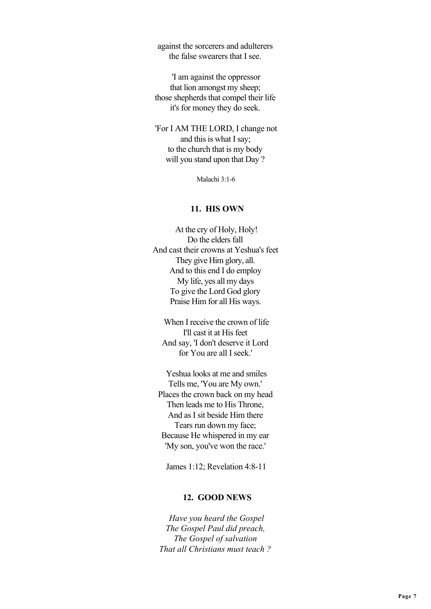against the sorcerers and adulterers the false swearers that I see.

 'I am against the oppressor that lion amongst my sheep; those shepherds that compel their life it's for money they do seek.

 'For I AM THE LORD, I change not and this is what I say; to the church that is my body will you stand upon that Day ?

Malachi 3:1-6

#### **11. HIS OWN**

 At the cry of Holy, Holy! Do the elders fall And cast their crowns at Yeshua's feet They give Him glory, all. And to this end I do employ My life, yes all my days To give the Lord God glory Praise Him for all His ways.

 When I receive the crown of life I'll cast it at His feet And say, 'I don't deserve it Lord for You are all I seek.'

 Yeshua looks at me and smiles Tells me, 'You are My own.' Places the crown back on my head Then leads me to His Throne, And as I sit beside Him there Tears run down my face; Because He whispered in my ear 'My son, you've won the race.'

James 1:12; Revelation 4:8-11

### **12. GOOD NEWS**

 *Have you heard the Gospel The Gospel Paul did preach, The Gospel of salvation That all Christians must teach ?*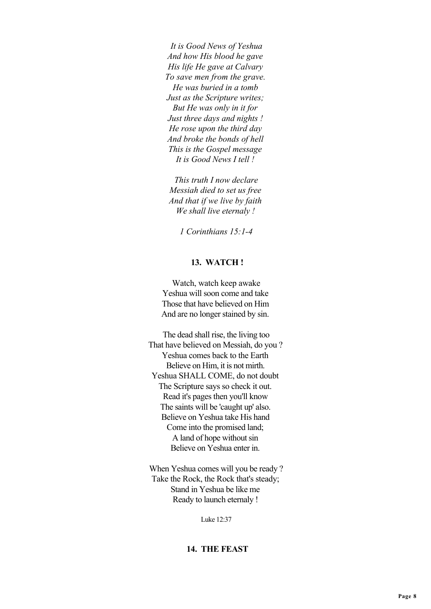*It is Good News of Yeshua And how His blood he gave His life He gave at Calvary To save men from the grave. He was buried in a tomb Just as the Scripture writes; But He was only in it for Just three days and nights ! He rose upon the third day And broke the bonds of hell This is the Gospel message It is Good News I tell !*

 *This truth I now declare Messiah died to set us free And that if we live by faith We shall live eternaly !*

 *1 Corinthians 15:1-4*

#### **13. WATCH !**

 Watch, watch keep awake Yeshua will soon come and take Those that have believed on Him And are no longer stained by sin.

 The dead shall rise, the living too That have believed on Messiah, do you ? Yeshua comes back to the Earth Believe on Him, it is not mirth. Yeshua SHALL COME, do not doubt The Scripture says so check it out. Read it's pages then you'll know The saints will be 'caught up' also. Believe on Yeshua take His hand Come into the promised land; A land of hope without sin Believe on Yeshua enter in.

 When Yeshua comes will you be ready ? Take the Rock, the Rock that's steady; Stand in Yeshua be like me Ready to launch eternaly !

Luke 12:37

#### **14. THE FEAST**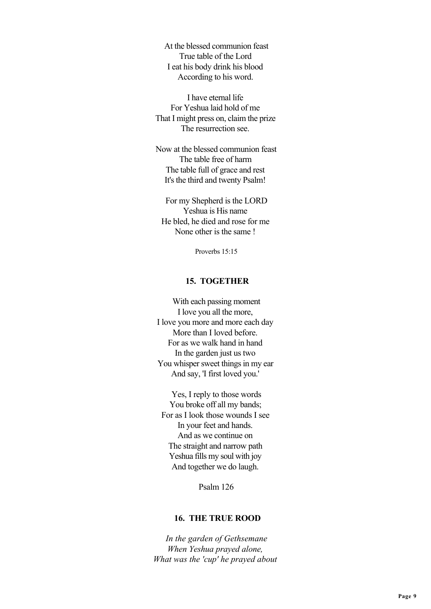At the blessed communion feast True table of the Lord I eat his body drink his blood According to his word.

 I have eternal life For Yeshua laid hold of me That I might press on, claim the prize The resurrection see.

 Now at the blessed communion feast The table free of harm The table full of grace and rest It's the third and twenty Psalm!

 For my Shepherd is the LORD Yeshua is His name He bled, he died and rose for me None other is the same !

Proverbs 15:15

# **15. TOGETHER**

 With each passing moment I love you all the more, I love you more and more each day More than I loved before. For as we walk hand in hand In the garden just us two You whisper sweet things in my ear And say, 'I first loved you.'

 Yes, I reply to those words You broke off all my bands; For as I look those wounds I see In your feet and hands. And as we continue on The straight and narrow path Yeshua fills my soul with joy And together we do laugh.

Psalm 126

### **16. THE TRUE ROOD**

 *In the garden of Gethsemane When Yeshua prayed alone, What was the 'cup' he prayed about*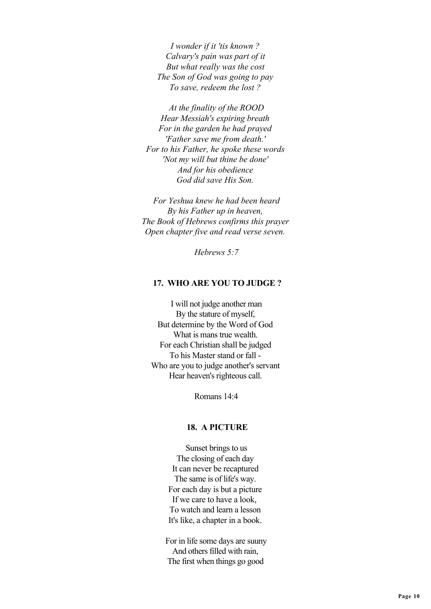*I wonder if it 'tis known ? Calvary's pain was part of it But what really was the cost The Son of God was going to pay To save, redeem the lost ?*

 *At the finality of the ROOD Hear Messiah's expiring breath For in the garden he had prayed 'Father save me from death.' For to his Father, he spoke these words 'Not my will but thine be done' And for his obedience God did save His Son.*

 *For Yeshua knew he had been heard By his Father up in heaven, The Book of Hebrews confirms this prayer Open chapter five and read verse seven.*

 *Hebrews 5:7*

### **17. WHO ARE YOU TO JUDGE ?**

 I will not judge another man By the stature of myself, But determine by the Word of God What is mans true wealth. For each Christian shall be judged To his Master stand or fall - Who are you to judge another's servant Hear heaven's righteous call.

Romans 14:4

### **18. A PICTURE**

 Sunset brings to us The closing of each day It can never be recaptured The same is of life's way. For each day is but a picture If we care to have a look, To watch and learn a lesson It's like, a chapter in a book.

 For in life some days are suuny And others filled with rain, The first when things go good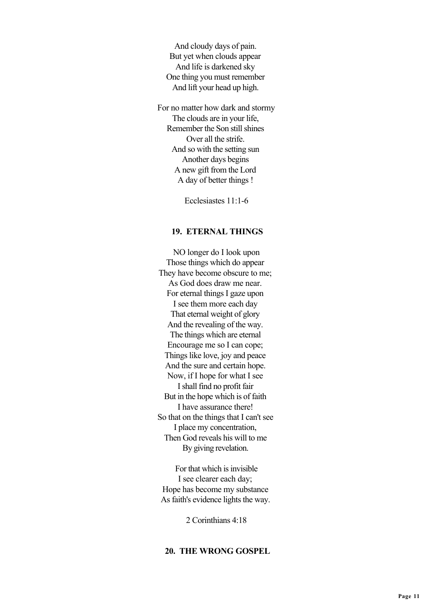And cloudy days of pain. But yet when clouds appear And life is darkened sky One thing you must remember And lift your head up high.

 For no matter how dark and stormy The clouds are in your life, Remember the Son still shines Over all the strife. And so with the setting sun Another days begins A new gift from the Lord A day of better things !

Ecclesiastes 11:1-6

#### **19. ETERNAL THINGS**

 NO longer do I look upon Those things which do appear They have become obscure to me; As God does draw me near. For eternal things I gaze upon I see them more each day That eternal weight of glory And the revealing of the way. The things which are eternal Encourage me so I can cope; Things like love, joy and peace And the sure and certain hope. Now, if I hope for what I see I shall find no profit fair But in the hope which is of faith I have assurance there! So that on the things that I can't see I place my concentration, Then God reveals his will to me By giving revelation.

 For that which is invisible I see clearer each day; Hope has become my substance As faith's evidence lights the way.

2 Corinthians 4:18

# **20. THE WRONG GOSPEL**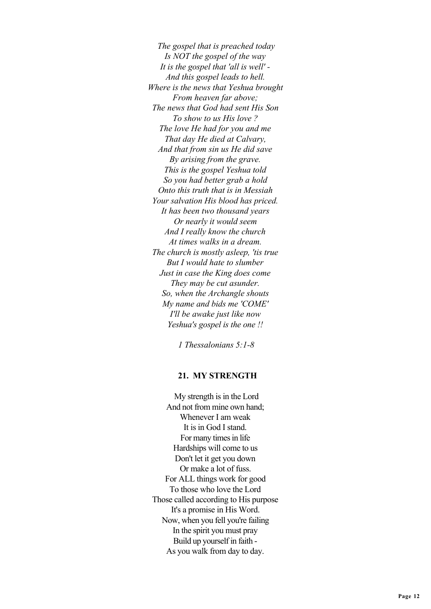*The gospel that is preached today Is NOT the gospel of the way It is the gospel that 'all is well' - And this gospel leads to hell. Where is the news that Yeshua brought From heaven far above; The news that God had sent His Son To show to us His love ? The love He had for you and me That day He died at Calvary, And that from sin us He did save By arising from the grave. This is the gospel Yeshua told So you had better grab a hold Onto this truth that is in Messiah Your salvation His blood has priced. It has been two thousand years Or nearly it would seem And I really know the church At times walks in a dream. The church is mostly asleep, 'tis true But I would hate to slumber Just in case the King does come They may be cut asunder. So, when the Archangle shouts My name and bids me 'COME' I'll be awake just like now Yeshua's gospel is the one !!*

 *1 Thessalonians 5:1-8*

#### **21. MY STRENGTH**

 My strength is in the Lord And not from mine own hand; Whenever I am weak It is in God I stand. For many times in life Hardships will come to us Don't let it get you down Or make a lot of fuss. For ALL things work for good To those who love the Lord Those called according to His purpose It's a promise in His Word. Now, when you fell you're failing In the spirit you must pray Build up yourself in faith - As you walk from day to day.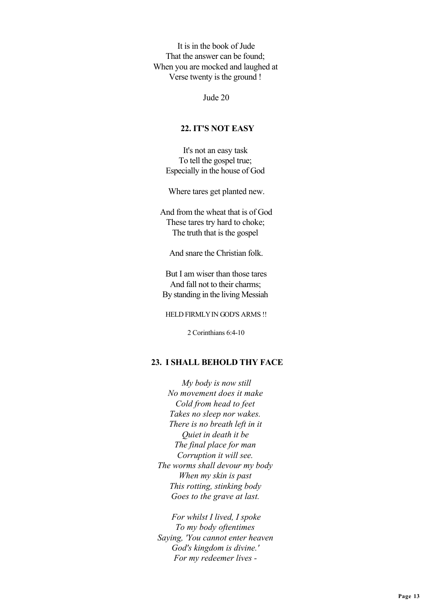It is in the book of Jude That the answer can be found; When you are mocked and laughed at Verse twenty is the ground !

Jude 20

### **22. IT'S NOT EASY**

It's not an easy task To tell the gospel true; Especially in the house of God

Where tares get planted new.

 And from the wheat that is of God These tares try hard to choke; The truth that is the gospel

And snare the Christian folk.

 But I am wiser than those tares And fall not to their charms; By standing in the living Messiah

HELD FIRMLY IN GOD'S ARMS !!

2 Corinthians 6:4-10

### **23. I SHALL BEHOLD THY FACE**

 *My body is now still No movement does it make Cold from head to feet Takes no sleep nor wakes. There is no breath left in it Quiet in death it be The final place for man Corruption it will see. The worms shall devour my body When my skin is past This rotting, stinking body Goes to the grave at last.*

 *For whilst I lived, I spoke To my body oftentimes Saying, 'You cannot enter heaven God's kingdom is divine.' For my redeemer lives -*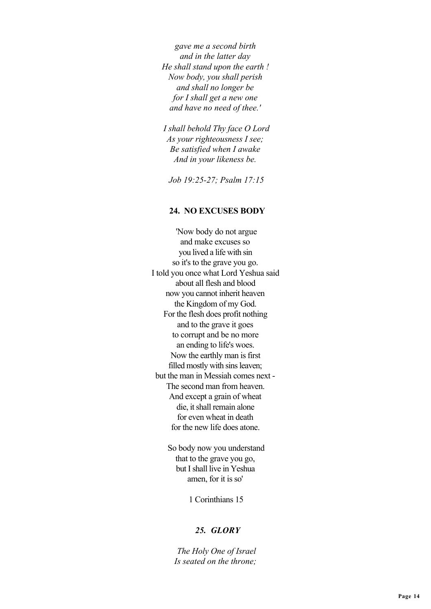*gave me a second birth and in the latter day He shall stand upon the earth ! Now body, you shall perish and shall no longer be for I shall get a new one and have no need of thee.'*

 *I shall behold Thy face O Lord As your righteousness I see; Be satisfied when I awake And in your likeness be.*

 *Job 19:25-27; Psalm 17:15*

#### **24. NO EXCUSES BODY**

 'Now body do not argue and make excuses so you lived a life with sin so it's to the grave you go. I told you once what Lord Yeshua said about all flesh and blood now you cannot inherit heaven the Kingdom of my God. For the flesh does profit nothing and to the grave it goes to corrupt and be no more an ending to life's woes. Now the earthly man is first filled mostly with sins leaven; but the man in Messiah comes next - The second man from heaven. And except a grain of wheat die, it shall remain alone for even wheat in death for the new life does atone.

> So body now you understand that to the grave you go, but I shall live in Yeshua amen, for it is so'

> > 1 Corinthians 15

### *25. GLORY*

 *The Holy One of Israel Is seated on the throne;*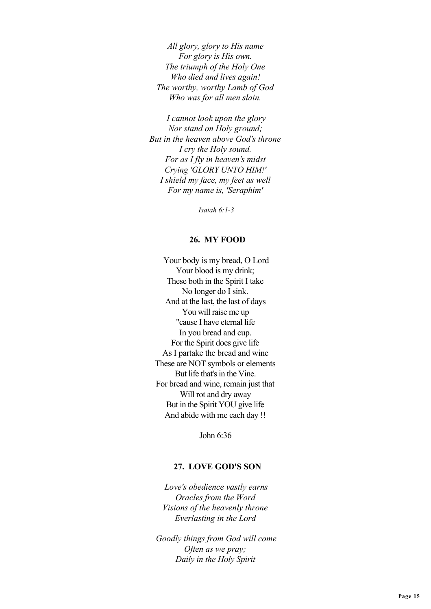*All glory, glory to His name For glory is His own. The triumph of the Holy One Who died and lives again! The worthy, worthy Lamb of God Who was for all men slain.*

 *I cannot look upon the glory Nor stand on Holy ground; But in the heaven above God's throne I cry the Holy sound. For as I fly in heaven's midst Crying 'GLORY UNTO HIM!' I shield my face, my feet as well For my name is, 'Seraphim'*

 *Isaiah 6:1-3*

#### **26. MY FOOD**

 Your body is my bread, O Lord Your blood is my drink; These both in the Spirit I take No longer do I sink. And at the last, the last of days You will raise me up "cause I have eternal life In you bread and cup. For the Spirit does give life As I partake the bread and wine These are NOT symbols or elements But life that's in the Vine. For bread and wine, remain just that Will rot and dry away But in the Spirit YOU give life And abide with me each day !!

John 6:36

### **27. LOVE GOD'S SON**

 *Love's obedience vastly earns Oracles from the Word Visions of the heavenly throne Everlasting in the Lord*

 *Goodly things from God will come Often as we pray; Daily in the Holy Spirit*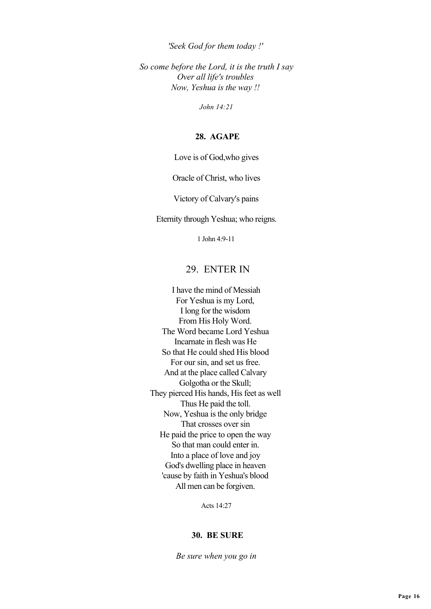*'Seek God for them today !'*

 *So come before the Lord, it is the truth I say Over all life's troubles Now, Yeshua is the way !!*

 *John 14:21*

#### **28. AGAPE**

Love is of God,who gives

Oracle of Christ, who lives

Victory of Calvary's pains

Eternity through Yeshua; who reigns.

1 John 4:9-11

# 29. ENTER IN

 I have the mind of Messiah For Yeshua is my Lord, I long for the wisdom From His Holy Word. The Word became Lord Yeshua Incarnate in flesh was He So that He could shed His blood For our sin, and set us free. And at the place called Calvary Golgotha or the Skull; They pierced His hands, His feet as well Thus He paid the toll. Now, Yeshua is the only bridge That crosses over sin He paid the price to open the way So that man could enter in. Into a place of love and joy God's dwelling place in heaven 'cause by faith in Yeshua's blood All men can be forgiven.

Acts 14:27

#### **30. BE SURE**

 *Be sure when you go in*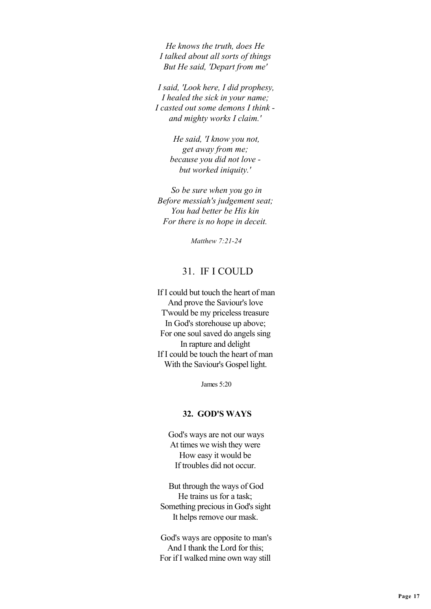*He knows the truth, does He I talked about all sorts of things But He said, 'Depart from me'*

 *I said, 'Look here, I did prophesy, I healed the sick in your name; I casted out some demons I think and mighty works I claim.'*

> *He said, 'I know you not, get away from me; because you did not love but worked iniquity.'*

 *So be sure when you go in Before messiah's judgement seat; You had better be His kin For there is no hope in deceit.*

 *Matthew 7:21-24*

# 31. IF I COULD

 If I could but touch the heart of man And prove the Saviour's love T'would be my priceless treasure In God's storehouse up above; For one soul saved do angels sing In rapture and delight If I could be touch the heart of man With the Saviour's Gospel light.

James 5:20

#### **32. GOD'S WAYS**

 God's ways are not our ways At times we wish they were How easy it would be If troubles did not occur.

 But through the ways of God He trains us for a task; Something precious in God's sight It helps remove our mask.

 God's ways are opposite to man's And I thank the Lord for this; For if I walked mine own way still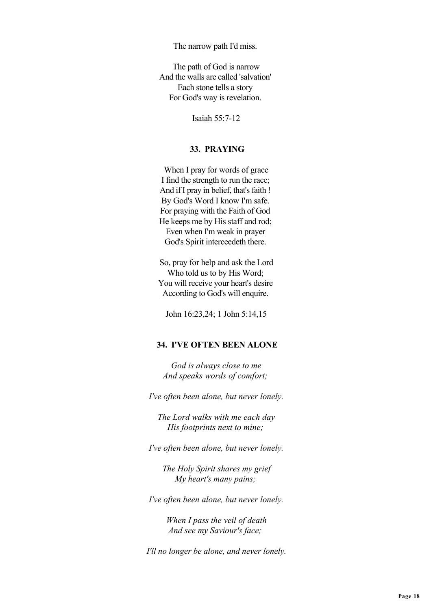The narrow path I'd miss.

 The path of God is narrow And the walls are called 'salvation' Each stone tells a story For God's way is revelation.

Isaiah 55:7-12

# **33. PRAYING**

 When I pray for words of grace I find the strength to run the race; And if I pray in belief, that's faith ! By God's Word I know I'm safe. For praying with the Faith of God He keeps me by His staff and rod; Even when I'm weak in prayer God's Spirit interceedeth there.

 So, pray for help and ask the Lord Who told us to by His Word; You will receive your heart's desire According to God's will enquire.

John 16:23,24; 1 John 5:14,15

### **34. I'VE OFTEN BEEN ALONE**

 *God is always close to me And speaks words of comfort;*

 *I've often been alone, but never lonely.*

 *The Lord walks with me each day His footprints next to mine;*

 *I've often been alone, but never lonely.*

 *The Holy Spirit shares my grief My heart's many pains;*

 *I've often been alone, but never lonely.*

 *When I pass the veil of death And see my Saviour's face;*

 *I'll no longer be alone, and never lonely.*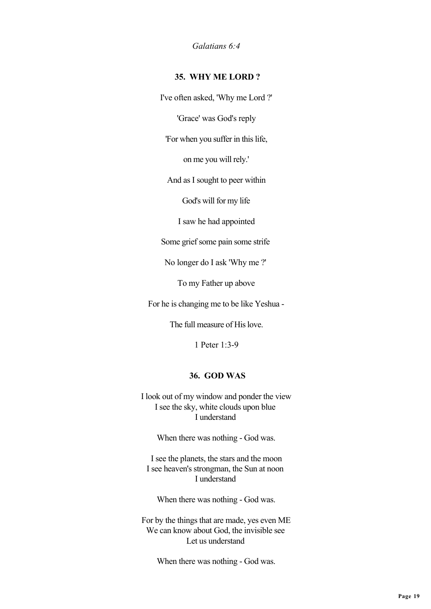*Galatians 6:4*

# **35. WHY ME LORD ?**

I've often asked, 'Why me Lord ?'

'Grace' was God's reply

'For when you suffer in this life,

on me you will rely.'

And as I sought to peer within

God's will for my life

I saw he had appointed

Some grief some pain some strife

No longer do I ask 'Why me ?'

To my Father up above

For he is changing me to be like Yeshua -

The full measure of His love.

1 Peter 1:3-9

### **36. GOD WAS**

 I look out of my window and ponder the view I see the sky, white clouds upon blue I understand

When there was nothing - God was.

 I see the planets, the stars and the moon I see heaven's strongman, the Sun at noon I understand

When there was nothing - God was.

 For by the things that are made, yes even ME We can know about God, the invisible see Let us understand

When there was nothing - God was.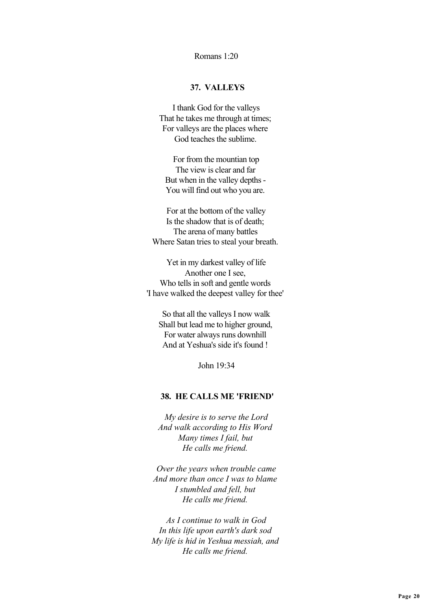### Romans 1:20

### **37. VALLEYS**

 I thank God for the valleys That he takes me through at times; For valleys are the places where God teaches the sublime.

 For from the mountian top The view is clear and far But when in the valley depths - You will find out who you are.

 For at the bottom of the valley Is the shadow that is of death; The arena of many battles Where Satan tries to steal your breath.

 Yet in my darkest valley of life Another one I see, Who tells in soft and gentle words 'I have walked the deepest valley for thee'

 So that all the valleys I now walk Shall but lead me to higher ground, For water always runs downhill And at Yeshua's side it's found !

John 19:34

### **38. HE CALLS ME 'FRIEND'**

 *My desire is to serve the Lord And walk according to His Word Many times I fail, but He calls me friend.*

 *Over the years when trouble came And more than once I was to blame I stumbled and fell, but He calls me friend.*

 *As I continue to walk in God In this life upon earth's dark sod My life is hid in Yeshua messiah, and He calls me friend.*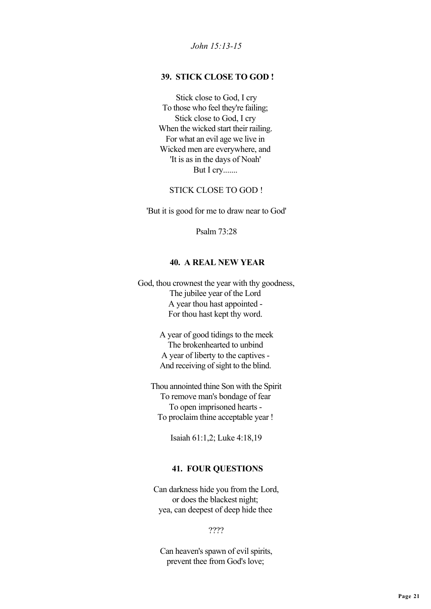*John 15:13-15*

# **39. STICK CLOSE TO GOD !**

 Stick close to God, I cry To those who feel they're failing; Stick close to God, I cry When the wicked start their railing. For what an evil age we live in Wicked men are everywhere, and 'It is as in the days of Noah' But I cry.......

STICK CLOSE TO GOD !

'But it is good for me to draw near to God'

Psalm 73:28

### **40. A REAL NEW YEAR**

 God, thou crownest the year with thy goodness, The jubilee year of the Lord A year thou hast appointed - For thou hast kept thy word.

> A year of good tidings to the meek The brokenhearted to unbind A year of liberty to the captives - And receiving of sight to the blind.

 Thou annointed thine Son with the Spirit To remove man's bondage of fear To open imprisoned hearts - To proclaim thine acceptable year !

Isaiah 61:1,2; Luke 4:18,19

#### **41. FOUR QUESTIONS**

 Can darkness hide you from the Lord, or does the blackest night; yea, can deepest of deep hide thee

????

 Can heaven's spawn of evil spirits, prevent thee from God's love;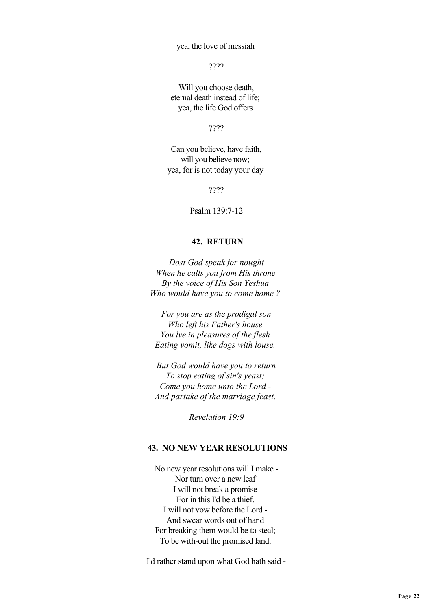yea, the love of messiah

????

 Will you choose death, eternal death instead of life; yea, the life God offers

????

 Can you believe, have faith, will you believe now; yea, for is not today your day

????

Psalm 139:7-12

### **42. RETURN**

 *Dost God speak for nought When he calls you from His throne By the voice of His Son Yeshua Who would have you to come home ?*

 *For you are as the prodigal son Who left his Father's house You lve in pleasures of the flesh Eating vomit, like dogs with louse.*

 *But God would have you to return To stop eating of sin's yeast; Come you home unto the Lord - And partake of the marriage feast.*

 *Revelation 19:9*

# **43. NO NEW YEAR RESOLUTIONS**

 No new year resolutions will I make - Nor turn over a new leaf I will not break a promise For in this I'd be a thief. I will not vow before the Lord - And swear words out of hand For breaking them would be to steal; To be with-out the promised land.

I'd rather stand upon what God hath said -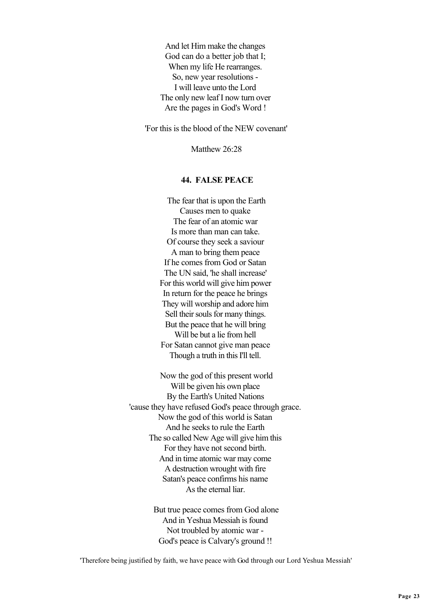And let Him make the changes God can do a better job that I; When my life He rearranges. So, new year resolutions - I will leave unto the Lord The only new leaf I now turn over Are the pages in God's Word !

'For this is the blood of the NEW covenant'

Matthew 26.28

# **44. FALSE PEACE**

 The fear that is upon the Earth Causes men to quake The fear of an atomic war Is more than man can take. Of course they seek a saviour A man to bring them peace If he comes from God or Satan The UN said, 'he shall increase' For this world will give him power In return for the peace he brings They will worship and adore him Sell their souls for many things. But the peace that he will bring Will be but a lie from hell For Satan cannot give man peace Though a truth in this I'll tell.

 Now the god of this present world Will be given his own place By the Earth's United Nations 'cause they have refused God's peace through grace. Now the god of this world is Satan And he seeks to rule the Earth The so called New Age will give him this For they have not second birth. And in time atomic war may come A destruction wrought with fire Satan's peace confirms his name As the eternal liar.

> But true peace comes from God alone And in Yeshua Messiah is found Not troubled by atomic war - God's peace is Calvary's ground !!

'Therefore being justified by faith, we have peace with God through our Lord Yeshua Messiah'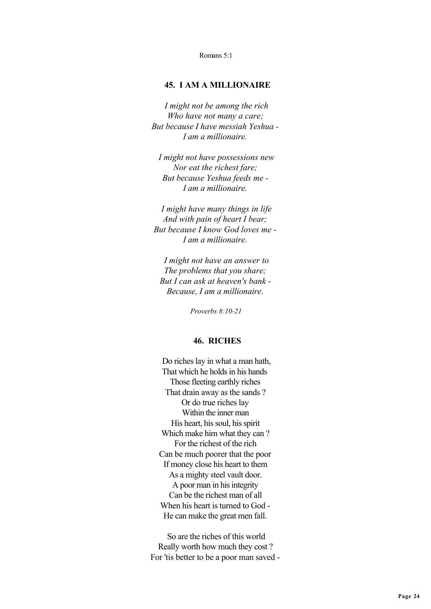Romans 5:1

### **45. I AM A MILLIONAIRE**

 *I might not be among the rich Who have not many a care; But because I have messiah Yeshua - I am a millionaire.*

 *I might not have possessions new Nor eat the richest fare; But because Yeshua feeds me - I am a millionaire.*

 *I might have many things in life And with pain of heart I bear; But because I know God loves me - I am a millionaire.*

 *I might not have an answer to The problems that you share; But I can ask at heaven's bank - Because, I am a millionaire.*

 *Proverbs 8:10-21*

### **46. RICHES**

 Do riches lay in what a man hath, That which he holds in his hands Those fleeting earthly riches That drain away as the sands ? Or do true riches lay Within the inner man His heart, his soul, his spirit Which make him what they can ? For the richest of the rich Can be much poorer that the poor If money close his heart to them As a mighty steel vault door. A poor man in his integrity Can be the richest man of all When his heart is turned to God - He can make the great men fall.

 So are the riches of this world Really worth how much they cost ? For 'tis better to be a poor man saved -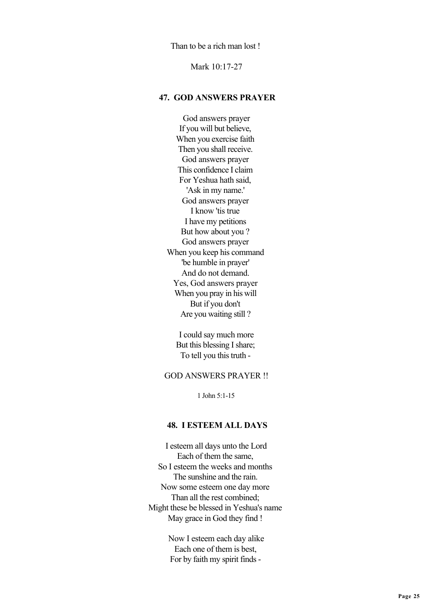Than to be a rich man lost !

Mark 10:17-27

### **47. GOD ANSWERS PRAYER**

 God answers prayer If you will but believe, When you exercise faith Then you shall receive. God answers prayer This confidence I claim For Yeshua hath said, 'Ask in my name.' God answers prayer I know 'tis true I have my petitions But how about you ? God answers prayer When you keep his command 'be humble in prayer' And do not demand. Yes, God answers prayer When you pray in his will But if you don't Are you waiting still ?

 I could say much more But this blessing I share; To tell you this truth -

### GOD ANSWERS PRAYER !!

1 John 5:1-15

## **48. I ESTEEM ALL DAYS**

 I esteem all days unto the Lord Each of them the same, So I esteem the weeks and months The sunshine and the rain. Now some esteem one day more Than all the rest combined; Might these be blessed in Yeshua's name May grace in God they find !

> Now I esteem each day alike Each one of them is best, For by faith my spirit finds -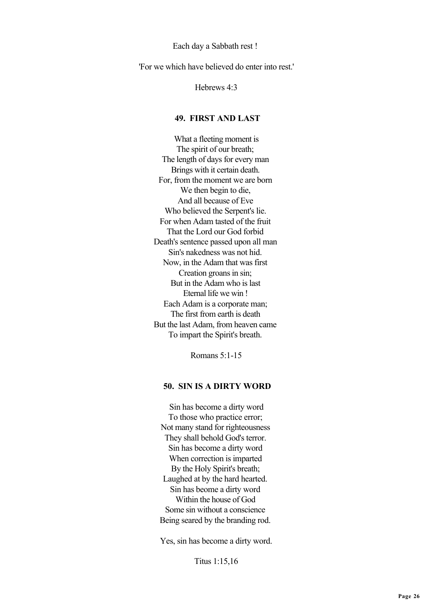Each day a Sabbath rest !

'For we which have believed do enter into rest.'

Hebrews 4:3

### **49. FIRST AND LAST**

 What a fleeting moment is The spirit of our breath; The length of days for every man Brings with it certain death. For, from the moment we are born We then begin to die. And all because of Eve Who believed the Serpent's lie. For when Adam tasted of the fruit That the Lord our God forbid Death's sentence passed upon all man Sin's nakedness was not hid. Now, in the Adam that was first Creation groans in sin; But in the Adam who is last Eternal life we win ! Each Adam is a corporate man; The first from earth is death But the last Adam, from heaven came To impart the Spirit's breath.

Romans 5:1-15

#### **50. SIN IS A DIRTY WORD**

 Sin has become a dirty word To those who practice error; Not many stand for righteousness They shall behold God's terror. Sin has become a dirty word When correction is imparted By the Holy Spirit's breath; Laughed at by the hard hearted. Sin has beome a dirty word Within the house of God Some sin without a conscience Being seared by the branding rod.

Yes, sin has become a dirty word.

Titus 1:15,16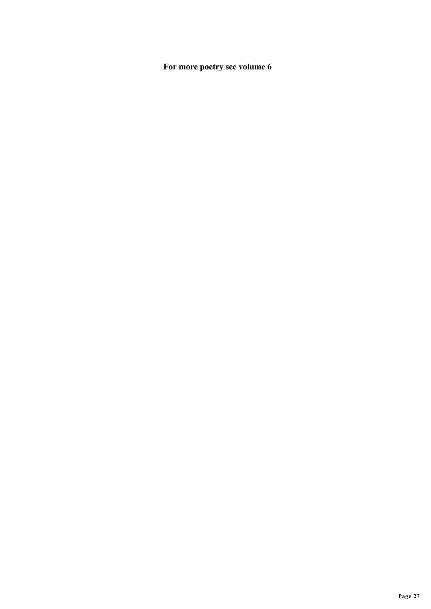**For more poetry see volume 6**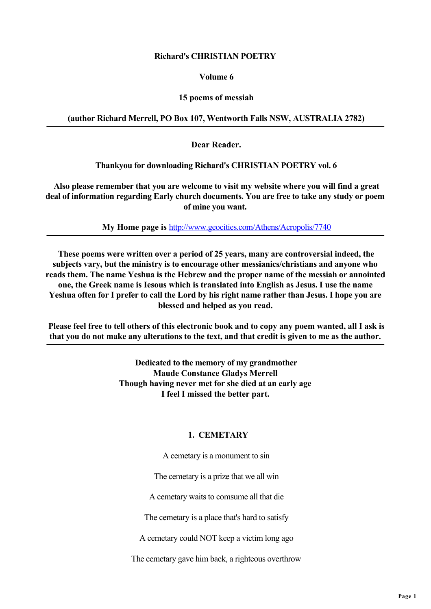### **Richard's CHRISTIAN POETRY**

### **Volume 6**

# **15 poems of messiah**

# **(author Richard Merrell, PO Box 107, Wentworth Falls NSW, AUSTRALIA 2782)**

 **Dear Reader.**

 **Thankyou for downloading Richard's CHRISTIAN POETRY vol. 6**

 **Also please remember that you are welcome to visit my website where you will find a great deal of information regarding Early church documents. You are free to take any study or poem of mine you want.**

 **My Home page is** <http://www.geocities.com/Athens/Acropolis/7740>

 **These poems were written over a period of 25 years, many are controversial indeed, the subjects vary, but the ministry is to encourage other messianics/christians and anyone who reads them. The name Yeshua is the Hebrew and the proper name of the messiah or annointed one, the Greek name is Iesous which is translated into English as Jesus. I use the name Yeshua often for I prefer to call the Lord by his right name rather than Jesus. I hope you are blessed and helped as you read.**

 **Please feel free to tell others of this electronic book and to copy any poem wanted, all I ask is that you do not make any alterations to the text, and that credit is given to me as the author.**

> **Dedicated to the memory of my grandmother Maude Constance Gladys Merrell Though having never met for she died at an early age I feel I missed the better part.**

# **1. CEMETARY**

A cemetary is a monument to sin

The cemetary is a prize that we all win

A cemetary waits to comsume all that die

The cemetary is a place that's hard to satisfy

A cemetary could NOT keep a victim long ago

The cemetary gave him back, a righteous overthrow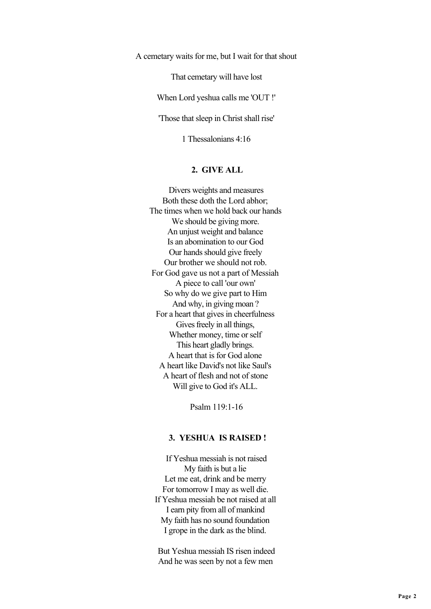A cemetary waits for me, but I wait for that shout

That cemetary will have lost

When Lord yeshua calls me 'OUT !'

'Those that sleep in Christ shall rise'

1 Thessalonians 4:16

#### **2. GIVE ALL**

 Divers weights and measures Both these doth the Lord abhor; The times when we hold back our hands We should be giving more. An unjust weight and balance Is an abomination to our God Our hands should give freely Our brother we should not rob. For God gave us not a part of Messiah A piece to call 'our own' So why do we give part to Him And why, in giving moan ? For a heart that gives in cheerfulness Gives freely in all things, Whether money, time or self This heart gladly brings. A heart that is for God alone A heart like David's not like Saul's A heart of flesh and not of stone Will give to God it's ALL.

Psalm 119:1-16

#### **3. YESHUA IS RAISED !**

 If Yeshua messiah is not raised My faith is but a lie Let me eat, drink and be merry For tomorrow I may as well die. If Yeshua messiah be not raised at all I earn pity from all of mankind My faith has no sound foundation I grope in the dark as the blind.

 But Yeshua messiah IS risen indeed And he was seen by not a few men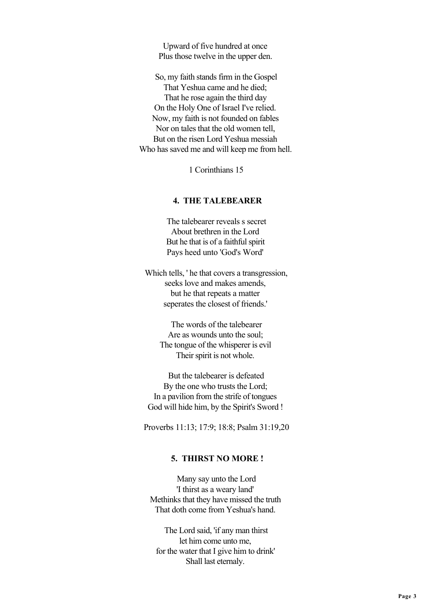Upward of five hundred at once Plus those twelve in the upper den.

 So, my faith stands firm in the Gospel That Yeshua came and he died; That he rose again the third day On the Holy One of Israel I've relied. Now, my faith is not founded on fables Nor on tales that the old women tell, But on the risen Lord Yeshua messiah Who has saved me and will keep me from hell.

1 Corinthians 15

#### **4. THE TALEBEARER**

 The talebearer reveals s secret About brethren in the Lord But he that is of a faithful spirit Pays heed unto 'God's Word'

 Which tells, ' he that covers a transgression, seeks love and makes amends, but he that repeats a matter seperates the closest of friends.'

> The words of the talebearer Are as wounds unto the soul; The tongue of the whisperer is evil Their spirit is not whole.

 But the talebearer is defeated By the one who trusts the Lord; In a pavilion from the strife of tongues God will hide him, by the Spirit's Sword !

Proverbs 11:13; 17:9; 18:8; Psalm 31:19,20

### **5. THIRST NO MORE !**

 Many say unto the Lord 'I thirst as a weary land' Methinks that they have missed the truth That doth come from Yeshua's hand.

 The Lord said, 'if any man thirst let him come unto me, for the water that I give him to drink' Shall last eternaly.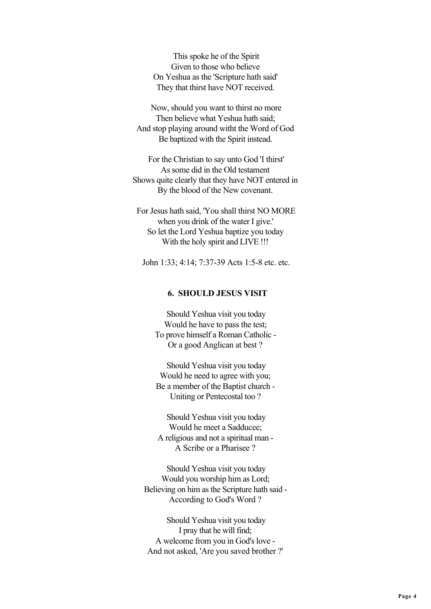This spoke he of the Spirit Given to those who believe On Yeshua as the 'Scripture hath said' They that thirst have NOT received.

 Now, should you want to thirst no more Then believe what Yeshua hath said; And stop playing around witht the Word of God Be baptized with the Spirit instead.

 For the Christian to say unto God 'I thirst' As some did in the Old testament Shows quite clearly that they have NOT entered in By the blood of the New covenant.

 For Jesus hath said, 'You shall thirst NO MORE when you drink of the water I give.' So let the Lord Yeshua baptize you today With the holy spirit and LIVE !!!

John 1:33; 4:14; 7:37-39 Acts 1:5-8 etc. etc.

### **6. SHOULD JESUS VISIT**

 Should Yeshua visit you today Would he have to pass the test; To prove himself a Roman Catholic - Or a good Anglican at best ?

 Should Yeshua visit you today Would he need to agree with you; Be a member of the Baptist church - Uniting or Pentecostal too ?

 Should Yeshua visit you today Would he meet a Sadducee; A religious and not a spiritual man - A Scribe or a Pharisee ?

 Should Yeshua visit you today Would you worship him as Lord; Believing on him as the Scripture hath said - According to God's Word ?

 Should Yeshua visit you today I pray that he will find; A welcome from you in God's love - And not asked, 'Are you saved brother ?'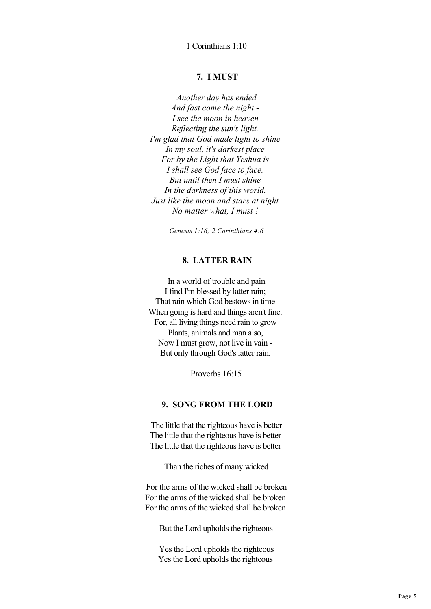1 Corinthians 1:10

### **7. I MUST**

 *Another day has ended And fast come the night - I see the moon in heaven Reflecting the sun's light. I'm glad that God made light to shine In my soul, it's darkest place For by the Light that Yeshua is I shall see God face to face. But until then I must shine In the darkness of this world. Just like the moon and stars at night No matter what, I must !*

 *Genesis 1:16; 2 Corinthians 4:6*

### **8. LATTER RAIN**

 In a world of trouble and pain I find I'm blessed by latter rain; That rain which God bestows in time When going is hard and things aren't fine. For, all living things need rain to grow Plants, animals and man also, Now I must grow, not live in vain - But only through God's latter rain.

Proverbs 16:15

### **9. SONG FROM THE LORD**

 The little that the righteous have is better The little that the righteous have is better The little that the righteous have is better

Than the riches of many wicked

 For the arms of the wicked shall be broken For the arms of the wicked shall be broken For the arms of the wicked shall be broken

But the Lord upholds the righteous

 Yes the Lord upholds the righteous Yes the Lord upholds the righteous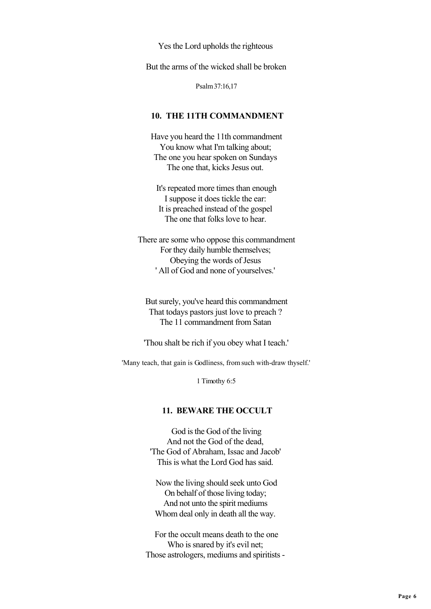Yes the Lord upholds the righteous

But the arms of the wicked shall be broken

Psalm 37:16,17

### **10. THE 11TH COMMANDMENT**

 Have you heard the 11th commandment You know what I'm talking about; The one you hear spoken on Sundays The one that, kicks Jesus out.

 It's repeated more times than enough I suppose it does tickle the ear: It is preached instead of the gospel The one that folks love to hear.

 There are some who oppose this commandment For they daily humble themselves; Obeying the words of Jesus ' All of God and none of yourselves.'

 But surely, you've heard this commandment That todays pastors just love to preach ? The 11 commandment from Satan

'Thou shalt be rich if you obey what I teach.'

'Many teach, that gain is Godliness, from such with-draw thyself.'

1 Timothy 6:5

#### **11. BEWARE THE OCCULT**

 God is the God of the living And not the God of the dead, 'The God of Abraham, Issac and Jacob' This is what the Lord God has said.

 Now the living should seek unto God On behalf of those living today; And not unto the spirit mediums Whom deal only in death all the way.

 For the occult means death to the one Who is snared by it's evil net; Those astrologers, mediums and spiritists -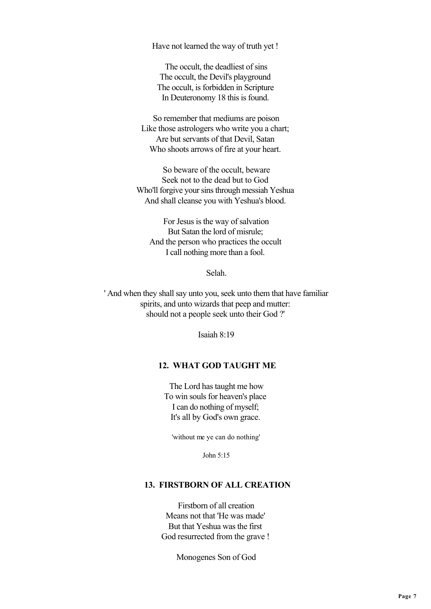Have not learned the way of truth yet !

 The occult, the deadliest of sins The occult, the Devil's playground The occult, is forbidden in Scripture In Deuteronomy 18 this is found.

 So remember that mediums are poison Like those astrologers who write you a chart; Are but servants of that Devil, Satan Who shoots arrows of fire at your heart.

 So beware of the occult, beware Seek not to the dead but to God Who'll forgive your sins through messiah Yeshua And shall cleanse you with Yeshua's blood.

 For Jesus is the way of salvation But Satan the lord of misrule; And the person who practices the occult I call nothing more than a fool.

Selah.

 ' And when they shall say unto you, seek unto them that have familiar spirits, and unto wizards that peep and mutter: should not a people seek unto their God ?'

Isaiah 8:19

## **12. WHAT GOD TAUGHT ME**

 The Lord has taught me how To win souls for heaven's place I can do nothing of myself; It's all by God's own grace.

'without me ye can do nothing'

John 5:15

### **13. FIRSTBORN OF ALL CREATION**

 Firstborn of all creation Means not that 'He was made' But that Yeshua was the first God resurrected from the grave !

Monogenes Son of God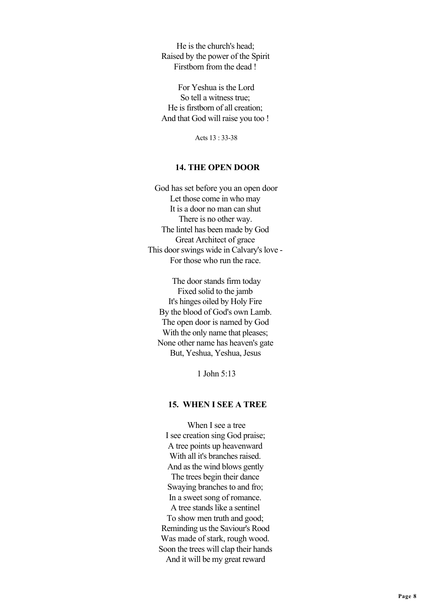He is the church's head; Raised by the power of the Spirit Firstborn from the dead !

 For Yeshua is the Lord So tell a witness true; He is firstborn of all creation; And that God will raise you too !

Acts 13 : 33-38

#### **14. THE OPEN DOOR**

 God has set before you an open door Let those come in who may It is a door no man can shut There is no other way. The lintel has been made by God Great Architect of grace This door swings wide in Calvary's love - For those who run the race.

 The door stands firm today Fixed solid to the jamb It's hinges oiled by Holy Fire By the blood of God's own Lamb. The open door is named by God With the only name that pleases; None other name has heaven's gate But, Yeshua, Yeshua, Jesus

1 John 5:13

#### **15. WHEN I SEE A TREE**

 When I see a tree I see creation sing God praise; A tree points up heavenward With all it's branches raised. And as the wind blows gently The trees begin their dance Swaying branches to and fro; In a sweet song of romance. A tree stands like a sentinel To show men truth and good; Reminding us the Saviour's Rood Was made of stark, rough wood. Soon the trees will clap their hands And it will be my great reward